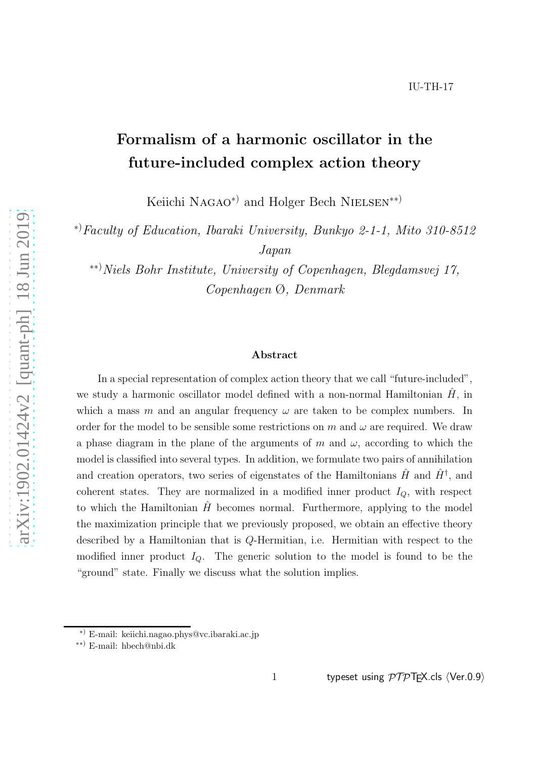# Formalism of a harmonic oscillator in the future-included complex action theory

Keiichi Nagao<sup>∗)</sup> and Holger Bech NIELSEN<sup>∗∗)</sup>

<sup>∗</sup>)*Faculty of Education, Ibaraki University, Bunkyo 2-1-1, Mito 310-8512 Japan*

∗∗)*Niels Bohr Institute, University of Copenhagen, Blegdamsvej 17, Copenhagen* Ø*, Denmark*

## Abstract

In a special representation of complex action theory that we call "future-included", we study a harmonic oscillator model defined with a non-normal Hamiltonian  $H$ , in which a mass m and an angular frequency  $\omega$  are taken to be complex numbers. In order for the model to be sensible some restrictions on m and  $\omega$  are required. We draw a phase diagram in the plane of the arguments of m and  $\omega$ , according to which the model is classified into several types. In addition, we formulate two pairs of annihilation and creation operators, two series of eigenstates of the Hamiltonians  $\hat{H}$  and  $\hat{H}^{\dagger}$ , and coherent states. They are normalized in a modified inner product  $I_Q$ , with respect to which the Hamiltonian  $\hat{H}$  becomes normal. Furthermore, applying to the model the maximization principle that we previously proposed, we obtain an effective theory described by a Hamiltonian that is Q-Hermitian, i.e. Hermitian with respect to the modified inner product  $I_Q$ . The generic solution to the model is found to be the "ground" state. Finally we discuss what the solution implies.

<sup>∗</sup>) E-mail: keiichi.nagao.phys@vc.ibaraki.ac.jp

<sup>∗∗</sup>) E-mail: hbech@nbi.dk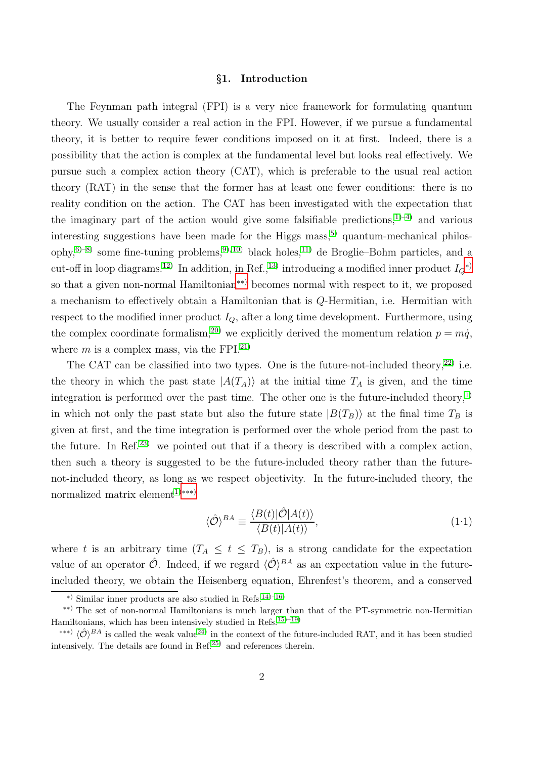## §1. Introduction

The Feynman path integral (FPI) is a very nice framework for formulating quantum theory. We usually consider a real action in the FPI. However, if we pursue a fundamental theory, it is better to require fewer conditions imposed on it at first. Indeed, there is a possibility that the action is complex at the fundamental level but looks real effectively. We pursue such a complex action theory (CAT), which is preferable to the usual real action theory (RAT) in the sense that the former has at least one fewer conditions: there is no reality condition on the action. The CAT has been investigated with the expectation that the imaginary part of the action would give some falsifiable predictions,  $1$ —4) and various interesting suggestions have been made for the Higgs mass,<sup>[5\)](#page-40-2)</sup> quantum-mechanical philos-ophy,<sup>[6\)](#page-40-3)[–8\)](#page-40-4)</sup> some fine-tuning problems,<sup>[9\)](#page-40-5), 10</sup>) black holes,<sup>11</sup> de Broglie–Bohm particles, and a cut-off in loop diagrams.<sup>[12\)](#page-41-0)</sup> In addition, in Ref.,<sup>[13\)](#page-41-1)</sup> introducing a modified inner product  $I_Q^*$ <sup> $\rangle$ </sup> so that a given non-normal Hamiltonian[∗∗](#page-1-1)) becomes normal with respect to it, we proposed a mechanism to effectively obtain a Hamiltonian that is Q-Hermitian, i.e. Hermitian with respect to the modified inner product  $I_{\mathcal{O}}$ , after a long time development. Furthermore, using the complex coordinate formalism,<sup>[20\)](#page-41-2)</sup> we explicitly derived the momentum relation  $p = m\dot{q}$ , where m is a complex mass, via the FPI.<sup>[21\)](#page-41-3)</sup>

The CAT can be classified into two types. One is the future-not-included theory,  $^{22}$  i.e. the theory in which the past state  $|A(T_A)\rangle$  at the initial time  $T_A$  is given, and the time integration is performed over the past time. The other one is the future-included theory,<sup>[1\)](#page-40-0)</sup> in which not only the past state but also the future state  $|B(T_B)\rangle$  at the final time  $T_B$  is given at first, and the time integration is performed over the whole period from the past to the future. In Ref.<sup>[23\)](#page-41-5)</sup> we pointed out that if a theory is described with a complex action, then such a theory is suggested to be the future-included theory rather than the futurenot-included theory, as long as we respect objectivity. In the future-included theory, the normalized matrix element<sup>[1\)](#page-40-0)</sup><sup>\*\*\*</sup>)

<span id="page-1-3"></span>
$$
\langle \hat{\mathcal{O}} \rangle^{BA} \equiv \frac{\langle B(t) | \hat{\mathcal{O}} | A(t) \rangle}{\langle B(t) | A(t) \rangle},\tag{1.1}
$$

where t is an arbitrary time  $(T_A \leq t \leq T_B)$ , is a strong candidate for the expectation value of an operator  $\hat{\mathcal{O}}$ . Indeed, if we regard  $\langle \hat{\mathcal{O}} \rangle^{BA}$  as an expectation value in the futureincluded theory, we obtain the Heisenberg equation, Ehrenfest's theorem, and a conserved

<span id="page-1-1"></span><span id="page-1-0"></span><sup>∗</sup>) Similar inner products are also studied in Refs.[14\)](#page-41-6)[–16\)](#page-41-7)

<sup>∗∗</sup>) The set of non-normal Hamiltonians is much larger than that of the PT-symmetric non-Hermitian Hamiltonians, which has been intensively studied in Refs.<sup>[15\)](#page-41-8)[–19\)](#page-41-9)</sup>

<span id="page-1-2"></span><sup>&</sup>lt;sup>\*\*\*)</sup>  $\langle \hat{\mathcal{O}} \rangle^{BA}$  is called the weak value<sup>[24\)](#page-41-10)</sup> in the context of the future-included RAT, and it has been studied intensively. The details are found in Ref. $25$  and references therein.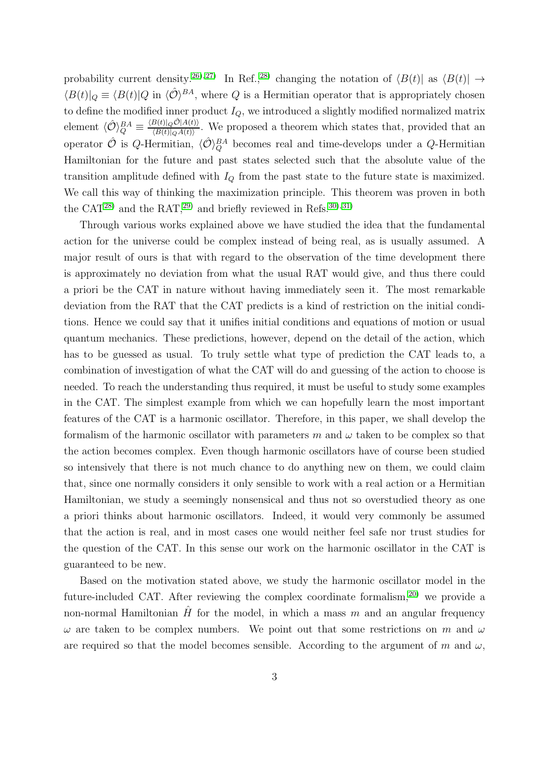probability current density.<sup>[26\)](#page-41-12), 27</sup> In Ref.,<sup>[28\)](#page-41-14)</sup> changing the notation of  $\langle B(t)|$  as  $\langle B(t)| \rightarrow$  $\langle B(t)|_Q \equiv \langle B(t)|Q \text{ in } \langle \hat{\mathcal{O}} \rangle^{BA}$ , where Q is a Hermitian operator that is appropriately chosen to define the modified inner product  $I_Q$ , we introduced a slightly modified normalized matrix element  $\langle \hat{\mathcal{O}} \rangle_Q^{BA} \equiv$  $\langle B(t)|_Q \hat{\mathcal{O}} |A(t)\rangle$  $\frac{B(t)|QO|A(t)}{\langle B(t)|QA(t)\rangle}$ . We proposed a theorem which states that, provided that an operator  $\hat{\mathcal{O}}$  is Q-Hermitian,  $\langle \hat{\mathcal{O}} \rangle_Q^{BA}$  becomes real and time-develops under a Q-Hermitian Hamiltonian for the future and past states selected such that the absolute value of the transition amplitude defined with  $I_Q$  from the past state to the future state is maximized. We call this way of thinking the maximization principle. This theorem was proven in both the CAT<sup>[28\)](#page-41-14)</sup> and the RAT,<sup>[29\)](#page-41-15)</sup> and briefly reviewed in Refs.<sup>30</sup>,<sup>31</sup>)

Through various works explained above we have studied the idea that the fundamental action for the universe could be complex instead of being real, as is usually assumed. A major result of ours is that with regard to the observation of the time development there is approximately no deviation from what the usual RAT would give, and thus there could a priori be the CAT in nature without having immediately seen it. The most remarkable deviation from the RAT that the CAT predicts is a kind of restriction on the initial conditions. Hence we could say that it unifies initial conditions and equations of motion or usual quantum mechanics. These predictions, however, depend on the detail of the action, which has to be guessed as usual. To truly settle what type of prediction the CAT leads to, a combination of investigation of what the CAT will do and guessing of the action to choose is needed. To reach the understanding thus required, it must be useful to study some examples in the CAT. The simplest example from which we can hopefully learn the most important features of the CAT is a harmonic oscillator. Therefore, in this paper, we shall develop the formalism of the harmonic oscillator with parameters m and  $\omega$  taken to be complex so that the action becomes complex. Even though harmonic oscillators have of course been studied so intensively that there is not much chance to do anything new on them, we could claim that, since one normally considers it only sensible to work with a real action or a Hermitian Hamiltonian, we study a seemingly nonsensical and thus not so overstudied theory as one a priori thinks about harmonic oscillators. Indeed, it would very commonly be assumed that the action is real, and in most cases one would neither feel safe nor trust studies for the question of the CAT. In this sense our work on the harmonic oscillator in the CAT is guaranteed to be new.

Based on the motivation stated above, we study the harmonic oscillator model in the future-included CAT. After reviewing the complex coordinate formalism,[20\)](#page-41-2) we provide a non-normal Hamiltonian  $\hat{H}$  for the model, in which a mass m and an angular frequency  $\omega$  are taken to be complex numbers. We point out that some restrictions on m and  $\omega$ are required so that the model becomes sensible. According to the argument of m and  $\omega$ ,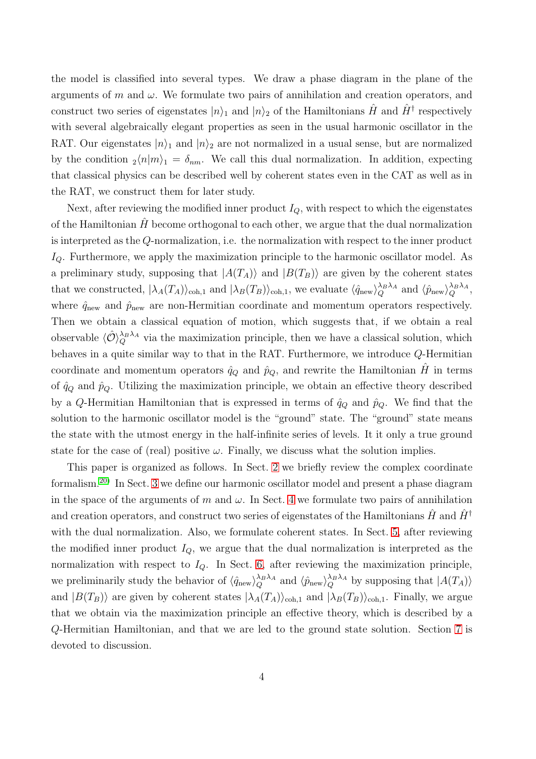the model is classified into several types. We draw a phase diagram in the plane of the arguments of m and  $\omega$ . We formulate two pairs of annihilation and creation operators, and construct two series of eigenstates  $|n\rangle_1$  and  $|n\rangle_2$  of the Hamiltonians  $\hat{H}$  and  $\hat{H}^{\dagger}$  respectively with several algebraically elegant properties as seen in the usual harmonic oscillator in the RAT. Our eigenstates  $|n\rangle_1$  and  $|n\rangle_2$  are not normalized in a usual sense, but are normalized by the condition  $_2\langle n|m\rangle_1 = \delta_{nm}$ . We call this dual normalization. In addition, expecting that classical physics can be described well by coherent states even in the CAT as well as in the RAT, we construct them for later study.

Next, after reviewing the modified inner product  $I_Q$ , with respect to which the eigenstates of the Hamiltonian  $\hat{H}$  become orthogonal to each other, we argue that the dual normalization is interpreted as the Q-normalization, i.e. the normalization with respect to the inner product  $I_Q$ . Furthermore, we apply the maximization principle to the harmonic oscillator model. As a preliminary study, supposing that  $|A(T_A)\rangle$  and  $|B(T_B)\rangle$  are given by the coherent states that we constructed,  $|\lambda_A(T_A)\rangle_{\text{coh},1}$  and  $|\lambda_B(T_B)\rangle_{\text{coh},1}$ , we evaluate  $\langle \hat{q}_{\text{new}} \rangle_Q^{\lambda_B \lambda_A}$  and  $\langle \hat{p}_{\text{new}} \rangle_Q^{\lambda_B \lambda_A}$ , where  $\hat{q}_{\text{new}}$  and  $\hat{p}_{\text{new}}$  are non-Hermitian coordinate and momentum operators respectively. Then we obtain a classical equation of motion, which suggests that, if we obtain a real observable  $\langle \hat{\mathcal{O}} \rangle_Q^{\lambda_B \lambda_A}$  via the maximization principle, then we have a classical solution, which behaves in a quite similar way to that in the RAT. Furthermore, we introduce Q-Hermitian coordinate and momentum operators  $\hat{q}_Q$  and  $\hat{p}_Q$ , and rewrite the Hamiltonian  $\hat{H}$  in terms of  $\hat{q}_Q$  and  $\hat{p}_Q$ . Utilizing the maximization principle, we obtain an effective theory described by a Q-Hermitian Hamiltonian that is expressed in terms of  $\hat{q}_Q$  and  $\hat{p}_Q$ . We find that the solution to the harmonic oscillator model is the "ground" state. The "ground" state means the state with the utmost energy in the half-infinite series of levels. It it only a true ground state for the case of (real) positive  $\omega$ . Finally, we discuss what the solution implies.

This paper is organized as follows. In Sect. [2](#page-4-0) we briefly review the complex coordinate formalism.[20\)](#page-41-2) In Sect. [3](#page-9-0) we define our harmonic oscillator model and present a phase diagram in the space of the arguments of m and  $\omega$ . In Sect. [4](#page-14-0) we formulate two pairs of annihilation and creation operators, and construct two series of eigenstates of the Hamiltonians  $H$  and  $H^{\dagger}$ with the dual normalization. Also, we formulate coherent states. In Sect. [5,](#page-21-0) after reviewing the modified inner product  $I_Q$ , we argue that the dual normalization is interpreted as the normalization with respect to  $I_Q$ . In Sect. [6,](#page-25-0) after reviewing the maximization principle, we preliminarily study the behavior of  $\langle \hat{q}_{\text{new}} \rangle_Q^{\lambda_B \lambda_A}$  and  $\langle \hat{p}_{\text{new}} \rangle_Q^{\lambda_B \lambda_A}$  by supposing that  $|A(T_A)\rangle$ and  $|B(T_B)\rangle$  are given by coherent states  $|\lambda_A(T_A)\rangle_{\text{coh},1}$  and  $|\lambda_B(T_B)\rangle_{\text{coh},1}$ . Finally, we argue that we obtain via the maximization principle an effective theory, which is described by a Q-Hermitian Hamiltonian, and that we are led to the ground state solution. Section [7](#page-34-0) is devoted to discussion.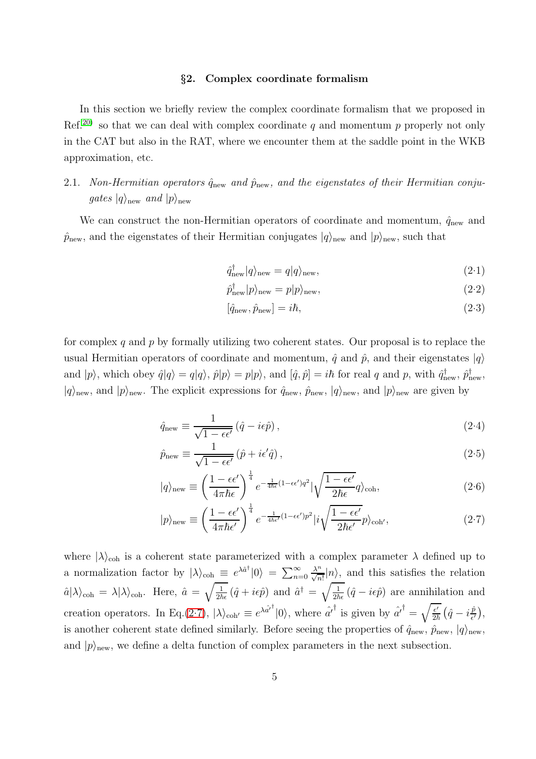## §2. Complex coordinate formalism

<span id="page-4-0"></span>In this section we briefly review the complex coordinate formalism that we proposed in Ref.<sup>[20\)](#page-41-2)</sup> so that we can deal with complex coordinate q and momentum p properly not only in the CAT but also in the RAT, where we encounter them at the saddle point in the WKB approximation, etc.

## 2.1. *Non-Hermitian operators*  $\hat{q}_{new}$  *and*  $\hat{p}_{new}$ *, and the eigenstates of their Hermitian conjugates*  $|q\rangle$ <sub>new</sub> *and*  $|p\rangle$ <sub>new</sub>

We can construct the non-Hermitian operators of coordinate and momentum,  $\hat{q}_\mathrm{new}$  and  $\hat{p}_{\text{new}}$ , and the eigenstates of their Hermitian conjugates  $|q\rangle_{\text{new}}$  and  $|p\rangle_{\text{new}}$ , such that

<span id="page-4-2"></span>
$$
\hat{q}_{\text{new}}^{\dagger}|q\rangle_{\text{new}} = q|q\rangle_{\text{new}},\tag{2-1}
$$

$$
\hat{p}_{\text{new}}^{\dagger}|p\rangle_{\text{new}} = p|p\rangle_{\text{new}},\tag{2-2}
$$

$$
[\hat{q}_{\text{new}}, \hat{p}_{\text{new}}] = i\hbar, \tag{2.3}
$$

for complex q and  $p$  by formally utilizing two coherent states. Our proposal is to replace the usual Hermitian operators of coordinate and momentum,  $\hat{q}$  and  $\hat{p}$ , and their eigenstates  $|q\rangle$ and  $|p\rangle$ , which obey  $\hat{q}|q\rangle = q|q\rangle$ ,  $\hat{p}|p\rangle = p|p\rangle$ , and  $[\hat{q}, \hat{p}] = i\hbar$  for real q and p, with  $\hat{q}_{\text{new}}^{\dagger}$ ,  $\hat{p}_{\text{new}}^{\dagger}$ ,  $|q\rangle_{\text{new}}$ , and  $|p\rangle_{\text{new}}$ . The explicit expressions for  $\hat{q}_{\text{new}}$ ,  $\hat{p}_{\text{new}}$ ,  $|q\rangle_{\text{new}}$ , and  $|p\rangle_{\text{new}}$  are given by

<span id="page-4-1"></span>
$$
\hat{q}_{\text{new}} \equiv \frac{1}{\sqrt{1 - \epsilon \epsilon'}} \left( \hat{q} - i\epsilon \hat{p} \right),\tag{2-4}
$$

$$
\hat{p}_{\text{new}} \equiv \frac{1}{\sqrt{1 - \epsilon \epsilon'}} \left( \hat{p} + i\epsilon' \hat{q} \right),\tag{2.5}
$$

$$
|q\rangle_{\text{new}} \equiv \left(\frac{1 - \epsilon \epsilon'}{4\pi \hbar \epsilon}\right)^{\frac{1}{4}} e^{-\frac{1}{4\hbar \epsilon}(1 - \epsilon \epsilon')q^2} |\sqrt{\frac{1 - \epsilon \epsilon'}{2\hbar \epsilon}q}\rangle_{\text{coh}},\tag{2.6}
$$

$$
|p\rangle_{\text{new}} \equiv \left(\frac{1 - \epsilon\epsilon'}{4\pi\hbar\epsilon'}\right)^{\frac{1}{4}} e^{-\frac{1}{4\hbar\epsilon'}(1 - \epsilon\epsilon')p^2} |i\sqrt{\frac{1 - \epsilon\epsilon'}{2\hbar\epsilon'}}p\rangle_{\text{coh'}},\tag{2.7}
$$

where  $|\lambda\rangle_{\text{coh}}$  is a coherent state parameterized with a complex parameter  $\lambda$  defined up to a normalization factor by  $|\lambda\rangle_{\text{coh}} \equiv e^{\lambda \hat{a}^{\dagger}} |0\rangle = \sum_{n=0}^{\infty}$  $\frac{\lambda^n}{\sqrt{n!}}|n\rangle$ , and this satisfies the relation  $\hat{a}|\lambda\rangle_{\text{coh}} = \lambda|\lambda\rangle_{\text{coh}}$ . Here,  $\hat{a} = \sqrt{\frac{1}{2\hbar\epsilon}}(\hat{q} + i\epsilon\hat{p})$  and  $\hat{a}^{\dagger} = \sqrt{\frac{1}{2\hbar\epsilon}}(\hat{q} - i\epsilon\hat{p})$  are annihilation and creation operators. In Eq.[\(2.7\)](#page-4-1),  $|\lambda\rangle_{\text{coh'}} \equiv e^{\lambda \hat{a'}^{\dagger}} |0\rangle$ , where  $\hat{a'}^{\dagger}$  is given by  $\hat{a'}^{\dagger} = \sqrt{\frac{\epsilon'}{2\hbar}} (\hat{q} - i\frac{\hat{p}}{\epsilon'} )$  $\frac{\hat{p}}{\epsilon'}\Big),$ is another coherent state defined similarly. Before seeing the properties of  $\hat{q}_{\text{new}}, \hat{p}_{\text{new}}, |q\rangle_{\text{new}}$ and  $|p\rangle$ <sub>new</sub>, we define a delta function of complex parameters in the next subsection.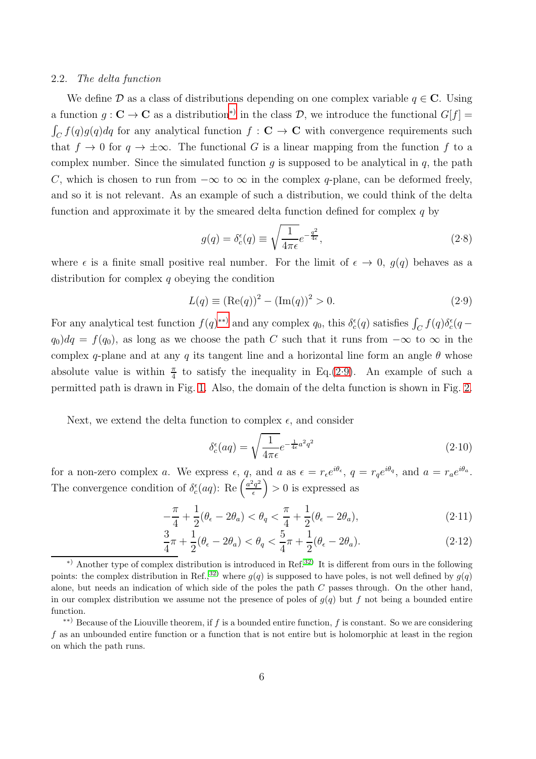#### 2.2. *The delta function*

We define D as a class of distributions depending on one complex variable  $q \in \mathbb{C}$ . Using a function  $g: \mathbf{C} \to \mathbf{C}$  as a distribution<sup>\*)</sup> in the class  $\mathcal{D}$ , we introduce the functional  $G[f] =$  $\int_C f(q)g(q)dq$  for any analytical function  $f: \mathbf{C} \to \mathbf{C}$  with convergence requirements such that  $f \to 0$  for  $q \to \pm \infty$ . The functional G is a linear mapping from the function f to a complex number. Since the simulated function q is supposed to be analytical in  $q$ , the path C, which is chosen to run from  $-\infty$  to  $\infty$  in the complex q-plane, can be deformed freely, and so it is not relevant. As an example of such a distribution, we could think of the delta function and approximate it by the smeared delta function defined for complex  $q$  by

$$
g(q) = \delta_c^{\epsilon}(q) \equiv \sqrt{\frac{1}{4\pi\epsilon}} e^{-\frac{q^2}{4\epsilon}},\tag{2.8}
$$

where  $\epsilon$  is a finite small positive real number. For the limit of  $\epsilon \to 0$ ,  $g(q)$  behaves as a distribution for complex q obeying the condition

<span id="page-5-2"></span>
$$
L(q) \equiv (\text{Re}(q))^2 - (\text{Im}(q))^2 > 0. \tag{2.9}
$$

For any analytical test function  $f(q)^{**}$  and any complex  $q_0$ , this  $\delta_c^{\epsilon}(q)$  satisfies  $\int_C f(q) \delta_c^{\epsilon}(q$  $q_0$ )dq =  $f(q_0)$ , as long as we choose the path C such that it runs from  $-\infty$  to  $\infty$  in the complex q-plane and at any q its tangent line and a horizontal line form an angle  $\theta$  whose absolute value is within  $\frac{\pi}{4}$  to satisfy the inequality in Eq.[\(2.9\)](#page-5-2). An example of such a permitted path is drawn in Fig. [1.](#page-6-0) Also, the domain of the delta function is shown in Fig. [2.](#page-7-0)

Next, we extend the delta function to complex  $\epsilon$ , and consider

$$
\delta_c^{\epsilon}(aq) = \sqrt{\frac{1}{4\pi\epsilon}} e^{-\frac{1}{4\epsilon}a^2q^2}
$$
\n(2.10)

for a non-zero complex a. We express  $\epsilon$ , q, and a as  $\epsilon = r_{\epsilon}e^{i\theta_{\epsilon}}$ ,  $q = r_{q}e^{i\theta_{q}}$ , and  $a = r_{a}e^{i\theta_{a}}$ . The convergence condition of  $\delta_c^{\epsilon}(aq)$ : Re  $\left(\frac{a^2q^2}{\epsilon}\right)$  $\left(\frac{a^2q^2}{\epsilon}\right) > 0$  is expressed as

<span id="page-5-3"></span>
$$
-\frac{\pi}{4} + \frac{1}{2}(\theta_{\epsilon} - 2\theta_a) < \theta_q < \frac{\pi}{4} + \frac{1}{2}(\theta_{\epsilon} - 2\theta_a),\tag{2.11}
$$

$$
\frac{3}{4}\pi + \frac{1}{2}(\theta_{\epsilon} - 2\theta_{a}) < \theta_{q} < \frac{5}{4}\pi + \frac{1}{2}(\theta_{\epsilon} - 2\theta_{a}).\tag{2.12}
$$

<span id="page-5-0"></span><sup>∗</sup>) Another type of complex distribution is introduced in Ref.[32\)](#page-41-18) It is different from ours in the following points: the complex distribution in Ref.,<sup>[32\)](#page-41-18)</sup> where  $g(q)$  is supposed to have poles, is not well defined by  $g(q)$ alone, but needs an indication of which side of the poles the path  $C$  passes through. On the other hand, in our complex distribution we assume not the presence of poles of  $g(q)$  but f not being a bounded entire function.

<span id="page-5-1"></span><sup>∗∗</sup>) Because of the Liouville theorem, if f is a bounded entire function, f is constant. So we are considering f as an unbounded entire function or a function that is not entire but is holomorphic at least in the region on which the path runs.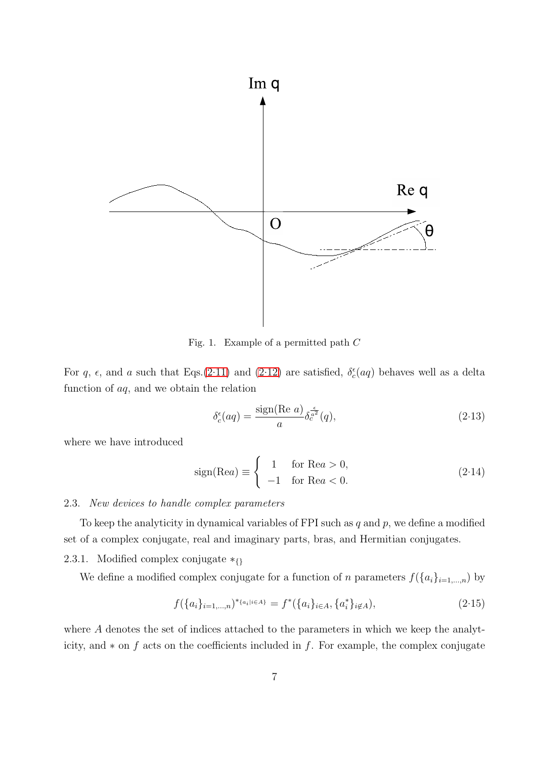

<span id="page-6-0"></span>Fig. 1. Example of a permitted path C

For q,  $\epsilon$ , and a such that Eqs.[\(2.11\)](#page-5-3) and [\(2.12\)](#page-5-3) are satisfied,  $\delta_c^{\epsilon}(aq)$  behaves well as a delta function of aq, and we obtain the relation

$$
\delta_c^{\epsilon}(aq) = \frac{\text{sign}(\text{Re } a)}{a} \delta_c^{\frac{\epsilon}{a^2}}(q),\tag{2.13}
$$

where we have introduced

$$
sign(Rea) \equiv \begin{cases} 1 & \text{for } Rea > 0, \\ -1 & \text{for } Rea < 0. \end{cases}
$$
 (2.14)

## 2.3. *New devices to handle complex parameters*

To keep the analyticity in dynamical variables of FPI such as  $q$  and  $p$ , we define a modified set of a complex conjugate, real and imaginary parts, bras, and Hermitian conjugates.

2.3.1. Modified complex conjugate  $*_{\{\}}$ 

We define a modified complex conjugate for a function of n parameters  $f(\{a_i\}_{i=1,\dots,n})$  by

$$
f(\{a_i\}_{i=1,\dots,n})^{*_{\{a_i\} \in A\}} = f^*(\{a_i\}_{i \in A}, \{a_i^*\}_{i \notin A}),
$$
\n(2.15)

where A denotes the set of indices attached to the parameters in which we keep the analyticity, and  $*$  on f acts on the coefficients included in f. For example, the complex conjugate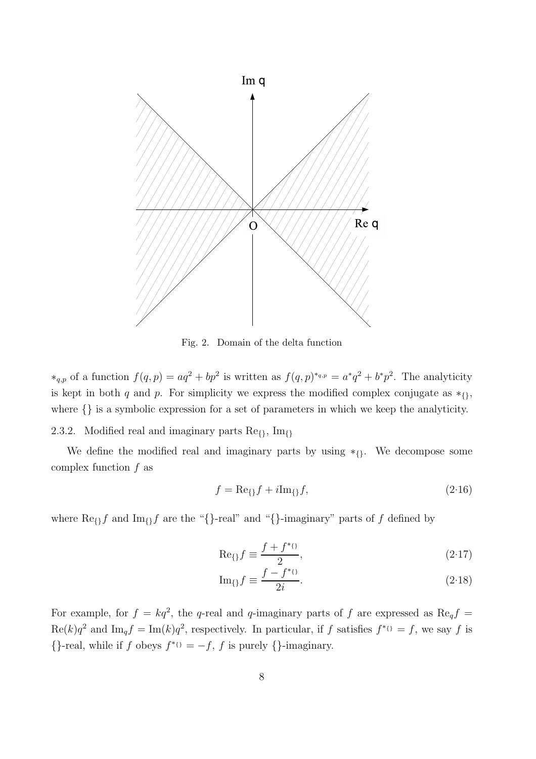

<span id="page-7-0"></span>Fig. 2. Domain of the delta function

\*<sub>q,p</sub> of a function  $f(q, p) = aq^2 + bp^2$  is written as  $f(q, p)$ <sup>\*q,p</sup> =  $a^*q^2 + b^*p^2$ . The analyticity is kept in both q and p. For simplicity we express the modified complex conjugate as  $*_{}$ where  $\{\}\$ is a symbolic expression for a set of parameters in which we keep the analyticity.

2.3.2. Modified real and imaginary parts  $\text{Re}_{\{\}}$ , Im<sub>{}</sub>

We define the modified real and imaginary parts by using  $*_{1}$ . We decompose some complex function  $f$  as

$$
f = \text{Re}_{\{}f + i\text{Im}_{\{}f},\tag{2.16}
$$

where  $\text{Re}_{\{\}f$  and  $\text{Im}_{\{\}f\}$  are the "{}-real" and "{}-imaginary" parts of f defined by

<span id="page-7-1"></span>
$$
\text{Re}\mathfrak{f} \equiv \frac{f + f^*\mathfrak{g}}{2},\tag{2.17}
$$

$$
\operatorname{Im}_{\{\}} f \equiv \frac{f - f^{*_{\{\}}}}{2i}.\tag{2.18}
$$

For example, for  $f = kq^2$ , the q-real and q-imaginary parts of f are expressed as Re<sub>q</sub>f =  $\text{Re}(k)q^2$  and  $\text{Im}_q f = \text{Im}(k)q^2$ , respectively. In particular, if f satisfies  $f^*0 = f$ , we say f is  $\{\}$ -real, while if f obeys  $f^{*}$ <sup>{}</sup> = -f, f is purely  $\{\}$ -imaginary.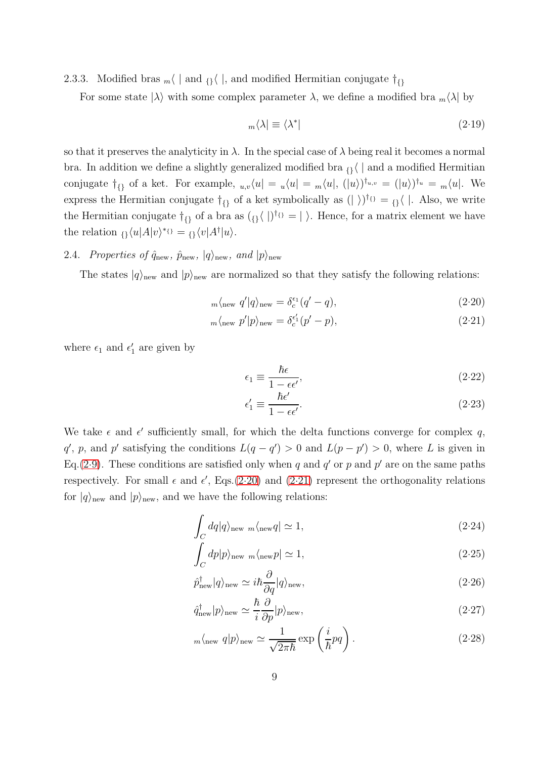2.3.3. Modified bras  $_m$  | and  $_{\{}i\}$  |, and modified Hermitian conjugate  $\dagger_{\{i\}}$ 

For some state  $|\lambda\rangle$  with some complex parameter  $\lambda$ , we define a modified bra  $_m\langle\lambda|$  by

$$
{}_m\langle\lambda|\equiv\langle\lambda^*|\tag{2.19}
$$

so that it preserves the analyticity in  $\lambda$ . In the special case of  $\lambda$  being real it becomes a normal bra. In addition we define a slightly generalized modified bra  $\mathfrak{g}_{\lambda}$  | and a modified Hermitian conjugate  $\dagger_{\{\}}$  of a ket. For example,  $u,v\langle u| = u\langle u| = m\langle u|, (|u\rangle)^{\dagger_{u,v}} = (|u\rangle)^{\dagger_u} = m\langle u|$ . We express the Hermitian conjugate  $\dagger_{\{\}\}$  of a ket symbolically as  $(|\rangle)^{\dagger_{\{\}}} = {\{\}} \langle |$ . Also, we write the Hermitian conjugate  $\dagger_{\{\}}$  of a bra as  $({\{\} \}\vert)^{\dagger_{\{\}}}= |\ \rangle$ . Hence, for a matrix element we have the relation  ${}_{\{\}\langle u|A|v\rangle^{\ast}\{i\}} = {}_{\{\}\langle v|A^{\dagger}|u\rangle}.$ 

## 2.4. *Properties of*  $\hat{q}_{new}$ ,  $\hat{p}_{new}$ ,  $|q\rangle_{new}$ , and  $|p\rangle_{new}$

The states  $|q\rangle_{\text{new}}$  and  $|p\rangle_{\text{new}}$  are normalized so that they satisfy the following relations:

<span id="page-8-0"></span>
$$
m\langle \text{new } q' | q \rangle_{\text{new}} = \delta_c^{\epsilon_1} (q' - q), \tag{2.20}
$$

$$
{}_m\langle_{\text{new}} p'|p\rangle_{\text{new}} = \delta_c^{\epsilon'_1}(p'-p),\tag{2.21}
$$

where  $\epsilon_1$  and  $\epsilon'_1$  are given by

$$
\epsilon_1 \equiv \frac{\hbar \epsilon}{1 - \epsilon \epsilon'},\tag{2.22}
$$

$$
\epsilon_1' \equiv \frac{\hbar \epsilon'}{1 - \epsilon \epsilon'}.\tag{2.23}
$$

We take  $\epsilon$  and  $\epsilon'$  sufficiently small, for which the delta functions converge for complex q,  $q'$ , p, and p' satisfying the conditions  $L(q - q') > 0$  and  $L(p - p') > 0$ , where L is given in Eq.[\(2.9\)](#page-5-2). These conditions are satisfied only when q and  $q'$  or p and p' are on the same paths respectively. For small  $\epsilon$  and  $\epsilon'$ , Eqs.[\(2.20\)](#page-8-0) and [\(2.21\)](#page-8-0) represent the orthogonality relations for  $|q\rangle$ <sub>new</sub> and  $|p\rangle$ <sub>new</sub>, and we have the following relations:

<span id="page-8-1"></span>
$$
\int_C dq |q\rangle_{\text{new }m} \langle_{\text{new}} q| \simeq 1,\tag{2.24}
$$

$$
\int_C dp|p\rangle_{\text{new }m\langle\text{new}p|} \simeq 1,\tag{2.25}
$$

$$
\hat{p}_{\text{new}}^{\dagger}|q\rangle_{\text{new}} \simeq i\hbar \frac{\partial}{\partial q}|q\rangle_{\text{new}},\tag{2.26}
$$

$$
\hat{q}_{\text{new}}^{\dagger}|p\rangle_{\text{new}} \simeq \frac{\hbar}{i} \frac{\partial}{\partial p}|p\rangle_{\text{new}},\tag{2.27}
$$

$$
m\langle \text{new } q | p \rangle_{\text{new}} \simeq \frac{1}{\sqrt{2\pi\hbar}} \exp\left(\frac{i}{\hbar}pq\right). \tag{2.28}
$$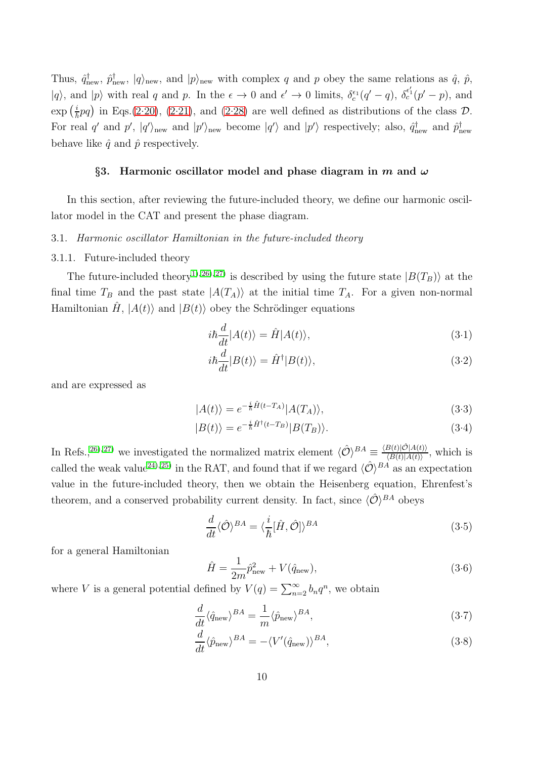Thus,  $\hat{q}_{\text{new}}^{\dagger}$ ,  $\hat{p}_{\text{new}}^{\dagger}$ ,  $|q\rangle_{\text{new}}$ , and  $|p\rangle_{\text{new}}$  with complex q and p obey the same relations as  $\hat{q}$ ,  $\hat{p}$ ,  $|q\rangle$ , and  $|p\rangle$  with real q and p. In the  $\epsilon \to 0$  and  $\epsilon' \to 0$  limits,  $\delta_c^{\epsilon_1}(q'-q)$ ,  $\delta_c^{\epsilon'_1}(p'-p)$ , and  $\exp\left(\frac{i}{\hbar}pq\right)$  in Eqs.[\(2.20\)](#page-8-0), [\(2.21\)](#page-8-0), and [\(2.28\)](#page-8-1) are well defined as distributions of the class  $\mathcal{D}$ . For real q' and  $p'$ ,  $|q'\rangle_{\text{new}}$  and  $|p'\rangle_{\text{new}}$  become  $|q'\rangle$  and  $|p'\rangle$  respectively; also,  $\hat{q}_{\text{new}}^{\dagger}$  and  $\hat{p}_{\text{new}}^{\dagger}$ behave like  $\hat{q}$  and  $\hat{p}$  respectively.

#### <span id="page-9-0"></span>§3. Harmonic oscillator model and phase diagram in m and  $\omega$

In this section, after reviewing the future-included theory, we define our harmonic oscillator model in the CAT and present the phase diagram.

## <span id="page-9-4"></span>3.1. *Harmonic oscillator Hamiltonian in the future-included theory*

#### 3.1.1. Future-included theory

The future-included theory<sup>[1\)](#page-40-0), 26</sup>), <sup>27</sup> is described by using the future state  $|B(T_B)\rangle$  at the final time  $T_B$  and the past state  $|A(T_A)\rangle$  at the initial time  $T_A$ . For a given non-normal Hamiltonian  $H$ ,  $|A(t)\rangle$  and  $|B(t)\rangle$  obey the Schrödinger equations

<span id="page-9-3"></span>
$$
i\hbar \frac{d}{dt}|A(t)\rangle = \hat{H}|A(t)\rangle,\tag{3.1}
$$

$$
i\hbar \frac{d}{dt} |B(t)\rangle = \hat{H}^{\dagger} |B(t)\rangle, \tag{3.2}
$$

and are expressed as

<span id="page-9-5"></span>
$$
|A(t)\rangle = e^{-\frac{i}{\hbar}\hat{H}(t-T_A)}|A(T_A)\rangle,\tag{3.3}
$$

$$
|B(t)\rangle = e^{-\frac{i}{\hbar}\hat{H}^{\dagger}(t-T_B)}|B(T_B)\rangle.
$$
\n(3.4)

In Refs.,<sup>[26\)](#page-41-12), 27</sup> we investigated the normalized matrix element  $\langle \hat{\mathcal{O}} \rangle^{BA} \equiv \frac{\langle B(t)|\hat{\mathcal{O}}|A(t)\rangle}{\langle B(t)|A(t)\rangle}$  $\frac{B(t)|\mathcal{O}|A(t)}{\langle B(t)|A(t)\rangle}$ , which is called the weak value<sup>[24\)](#page-41-10), 25</sup> in the RAT, and found that if we regard  $\langle \hat{\mathcal{O}} \rangle^{BA}$  as an expectation value in the future-included theory, then we obtain the Heisenberg equation, Ehrenfest's theorem, and a conserved probability current density. In fact, since  $\langle \hat{\mathcal{O}} \rangle^{BA}$  obeys

$$
\frac{d}{dt}\langle \hat{\mathcal{O}}\rangle^{BA} = \langle \frac{i}{\hbar}[\hat{H}, \hat{\mathcal{O}}]\rangle^{BA}
$$
\n(3.5)

for a general Hamiltonian

<span id="page-9-1"></span>
$$
\hat{H} = \frac{1}{2m}\hat{p}_{\text{new}}^2 + V(\hat{q}_{\text{new}}),
$$
\n(3.6)

where V is a general potential defined by  $V(q) = \sum_{n=2}^{\infty} b_n q^n$ , we obtain

<span id="page-9-2"></span>
$$
\frac{d}{dt}\langle \hat{q}_{\text{new}}\rangle^{BA} = \frac{1}{m}\langle \hat{p}_{\text{new}}\rangle^{BA},\tag{3.7}
$$

$$
\frac{d}{dt}\langle \hat{p}_{\text{new}}\rangle^{BA} = -\langle V'(\hat{q}_{\text{new}})\rangle^{BA},\tag{3.8}
$$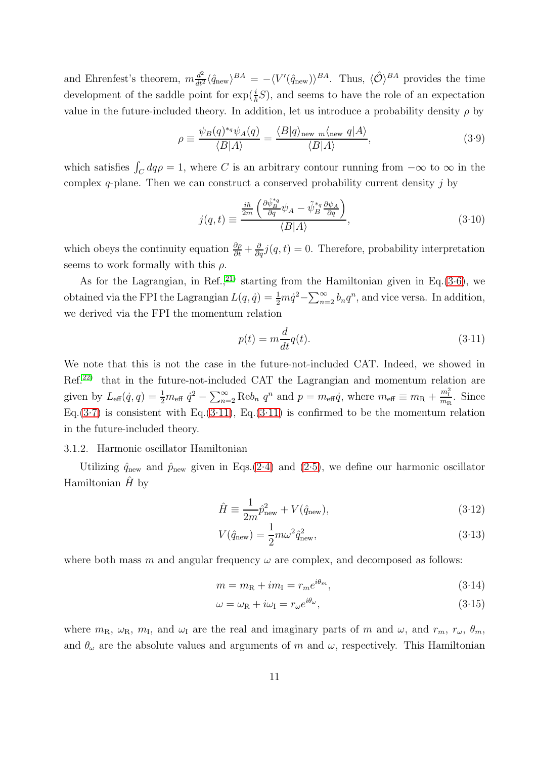and Ehrenfest's theorem,  $m \frac{d^2}{dt^2} \langle \hat{q}_{\text{new}} \rangle^{BA} = -\langle V'(\hat{q}_{\text{new}}) \rangle^{BA}$ . Thus,  $\langle \hat{\mathcal{O}} \rangle^{BA}$  provides the time development of the saddle point for  $\exp(\frac{i}{\hbar}S)$ , and seems to have the role of an expectation value in the future-included theory. In addition, let us introduce a probability density  $\rho$  by

$$
\rho \equiv \frac{\psi_B(q)^{*q} \psi_A(q)}{\langle B|A \rangle} = \frac{\langle B|q \rangle_{\text{new } m \langle \text{new } q | A \rangle}}{\langle B|A \rangle},\tag{3.9}
$$

which satisfies  $\int_C dq \rho = 1$ , where C is an arbitrary contour running from  $-\infty$  to  $\infty$  in the complex  $q$ -plane. Then we can construct a conserved probability current density  $j$  by

$$
j(q,t) \equiv \frac{\frac{i\hbar}{2m} \left( \frac{\partial \tilde{\psi}_B^{*q}}{\partial q} \psi_A - \tilde{\psi}_B^{*q} \frac{\partial \psi_A}{\partial q} \right)}{\langle B|A \rangle},
$$
(3.10)

which obeys the continuity equation  $\frac{\partial \rho}{\partial t} + \frac{\partial}{\partial q} j(q, t) = 0$ . Therefore, probability interpretation seems to work formally with this  $\rho$ .

As for the Lagrangian, in Ref.<sup>21</sup> starting from the Hamiltonian given in Eq.[\(3.6\)](#page-9-1), we obtained via the FPI the Lagrangian  $L(q, \dot{q}) = \frac{1}{2} m \dot{q}^2 - \sum_{n=2}^{\infty} b_n q^n$ , and vice versa. In addition, we derived via the FPI the momentum relation

<span id="page-10-0"></span>
$$
p(t) = m \frac{d}{dt} q(t).
$$
\n(3.11)

We note that this is not the case in the future-not-included CAT. Indeed, we showed in Ref.[22\)](#page-41-4) that in the future-not-included CAT the Lagrangian and momentum relation are given by  $L_{\text{eff}}(\dot{q}, q) = \frac{1}{2} m_{\text{eff}} \dot{q}^2 - \sum_{n=2}^{\infty} \text{Re} b_n q^n$  and  $p = m_{\text{eff}} \dot{q}$ , where  $m_{\text{eff}} \equiv m_R + \frac{m_I^2}{m_R}$ . Since Eq.[\(3.7\)](#page-9-2) is consistent with Eq.[\(3.11\)](#page-10-0), Eq.(3.11) is confirmed to be the momentum relation in the future-included theory.

## 3.1.2. Harmonic oscillator Hamiltonian

Utilizing  $\hat{q}_{\text{new}}$  and  $\hat{p}_{\text{new}}$  given in Eqs.[\(2.4\)](#page-4-1) and [\(2.5\)](#page-4-1), we define our harmonic oscillator Hamiltonian  $H$  by

<span id="page-10-1"></span>
$$
\hat{H} \equiv \frac{1}{2m}\hat{p}_{\text{new}}^2 + V(\hat{q}_{\text{new}}),\tag{3.12}
$$

$$
V(\hat{q}_{\text{new}}) = \frac{1}{2}m\omega^2 \hat{q}_{\text{new}}^2,\tag{3.13}
$$

where both mass m and angular frequency  $\omega$  are complex, and decomposed as follows:

<span id="page-10-2"></span>
$$
m = mR + imI = rm ei\thetam,
$$
\n(3.14)

$$
\omega = \omega_{\rm R} + i\omega_{\rm I} = r_{\omega}e^{i\theta_{\omega}},\tag{3.15}
$$

where  $m_R$ ,  $\omega_R$ ,  $m_I$ , and  $\omega_I$  are the real and imaginary parts of m and  $\omega$ , and  $r_m$ ,  $r_\omega$ ,  $\theta_m$ , and  $\theta_{\omega}$  are the absolute values and arguments of m and  $\omega$ , respectively. This Hamiltonian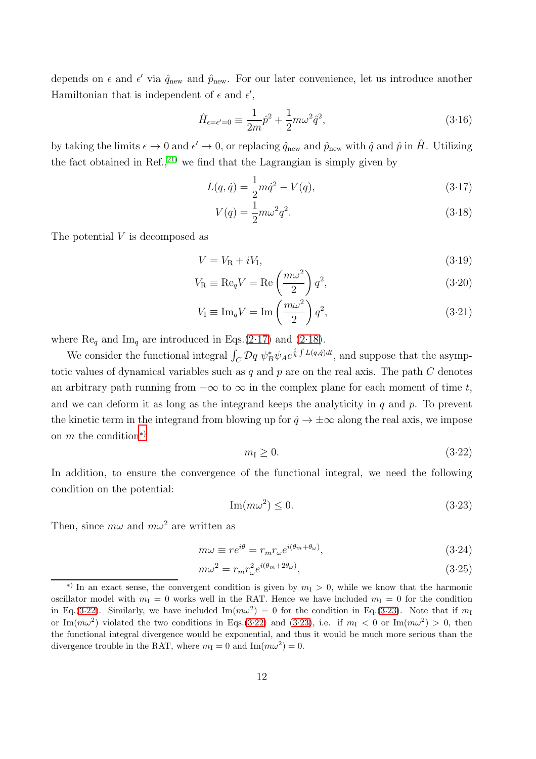depends on  $\epsilon$  and  $\epsilon'$  via  $\hat{q}_{\text{new}}$  and  $\hat{p}_{\text{new}}$ . For our later convenience, let us introduce another Hamiltonian that is independent of  $\epsilon$  and  $\epsilon'$ ,

<span id="page-11-5"></span>
$$
\hat{H}_{\epsilon=\epsilon'=0} \equiv \frac{1}{2m}\hat{p}^2 + \frac{1}{2}m\omega^2 \hat{q}^2,\tag{3.16}
$$

by taking the limits  $\epsilon \to 0$  and  $\epsilon' \to 0$ , or replacing  $\hat{q}_{\text{new}}$  and  $\hat{p}_{\text{new}}$  with  $\hat{q}$  and  $\hat{p}$  in  $\hat{H}$ . Utilizing the fact obtained in Ref., $^{21}$  we find that the Lagrangian is simply given by

$$
L(q, \dot{q}) = \frac{1}{2}m\dot{q}^2 - V(q),\tag{3.17}
$$

$$
V(q) = \frac{1}{2}m\omega^2 q^2.
$$
\n
$$
(3.18)
$$

The potential V is decomposed as

<span id="page-11-4"></span>
$$
V = V_{\rm R} + iV_{\rm I},\tag{3.19}
$$

$$
V_{\rm R} \equiv \text{Re}_q V = \text{Re}\left(\frac{m\omega^2}{2}\right) q^2,\tag{3.20}
$$

$$
V_{\rm I} \equiv \text{Im}_q V = \text{Im}\left(\frac{m\omega^2}{2}\right) q^2,\tag{3.21}
$$

where  $\text{Re}_q$  and  $\text{Im}_q$  are introduced in Eqs.[\(2.17\)](#page-7-1) and [\(2.18\)](#page-7-1).

We consider the functional integral  $\int_C \mathcal{D}q \ \psi_B^* \psi_A e^{\frac{i}{\hbar} \int L(q,\dot{q})dt}$ , and suppose that the asymptotic values of dynamical variables such as q and p are on the real axis. The path  $C$  denotes an arbitrary path running from  $-\infty$  to  $\infty$  in the complex plane for each moment of time t, and we can deform it as long as the integrand keeps the analyticity in  $q$  and  $p$ . To prevent the kinetic term in the integrand from blowing up for  $\dot{q} \to \pm \infty$  along the real axis, we impose on  $m$  the condition<sup>\*)</sup>

<span id="page-11-1"></span>
$$
m_{\rm I} \ge 0. \tag{3.22}
$$

In addition, to ensure the convergence of the functional integral, we need the following condition on the potential:

<span id="page-11-2"></span>
$$
\operatorname{Im}(m\omega^2) \le 0. \tag{3.23}
$$

Then, since  $m\omega$  and  $m\omega^2$  are written as

<span id="page-11-3"></span>
$$
m\omega \equiv re^{i\theta} = r_m r_\omega e^{i(\theta_m + \theta_\omega)},\tag{3.24}
$$

$$
m\omega^2 = r_m r_\omega^2 e^{i(\theta_m + 2\theta_\omega)},\tag{3.25}
$$

<span id="page-11-0"></span><sup>\*)</sup> In an exact sense, the convergent condition is given by  $m<sub>I</sub> > 0$ , while we know that the harmonic oscillator model with  $m_1 = 0$  works well in the RAT. Hence we have included  $m_1 = 0$  for the condition in Eq.[\(3.22\)](#page-11-1). Similarly, we have included  $\text{Im}(m\omega^2) = 0$  for the condition in Eq.[\(3.23\)](#page-11-2). Note that if  $m_1$ or Im $(m\omega^2)$  violated the two conditions in Eqs.[\(3.22\)](#page-11-1) and [\(3.23\)](#page-11-2), i.e. if  $m<sub>I</sub> < 0$  or Im $(m\omega^2) > 0$ , then the functional integral divergence would be exponential, and thus it would be much more serious than the divergence trouble in the RAT, where  $m_{\rm I} = 0$  and  $\text{Im}(m\omega^2) = 0$ .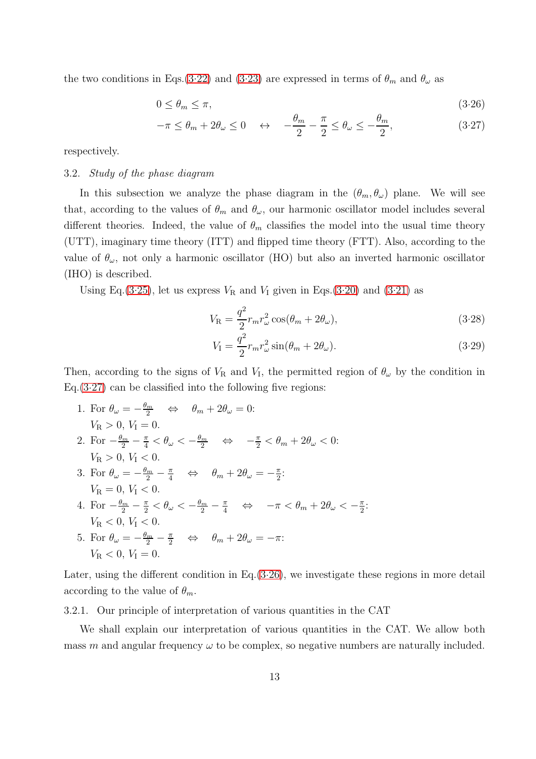the two conditions in Eqs.[\(3.22\)](#page-11-1) and [\(3.23\)](#page-11-2) are expressed in terms of  $\theta_m$  and  $\theta_\omega$  as

<span id="page-12-0"></span>
$$
0 \le \theta_m \le \pi,\tag{3.26}
$$

$$
-\pi \le \theta_m + 2\theta_\omega \le 0 \quad \leftrightarrow \quad -\frac{\theta_m}{2} - \frac{\pi}{2} \le \theta_\omega \le -\frac{\theta_m}{2},\tag{3.27}
$$

respectively.

#### 3.2. *Study of the phase diagram*

In this subsection we analyze the phase diagram in the  $(\theta_m, \theta_\omega)$  plane. We will see that, according to the values of  $\theta_m$  and  $\theta_\omega$ , our harmonic oscillator model includes several different theories. Indeed, the value of  $\theta_m$  classifies the model into the usual time theory (UTT), imaginary time theory (ITT) and flipped time theory (FTT). Also, according to the value of  $\theta_{\omega}$ , not only a harmonic oscillator (HO) but also an inverted harmonic oscillator (IHO) is described.

Using Eq.[\(3.25\)](#page-11-3), let us express  $V_R$  and  $V_I$  given in Eqs.[\(3.20\)](#page-11-4) and [\(3.21\)](#page-11-4) as

<span id="page-12-2"></span>
$$
V_{\rm R} = \frac{q^2}{2} r_m r_\omega^2 \cos(\theta_m + 2\theta_\omega),\tag{3.28}
$$

$$
V_{\rm I} = \frac{q^2}{2} r_m r_\omega^2 \sin(\theta_m + 2\theta_\omega). \tag{3.29}
$$

Then, according to the signs of  $V_R$  and  $V_I$ , the permitted region of  $\theta_\omega$  by the condition in  $Eq.(3.27)$  $Eq.(3.27)$  can be classified into the following five regions:

1. For  $\theta_{\omega} = -\frac{\theta_m}{2} \quad \Leftrightarrow \quad \theta_m + 2\theta_{\omega} = 0$ :  $V_{\rm R} > 0, V_{\rm I} = 0.$ 2. For  $-\frac{\theta_m}{2} - \frac{\pi}{4} < \theta_\omega < -\frac{\theta_m}{2} \quad \Leftrightarrow \quad -\frac{\pi}{2} < \theta_m + 2\theta_\omega < 0$ :  $V_{\rm R} > 0, V_{\rm I} < 0.$ 3. For  $\theta_{\omega} = -\frac{\theta_m}{2} - \frac{\pi}{4} \quad \Leftrightarrow \quad \theta_m + 2\theta_{\omega} = -\frac{\pi}{2}$  $\frac{\pi}{2}$ :  $V_{\rm R} = 0, V_{\rm I} < 0.$ 4. For  $-\frac{\theta_m}{2} - \frac{\pi}{2} < \theta_\omega < -\frac{\theta_m}{2} - \frac{\pi}{4} \quad \Leftrightarrow \quad -\pi < \theta_m + 2\theta_\omega < -\frac{\pi}{2}$  $\frac{\pi}{2}$ :  $V_{\rm B} < 0$ ,  $V_{\rm I} < 0$ . 5. For  $\theta_{\omega} = -\frac{\theta_m}{2} - \frac{\pi}{2} \quad \Leftrightarrow \quad \theta_m + 2\theta_{\omega} = -\pi$ :

$$
V_{\rm R}<0,\,V_{\rm I}=0.
$$

<span id="page-12-1"></span>Later, using the different condition in Eq.[\(3.26\)](#page-12-0), we investigate these regions in more detail according to the value of  $\theta_m$ .

## 3.2.1. Our principle of interpretation of various quantities in the CAT

We shall explain our interpretation of various quantities in the CAT. We allow both mass m and angular frequency  $\omega$  to be complex, so negative numbers are naturally included.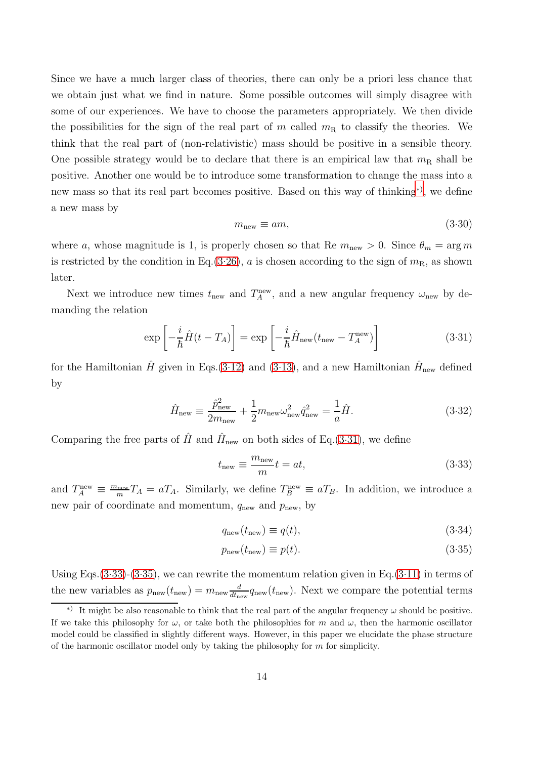Since we have a much larger class of theories, there can only be a priori less chance that we obtain just what we find in nature. Some possible outcomes will simply disagree with some of our experiences. We have to choose the parameters appropriately. We then divide the possibilities for the sign of the real part of m called  $m<sub>R</sub>$  to classify the theories. We think that the real part of (non-relativistic) mass should be positive in a sensible theory. One possible strategy would be to declare that there is an empirical law that  $m<sub>R</sub>$  shall be positive. Another one would be to introduce some transformation to change the mass into a new mass so that its real part becomes positive. Based on this way of thinking[∗](#page-13-0)) , we define a new mass by

<span id="page-13-5"></span>
$$
m_{\text{new}} \equiv am,\tag{3.30}
$$

where a, whose magnitude is 1, is properly chosen so that Re  $m<sub>new</sub> > 0$ . Since  $\theta_m = \arg m$ is restricted by the condition in Eq.[\(3.26\)](#page-12-0), a is chosen according to the sign of  $m<sub>R</sub>$ , as shown later.

Next we introduce new times  $t_{\text{new}}$  and  $T_A^{\text{new}}$ , and a new angular frequency  $\omega_{\text{new}}$  by demanding the relation

<span id="page-13-1"></span>
$$
\exp\left[-\frac{i}{\hbar}\hat{H}(t-T_A)\right] = \exp\left[-\frac{i}{\hbar}\hat{H}_{\text{new}}(t_{\text{new}}-T_A^{\text{new}})\right]
$$
(3.31)

for the Hamiltonian  $\hat{H}$  given in Eqs.[\(3.12\)](#page-10-1) and [\(3.13\)](#page-10-1), and a new Hamiltonian  $\hat{H}_{\text{new}}$  defined by

<span id="page-13-4"></span>
$$
\hat{H}_{\text{new}} \equiv \frac{\hat{p}_{\text{new}}^2}{2m_{\text{new}}} + \frac{1}{2}m_{\text{new}}\omega_{\text{new}}^2\hat{q}_{\text{new}}^2 = \frac{1}{a}\hat{H}.\tag{3.32}
$$

Comparing the free parts of  $\hat{H}$  and  $\hat{H}_{\text{new}}$  on both sides of Eq.[\(3.31\)](#page-13-1), we define

<span id="page-13-2"></span>
$$
t_{\text{new}} \equiv \frac{m_{\text{new}}}{m}t = at,\tag{3.33}
$$

and  $T_A^{\text{new}} \equiv \frac{m_{\text{new}}}{m}$  $\frac{\text{new}}{m}T_A = aT_A$ . Similarly, we define  $T_B^{\text{new}} \equiv aT_B$ . In addition, we introduce a new pair of coordinate and momentum,  $q_{\text{new}}$  and  $p_{\text{new}}$ , by

<span id="page-13-3"></span>
$$
q_{\text{new}}(t_{\text{new}}) \equiv q(t),\tag{3.34}
$$

$$
p_{\text{new}}(t_{\text{new}}) \equiv p(t). \tag{3.35}
$$

Using Eqs.  $(3.33)-(3.35)$  $(3.33)-(3.35)$  $(3.33)-(3.35)$ , we can rewrite the momentum relation given in Eq.  $(3.11)$  in terms of the new variables as  $p_{\text{new}}(t_{\text{new}}) = m_{\text{new}} \frac{d}{dt_{\text{new}}}$  $\frac{d}{dt_{\text{new}}}q_{\text{new}}(t_{\text{new}})$ . Next we compare the potential terms

<span id="page-13-0"></span><sup>\*)</sup> It might be also reasonable to think that the real part of the angular frequency  $\omega$  should be positive. If we take this philosophy for  $\omega$ , or take both the philosophies for m and  $\omega$ , then the harmonic oscillator model could be classified in slightly different ways. However, in this paper we elucidate the phase structure of the harmonic oscillator model only by taking the philosophy for  $m$  for simplicity.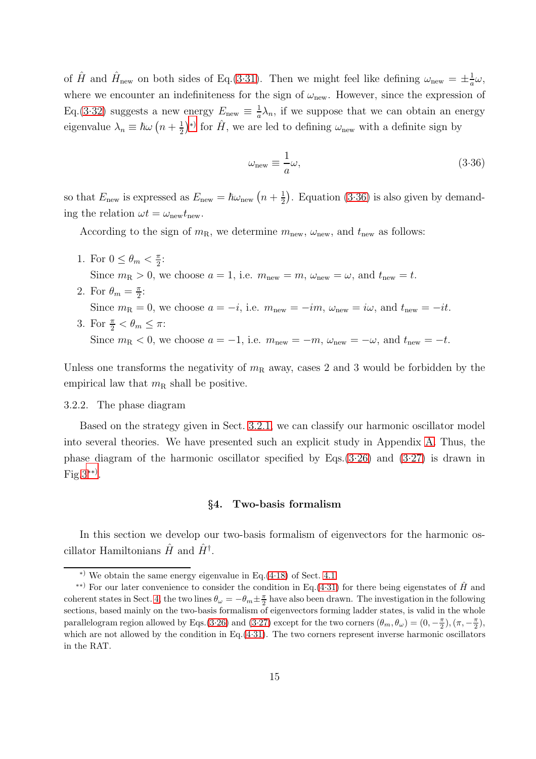of  $\hat{H}$  and  $\hat{H}_{\text{new}}$  on both sides of Eq.[\(3.31\)](#page-13-1). Then we might feel like defining  $\omega_{\text{new}} = \pm \frac{1}{a}$  $\frac{1}{a}\omega,$ where we encounter an indefiniteness for the sign of  $\omega_{\rm new}$ . However, since the expression of Eq.[\(3.32\)](#page-13-4) suggests a new energy  $E_{\text{new}} \equiv \frac{1}{a}$  $\frac{1}{a}\lambda_n$ , if we suppose that we can obtain an energy eigenvalue  $\lambda_n \equiv \hbar \omega \left(n + \frac{1}{2}\right)$  $(\frac{1}{2})^*$  for  $\hat{H}$ , we are led to defining  $\omega_{\text{new}}$  with a definite sign by

<span id="page-14-2"></span>
$$
\omega_{\text{new}} \equiv \frac{1}{a}\omega,\tag{3.36}
$$

so that  $E_{\text{new}}$  is expressed as  $E_{\text{new}} = \hbar \omega_{\text{new}} (n + \frac{1}{2})$  $\frac{1}{2}$ ). Equation [\(3.36\)](#page-14-2) is also given by demanding the relation  $\omega t = \omega_{\text{new}} t_{\text{new}}$ .

According to the sign of  $m_R$ , we determine  $m_{\text{new}}$ ,  $\omega_{\text{new}}$ , and  $t_{\text{new}}$  as follows:

- 1. For  $0 \leq \theta_m < \frac{\pi}{2}$  $\frac{\pi}{2}$ : Since  $m_R > 0$ , we choose  $a = 1$ , i.e.  $m_{\text{new}} = m$ ,  $\omega_{\text{new}} = \omega$ , and  $t_{\text{new}} = t$ .
- 2. For  $\theta_m = \frac{\pi}{2}$  $\frac{\pi}{2}$ : Since  $m_R = 0$ , we choose  $a = -i$ , i.e.  $m_{\text{new}} = -im$ ,  $\omega_{\text{new}} = i\omega$ , and  $t_{\text{new}} = -it$ . 3. For  $\frac{\pi}{2} < \theta_m \leq \pi$ :

Since  $m_R < 0$ , we choose  $a = -1$ , i.e.  $m_{new} = -m$ ,  $\omega_{new} = -\omega$ , and  $t_{new} = -t$ .

<span id="page-14-4"></span>Unless one transforms the negativity of  $m_R$  away, cases 2 and 3 would be forbidden by the empirical law that  $m_R$  shall be positive.

## 3.2.2. The phase diagram

Based on the strategy given in Sect. [3.2.1,](#page-12-1) we can classify our harmonic oscillator model into several theories. We have presented such an explicit study in Appendix [A.](#page-36-0) Thus, the phase diagram of the harmonic oscillator specified by Eqs.[\(3.26\)](#page-12-0) and [\(3.27\)](#page-12-0) is drawn in Fig[.3](#page-15-0)[∗∗](#page-14-3)) .

## §4. Two-basis formalism

<span id="page-14-0"></span>In this section we develop our two-basis formalism of eigenvectors for the harmonic oscillator Hamiltonians  $\hat{H}$  and  $\hat{H}^{\dagger}$ .

<span id="page-14-3"></span><span id="page-14-1"></span><sup>∗</sup>) We obtain the same energy eigenvalue in Eq.[\(4.18\)](#page-16-0) of Sect. [4.1.](#page-15-1)

<sup>&</sup>lt;sup>\*\*)</sup> For our later convenience to consider the condition in Eq.[\(4.31\)](#page-19-0) for there being eigenstates of  $\hat{H}$  and coherent states in Sect. [4,](#page-14-0) the two lines  $\theta_{\omega} = -\theta_m \pm \frac{\pi}{2}$  $\frac{\pi}{2}$  have also been drawn. The investigation in the following sections, based mainly on the two-basis formalism of eigenvectors forming ladder states, is valid in the whole parallelogram region allowed by Eqs.[\(3.26\)](#page-12-0) and [\(3.27\)](#page-12-0) except for the two corners  $(\theta_m, \theta_\omega) = (0, -\frac{\pi}{2})$  $(\frac{\pi}{2}),(\pi,-\frac{\pi}{2})$  $\frac{\pi}{2}$ ), which are not allowed by the condition in Eq.[\(4.31\)](#page-19-0). The two corners represent inverse harmonic oscillators in the RAT.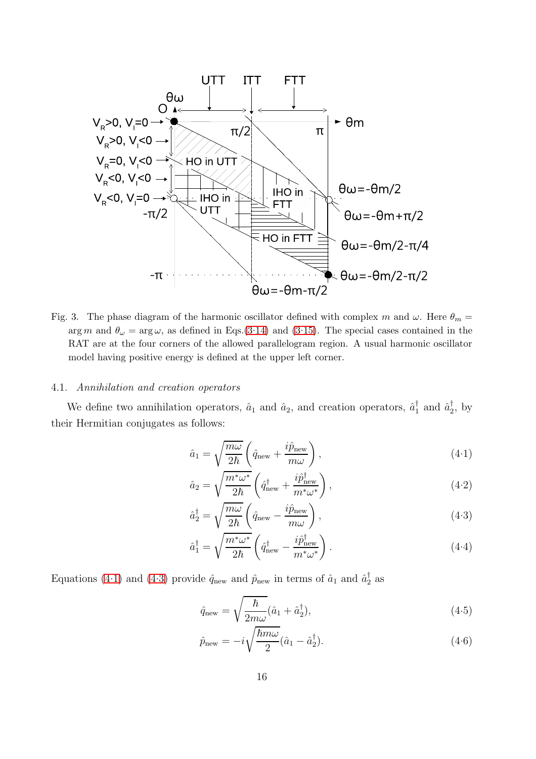

<span id="page-15-0"></span>Fig. 3. The phase diagram of the harmonic oscillator defined with complex m and  $\omega$ . Here  $\theta_m =$ arg m and  $\theta_{\omega} = \arg \omega$ , as defined in Eqs.[\(3.14\)](#page-10-2) and [\(3.15\)](#page-10-2). The special cases contained in the RAT are at the four corners of the allowed parallelogram region. A usual harmonic oscillator model having positive energy is defined at the upper left corner.

#### <span id="page-15-1"></span>4.1. *Annihilation and creation operators*

We define two annihilation operators,  $\hat{a}_1$  and  $\hat{a}_2$ , and creation operators,  $\hat{a}_1^{\dagger}$  and  $\hat{a}_2^{\dagger}$ , by their Hermitian conjugates as follows:

<span id="page-15-2"></span>
$$
\hat{a}_1 = \sqrt{\frac{m\omega}{2\hbar}} \left( \hat{q}_{\text{new}} + \frac{i\hat{p}_{\text{new}}}{m\omega} \right),\tag{4.1}
$$

$$
\hat{a}_2 = \sqrt{\frac{m^*\omega^*}{2\hbar}} \left(\hat{q}_{\text{new}}^\dagger + \frac{i\hat{p}_{\text{new}}^\dagger}{m^*\omega^*}\right),\tag{4.2}
$$

$$
\hat{a}_2^{\dagger} = \sqrt{\frac{m\omega}{2\hbar}} \left( \hat{q}_{\text{new}} - \frac{i\hat{p}_{\text{new}}}{m\omega} \right),\tag{4-3}
$$

$$
\hat{a}_1^{\dagger} = \sqrt{\frac{m^* \omega^*}{2\hbar}} \left( \hat{q}_{\text{new}}^{\dagger} - \frac{i \hat{p}_{\text{new}}^{\dagger}}{m^* \omega^*} \right). \tag{4-4}
$$

Equations [\(4.1\)](#page-15-2) and [\(4.3\)](#page-15-2) provide  $\hat{q}_{\text{new}}$  and  $\hat{p}_{\text{new}}$  in terms of  $\hat{a}_1$  and  $\hat{a}_2^{\dagger}$  as

<span id="page-15-3"></span>
$$
\hat{q}_{\text{new}} = \sqrt{\frac{\hbar}{2m\omega}} (\hat{a}_1 + \hat{a}_2^{\dagger}), \tag{4.5}
$$

$$
\hat{p}_{\text{new}} = -i\sqrt{\frac{\hbar m\omega}{2}}(\hat{a}_1 - \hat{a}_2^{\dagger}).\tag{4-6}
$$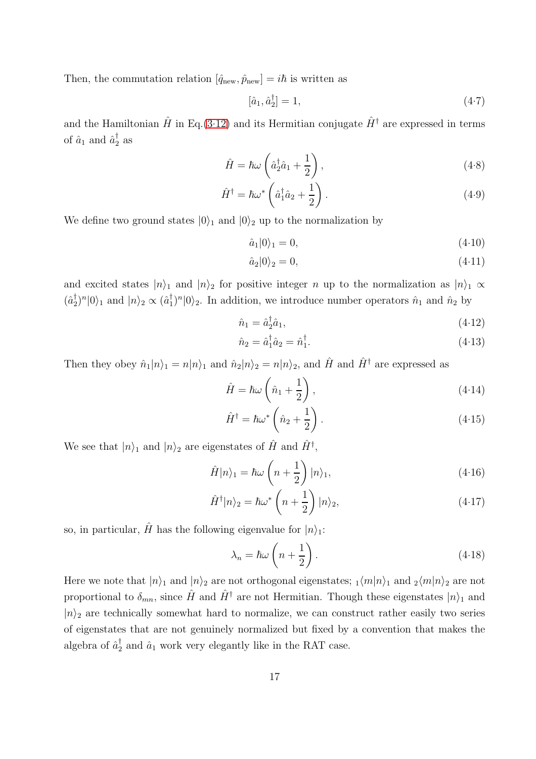Then, the commutation relation  $[\hat{q}_{\text{new}}, \hat{p}_{\text{new}}] = i\hbar$  is written as

$$
[\hat{a}_1, \hat{a}_2^{\dagger}] = 1,\tag{4-7}
$$

and the Hamiltonian  $\hat{H}$  in Eq.[\(3.12\)](#page-10-1) and its Hermitian conjugate  $\hat{H}^{\dagger}$  are expressed in terms of  $\hat{a}_1$  and  $\hat{a}_2^{\dagger}$  as

$$
\hat{H} = \hbar\omega \left(\hat{a}_2^{\dagger}\hat{a}_1 + \frac{1}{2}\right),\tag{4.8}
$$

$$
\hat{H}^{\dagger} = \hbar \omega^* \left( \hat{a}_1^{\dagger} \hat{a}_2 + \frac{1}{2} \right). \tag{4.9}
$$

We define two ground states  $|0\rangle_1$  and  $|0\rangle_2$  up to the normalization by

<span id="page-16-2"></span>
$$
\hat{a}_1|0\rangle_1 = 0,\t\t(4.10)
$$

$$
\hat{a}_2|0\rangle_2 = 0,\t\t(4.11)
$$

and excited states  $|n\rangle_1$  and  $|n\rangle_2$  for positive integer n up to the normalization as  $|n\rangle_1 \propto$  $(\hat{a}_2^{\dagger})^n |0\rangle_1$  and  $|n\rangle_2 \propto (\hat{a}_1^{\dagger})^n |0\rangle_2$ . In addition, we introduce number operators  $\hat{n}_1$  and  $\hat{n}_2$  by

<span id="page-16-3"></span>
$$
\hat{n}_1 = \hat{a}_2^{\dagger} \hat{a}_1,\tag{4-12}
$$

$$
\hat{n}_2 = \hat{a}_1^\dagger \hat{a}_2 = \hat{n}_1^\dagger. \tag{4.13}
$$

Then they obey  $\hat{n}_1|n\rangle_1 = n|n\rangle_1$  and  $\hat{n}_2|n\rangle_2 = n|n\rangle_2$ , and  $\hat{H}$  and  $\hat{H}^{\dagger}$  are expressed as

<span id="page-16-4"></span>
$$
\hat{H} = \hbar\omega \left(\hat{n}_1 + \frac{1}{2}\right),\tag{4.14}
$$

$$
\hat{H}^{\dagger} = \hbar \omega^* \left( \hat{n}_2 + \frac{1}{2} \right). \tag{4.15}
$$

We see that  $|n\rangle_1$  and  $|n\rangle_2$  are eigenstates of  $\hat{H}$  and  $\hat{H}^{\dagger}$ ,

<span id="page-16-1"></span>
$$
\hat{H}|n\rangle_1 = \hbar\omega\left(n + \frac{1}{2}\right)|n\rangle_1,\tag{4.16}
$$

$$
\hat{H}^{\dagger}|n\rangle_{2} = \hbar\omega^{*}\left(n+\frac{1}{2}\right)|n\rangle_{2},\qquad(4.17)
$$

so, in particular,  $\hat{H}$  has the following eigenvalue for  $|n\rangle_1$ :

<span id="page-16-0"></span>
$$
\lambda_n = \hbar \omega \left( n + \frac{1}{2} \right). \tag{4.18}
$$

Here we note that  $|n\rangle_1$  and  $|n\rangle_2$  are not orthogonal eigenstates;  $\frac{1}{m}|n\rangle_1$  and  $\frac{1}{2}\langle m|n\rangle_2$  are not proportional to  $\delta_{mn}$ , since  $\hat{H}$  and  $\hat{H}^{\dagger}$  are not Hermitian. Though these eigenstates  $|n\rangle_1$  and  $|n\rangle$ <sub>2</sub> are technically somewhat hard to normalize, we can construct rather easily two series of eigenstates that are not genuinely normalized but fixed by a convention that makes the algebra of  $\hat{a}_2^{\dagger}$  and  $\hat{a}_1$  work very elegantly like in the RAT case.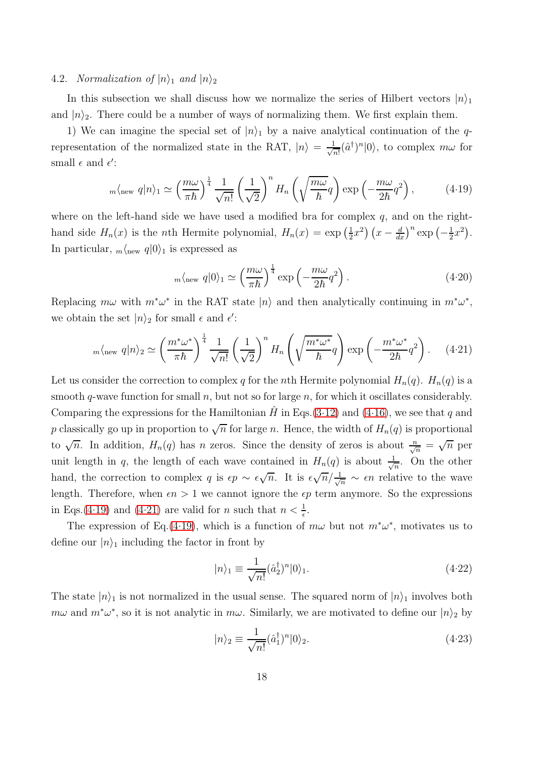## <span id="page-17-5"></span>4.2. *Normalization of*  $|n\rangle_1$  *and*  $|n\rangle_2$

In this subsection we shall discuss how we normalize the series of Hilbert vectors  $|n\rangle_1$ and  $|n\rangle_2$ . There could be a number of ways of normalizing them. We first explain them.

1) We can imagine the special set of  $|n\rangle$  by a naive analytical continuation of the qrepresentation of the normalized state in the RAT,  $|n\rangle = \frac{1}{\sqrt{n}}$  $\frac{1}{n!}(\hat{a}^{\dagger})^n|0\rangle$ , to complex  $m\omega$  for small  $\epsilon$  and  $\epsilon'$ :

<span id="page-17-0"></span>
$$
m\langle \text{new } q | n \rangle_1 \simeq \left(\frac{m\omega}{\pi\hbar}\right)^{\frac{1}{4}} \frac{1}{\sqrt{n!}} \left(\frac{1}{\sqrt{2}}\right)^n H_n\left(\sqrt{\frac{m\omega}{\hbar}}q\right) \exp\left(-\frac{m\omega}{2\hbar}q^2\right),\tag{4.19}
$$

where on the left-hand side we have used a modified bra for complex  $q$ , and on the righthand side  $H_n(x)$  is the *n*th Hermite polynomial,  $H_n(x) = \exp\left(\frac{1}{2}\right)$  $\frac{1}{2}x^2\left(x-\frac{d}{dx}\right)^n \exp\left(-\frac{1}{2}\right)$  $(\frac{1}{2}x^2)$ . In particular,  $_m\langle n \text{e} \rangle$  q|0} is expressed as

<span id="page-17-4"></span>
$$
m\langle \text{new } q | 0 \rangle_1 \simeq \left(\frac{m\omega}{\pi\hbar}\right)^{\frac{1}{4}} \exp\left(-\frac{m\omega}{2\hbar}q^2\right). \tag{4.20}
$$

Replacing  $m\omega$  with  $m^*\omega^*$  in the RAT state  $|n\rangle$  and then analytically continuing in  $m^*\omega^*$ , we obtain the set  $|n\rangle_2$  for small  $\epsilon$  and  $\epsilon'$ :

<span id="page-17-1"></span>
$$
{}_m\langle_{\text{new}} q | n \rangle_2 \simeq \left(\frac{m^* \omega^*}{\pi \hbar}\right)^{\frac{1}{4}} \frac{1}{\sqrt{n!}} \left(\frac{1}{\sqrt{2}}\right)^n H_n\left(\sqrt{\frac{m^* \omega^*}{\hbar}} q\right) \exp\left(-\frac{m^* \omega^*}{2\hbar} q^2\right). \tag{4.21}
$$

Let us consider the correction to complex q for the nth Hermite polynomial  $H_n(q)$ .  $H_n(q)$  is a smooth q-wave function for small  $n$ , but not so for large  $n$ , for which it oscillates considerably. Comparing the expressions for the Hamiltonian  $H$  in Eqs.[\(3.12\)](#page-10-1) and [\(4.16\)](#page-16-1), we see that q and p classically go up in proportion to  $\sqrt{n}$  for large n. Hence, the width of  $H_n(q)$  is proportional to  $\sqrt{n}$ . In addition,  $H_n(q)$  has *n* zeros. Since the density of zeros is about  $\frac{n}{\sqrt{n}} = \sqrt{n}$  per unit length in q, the length of each wave contained in  $H_n(q)$  is about  $\frac{1}{\sqrt{2}}$  $\frac{1}{n}$ . On the other hand, the correction to complex q is  $\epsilon p \sim \epsilon \sqrt{n}$ . It is  $\epsilon \sqrt{n}/\frac{1}{\sqrt{n}} \sim \epsilon n$  relative to the wave length. Therefore, when  $\epsilon n > 1$  we cannot ignore the  $\epsilon p$  term anymore. So the expressions in Eqs.[\(4.19\)](#page-17-0) and [\(4.21\)](#page-17-1) are valid for *n* such that  $n < \frac{1}{\epsilon}$ .

The expression of Eq.[\(4.19\)](#page-17-0), which is a function of  $m\omega$  but not  $m^*\omega^*$ , motivates us to define our  $|n\rangle_1$  including the factor in front by

<span id="page-17-2"></span>
$$
|n\rangle_1 \equiv \frac{1}{\sqrt{n!}} (\hat{a}_2^{\dagger})^n |0\rangle_1.
$$
 (4.22)

The state  $|n\rangle_1$  is not normalized in the usual sense. The squared norm of  $|n\rangle_1$  involves both  $m\omega$  and  $m^*\omega^*$ , so it is not analytic in  $m\omega$ . Similarly, we are motivated to define our  $|n\rangle_2$  by

<span id="page-17-3"></span>
$$
|n\rangle_2 \equiv \frac{1}{\sqrt{n!}} (\hat{a}_1^\dagger)^n |0\rangle_2.
$$
 (4.23)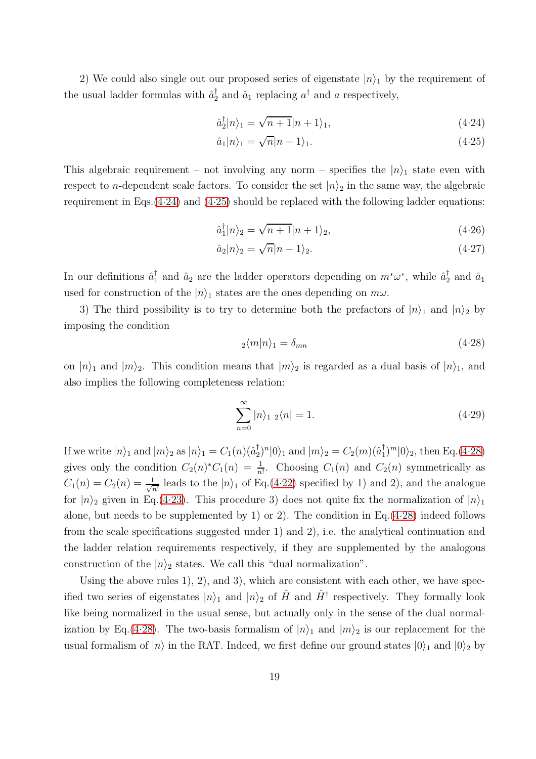2) We could also single out our proposed series of eigenstate  $|n\rangle_1$  by the requirement of the usual ladder formulas with  $\hat{a}_2^{\dagger}$  and  $\hat{a}_1$  replacing  $a^{\dagger}$  and a respectively,

<span id="page-18-0"></span>
$$
\hat{a}_2^{\dagger}|n\rangle_1 = \sqrt{n+1}|n+1\rangle_1,\tag{4.24}
$$

$$
\hat{a}_1|n\rangle_1 = \sqrt{n}|n-1\rangle_1. \tag{4.25}
$$

This algebraic requirement – not involving any norm – specifies the  $|n\rangle_1$  state even with respect to *n*-dependent scale factors. To consider the set  $|n\rangle_2$  in the same way, the algebraic requirement in Eqs.  $(4.24)$  and  $(4.25)$  should be replaced with the following ladder equations:

<span id="page-18-2"></span>
$$
\hat{a}_1^{\dagger}|n\rangle_2 = \sqrt{n+1}|n+1\rangle_2,\tag{4.26}
$$

$$
\hat{a}_2|n\rangle_2 = \sqrt{n}|n-1\rangle_2. \tag{4.27}
$$

In our definitions  $\hat{a}_1^{\dagger}$  and  $\hat{a}_2$  are the ladder operators depending on  $m^*\omega^*$ , while  $\hat{a}_2^{\dagger}$  and  $\hat{a}_1$ used for construction of the  $|n\rangle_1$  states are the ones depending on  $m\omega$ .

3) The third possibility is to try to determine both the prefactors of  $|n\rangle_1$  and  $|n\rangle_2$  by imposing the condition

<span id="page-18-1"></span>
$$
_{2}\langle m|n\rangle_{1}=\delta_{mn} \tag{4.28}
$$

on  $|n\rangle_1$  and  $|m\rangle_2$ . This condition means that  $|m\rangle_2$  is regarded as a dual basis of  $|n\rangle_1$ , and also implies the following completeness relation:

$$
\sum_{n=0}^{\infty} |n\rangle_{1\ 2}\langle n| = 1. \tag{4.29}
$$

If we write  $|n\rangle_1$  and  $|m\rangle_2$  as  $|n\rangle_1 = C_1(n)(\hat{a}_2^{\dagger})^n |0\rangle_1$  and  $|m\rangle_2 = C_2(m)(\hat{a}_1^{\dagger})^m |0\rangle_2$ , then Eq.[\(4.28\)](#page-18-1) gives only the condition  $C_2(n)^*C_1(n) = \frac{1}{n!}$ . Choosing  $C_1(n)$  and  $C_2(n)$  symmetrically as  $C_1(n) = C_2(n) = \frac{1}{\sqrt{2}}$  $\frac{1}{n!}$  leads to the  $|n\rangle_1$  of Eq.[\(4.22\)](#page-17-2) specified by 1) and 2), and the analogue for  $|n\rangle_2$  given in Eq.[\(4.23\)](#page-17-3). This procedure 3) does not quite fix the normalization of  $|n\rangle_1$ alone, but needs to be supplemented by 1) or 2). The condition in Eq.  $(4.28)$  indeed follows from the scale specifications suggested under 1) and 2), i.e. the analytical continuation and the ladder relation requirements respectively, if they are supplemented by the analogous construction of the  $|n\rangle_2$  states. We call this "dual normalization".

Using the above rules 1), 2), and 3), which are consistent with each other, we have specified two series of eigenstates  $|n\rangle_1$  and  $|n\rangle_2$  of  $\hat{H}$  and  $\hat{H}^{\dagger}$  respectively. They formally look like being normalized in the usual sense, but actually only in the sense of the dual normal-ization by Eq.[\(4.28\)](#page-18-1). The two-basis formalism of  $|n\rangle_1$  and  $|m\rangle_2$  is our replacement for the usual formalism of  $|n\rangle$  in the RAT. Indeed, we first define our ground states  $|0\rangle_1$  and  $|0\rangle_2$  by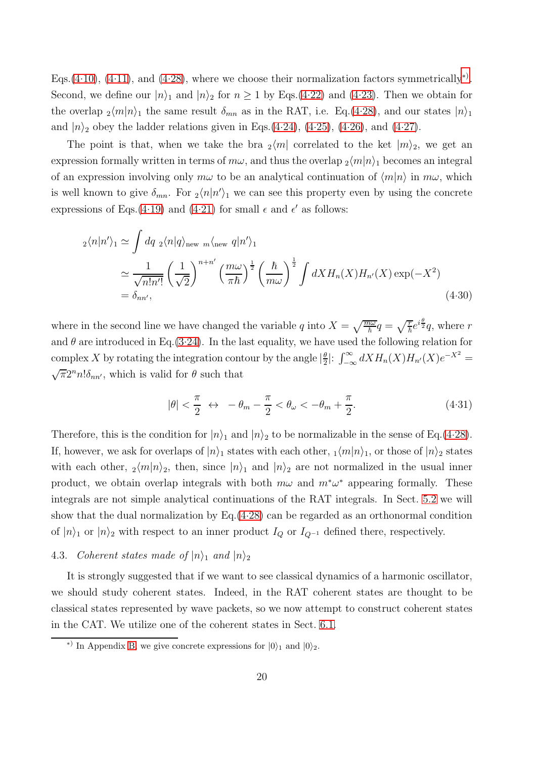Eqs.[\(4.10\)](#page-16-2), [\(4.11\)](#page-16-2), and [\(4.28\)](#page-18-1), where we choose their normalization factors symmetrically<sup>\*)</sup>. Second, we define our  $|n\rangle_1$  and  $|n\rangle_2$  for  $n \ge 1$  by Eqs.[\(4.22\)](#page-17-2) and [\(4.23\)](#page-17-3). Then we obtain for the overlap  $_2\langle m|n\rangle_1$  the same result  $\delta_{mn}$  as in the RAT, i.e. Eq.[\(4.28\)](#page-18-1), and our states  $|n\rangle_1$ and  $|n\rangle$ <sub>2</sub> obey the ladder relations given in Eqs.[\(4.24\)](#page-18-0), [\(4.25\)](#page-18-0), [\(4.26\)](#page-18-2), and [\(4.27\)](#page-18-2).

The point is that, when we take the bra  $_2\langle m|$  correlated to the ket  $|m\rangle_2$ , we get an expression formally written in terms of  $m\omega$ , and thus the overlap  $\frac{1}{2}\langle m|n\rangle_1$  becomes an integral of an expression involving only  $m\omega$  to be an analytical continuation of  $\langle m|n\rangle$  in  $m\omega$ , which is well known to give  $\delta_{mn}$ . For  $\frac{1}{2}\langle n|n'\rangle_1$  we can see this property even by using the concrete expressions of Eqs.[\(4.19\)](#page-17-0) and [\(4.21\)](#page-17-1) for small  $\epsilon$  and  $\epsilon'$  as follows:

$$
_{2}\langle n|n'\rangle_{1} \simeq \int dq_{2}\langle n|q\rangle_{\text{new}} \, m\langle_{\text{new}} q|n'\rangle_{1}
$$
  
\n
$$
\simeq \frac{1}{\sqrt{n!n'!}} \left(\frac{1}{\sqrt{2}}\right)^{n+n'} \left(\frac{m\omega}{\pi\hbar}\right)^{\frac{1}{2}} \left(\frac{\hbar}{m\omega}\right)^{\frac{1}{2}} \int dX H_{n}(X) H_{n'}(X) \exp(-X^{2})
$$
  
\n
$$
= \delta_{nn'}, \tag{4.30}
$$

where in the second line we have changed the variable q into  $X = \sqrt{\frac{m\omega}{\hbar}}q = \sqrt{\frac{r}{\hbar}}e^{i\frac{\theta}{2}}q$ , where r and  $\theta$  are introduced in Eq.[\(3.24\)](#page-11-3). In the last equality, we have used the following relation for complex X by rotating the integration contour by the angle  $\left|\frac{\theta}{2}\right|$  $\frac{\theta}{2}$ :  $\int_{-\infty}^{\infty} dX H_n(X) H_{n'}(X) e^{-X^2}$  =  $\sqrt{\pi}2^n n! \delta_{nn'}$ , which is valid for  $\theta$  such that

<span id="page-19-0"></span>
$$
|\theta| < \frac{\pi}{2} \leftrightarrow -\theta_m - \frac{\pi}{2} < \theta_\omega < -\theta_m + \frac{\pi}{2}.\tag{4.31}
$$

Therefore, this is the condition for  $|n\rangle_1$  and  $|n\rangle_2$  to be normalizable in the sense of Eq.[\(4.28\)](#page-18-1). If, however, we ask for overlaps of  $|n\rangle_1$  states with each other,  $\frac{1}{m}|n\rangle_1$ , or those of  $|n\rangle_2$  states with each other,  $_2\langle m|n\rangle_2$ , then, since  $|n\rangle_1$  and  $|n\rangle_2$  are not normalized in the usual inner product, we obtain overlap integrals with both  $m\omega$  and  $m^*\omega^*$  appearing formally. These integrals are not simple analytical continuations of the RAT integrals. In Sect. [5.2](#page-23-0) we will show that the dual normalization by Eq.[\(4.28\)](#page-18-1) can be regarded as an orthonormal condition of  $|n\rangle$ <sub>1</sub> or  $|n\rangle$ <sub>2</sub> with respect to an inner product  $I_Q$  or  $I_{Q^{-1}}$  defined there, respectively.

## 4.3. *Coherent states made of*  $|n\rangle_1$  *and*  $|n\rangle_2$

It is strongly suggested that if we want to see classical dynamics of a harmonic oscillator, we should study coherent states. Indeed, in the RAT coherent states are thought to be classical states represented by wave packets, so we now attempt to construct coherent states in the CAT. We utilize one of the coherent states in Sect. [6.1.](#page-26-0)

<span id="page-19-1"></span><sup>&</sup>lt;sup>\*)</sup> In Appendix [B,](#page-38-0) we give concrete expressions for  $|0\rangle_1$  and  $|0\rangle_2$ .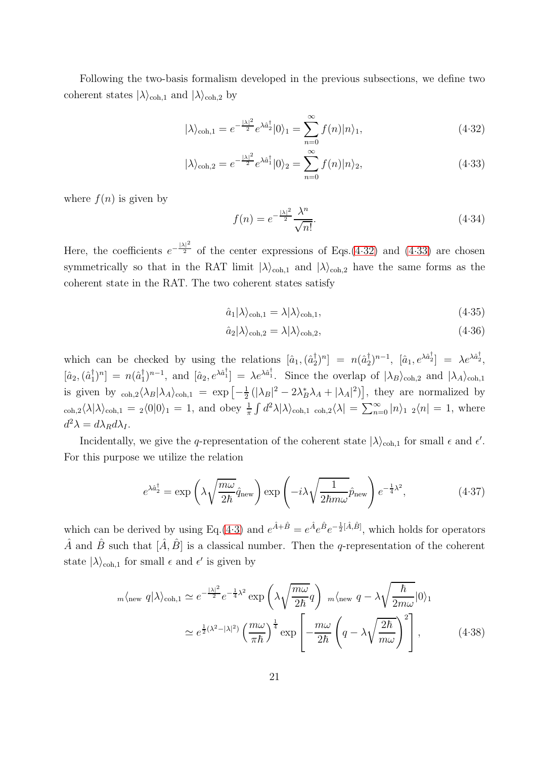Following the two-basis formalism developed in the previous subsections, we define two coherent states  $|\lambda\rangle_{coh,1}$  and  $|\lambda\rangle_{coh,2}$  by

<span id="page-20-0"></span>
$$
|\lambda\rangle_{\text{coh},1} = e^{-\frac{|\lambda|^2}{2}} e^{\lambda \hat{a}_2^{\dagger}} |0\rangle_1 = \sum_{n=0}^{\infty} f(n) |n\rangle_1, \tag{4.32}
$$

$$
|\lambda\rangle_{\text{coh},2} = e^{-\frac{|\lambda|^2}{2}} e^{\lambda \hat{a}_1^{\dagger}} |0\rangle_2 = \sum_{n=0}^{\infty} f(n) |n\rangle_2, \tag{4.33}
$$

where  $f(n)$  is given by

<span id="page-20-3"></span>
$$
f(n) = e^{-\frac{|\lambda|^2}{2}} \frac{\lambda^n}{\sqrt{n!}}.
$$
\n
$$
(4.34)
$$

Here, the coefficients  $e^{-\frac{|\lambda|^2}{2}}$  of the center expressions of Eqs.[\(4.32\)](#page-20-0) and [\(4.33\)](#page-20-0) are chosen symmetrically so that in the RAT limit  $|\lambda\rangle_{coh,1}$  and  $|\lambda\rangle_{coh,2}$  have the same forms as the coherent state in the RAT. The two coherent states satisfy

<span id="page-20-4"></span>
$$
\hat{a}_1|\lambda\rangle_{\text{coh},1} = \lambda|\lambda\rangle_{\text{coh},1},\tag{4.35}
$$

$$
\hat{a}_2|\lambda\rangle_{\text{coh},2} = \lambda|\lambda\rangle_{\text{coh},2},\tag{4.36}
$$

which can be checked by using the relations  $[\hat{a}_1, (\hat{a}_2^{\dagger})^n] = n(\hat{a}_2^{\dagger})^{n-1}$ ,  $[\hat{a}_1, e^{\lambda \hat{a}_2^{\dagger}}] = \lambda e^{\lambda \hat{a}_2^{\dagger}}$ ,  $[\hat{a}_2,(\hat{a}_1^{\dagger})^n] = n(\hat{a}_1^{\dagger})^{n-1}$ , and  $[\hat{a}_2, e^{\lambda \hat{a}_1^{\dagger}}] = \lambda e^{\lambda \hat{a}_1^{\dagger}}$ . Since the overlap of  $|\lambda_B\rangle_{\text{coh},2}$  and  $|\lambda_A\rangle_{\text{coh},1}$ is given by  $_{\text{coh},2}\langle \lambda_B|\lambda_A\rangle_{\text{coh},1} = \exp\left[-\frac{1}{2}\right]$  $\frac{1}{2} \left( |\lambda_B|^2 - 2\lambda_B^* \lambda_A + |\lambda_A|^2 \right)$ , they are normalized by  $\langle \cosh 2\langle \lambda | \lambda \rangle_{\text{coh},1} = 2 \langle 0 | 0 \rangle_1 = 1$ , and obey  $\frac{1}{\pi} \int d^2 \lambda | \lambda \rangle_{\text{coh},1}$   $\cosh 2\langle \lambda | = \sum_{n=0}^{\infty} |n \rangle_1 2 \langle n | = 1$ , where  $d^2\lambda = d\lambda_R d\lambda_I.$ 

Incidentally, we give the q-representation of the coherent state  $|\lambda\rangle_{coh,1}$  for small  $\epsilon$  and  $\epsilon'$ . For this purpose we utilize the relation

<span id="page-20-1"></span>
$$
e^{\lambda \hat{a}_2^{\dagger}} = \exp\left(\lambda \sqrt{\frac{m\omega}{2\hbar}} \hat{q}_{\text{new}}\right) \exp\left(-i\lambda \sqrt{\frac{1}{2\hbar m\omega}} \hat{p}_{\text{new}}\right) e^{-\frac{1}{4}\lambda^2},\tag{4.37}
$$

which can be derived by using Eq.[\(4.3\)](#page-15-2) and  $e^{\hat{A}+\hat{B}}=e^{\hat{A}}e^{\hat{B}}e^{-\frac{1}{2}[\hat{A},\hat{B}]}$ , which holds for operators  $\hat{A}$  and  $\hat{B}$  such that  $[\hat{A}, \hat{B}]$  is a classical number. Then the q-representation of the coherent state  $|\lambda\rangle_{\text{coh},1}$  for small  $\epsilon$  and  $\epsilon'$  is given by

<span id="page-20-2"></span>
$$
m\langle \text{new } q | \lambda \rangle_{\text{coh},1} \simeq e^{-\frac{|\lambda|^2}{2}} e^{-\frac{1}{4}\lambda^2} \exp\left(\lambda \sqrt{\frac{m\omega}{2\hbar}} q\right) \ m\langle \text{new } q - \lambda \sqrt{\frac{\hbar}{2m\omega}} |0\rangle_1
$$

$$
\simeq e^{\frac{1}{2}(\lambda^2 - |\lambda|^2)} \left(\frac{m\omega}{\pi\hbar}\right)^{\frac{1}{4}} \exp\left[-\frac{m\omega}{2\hbar} \left(q - \lambda \sqrt{\frac{2\hbar}{m\omega}}\right)^2\right],\tag{4.38}
$$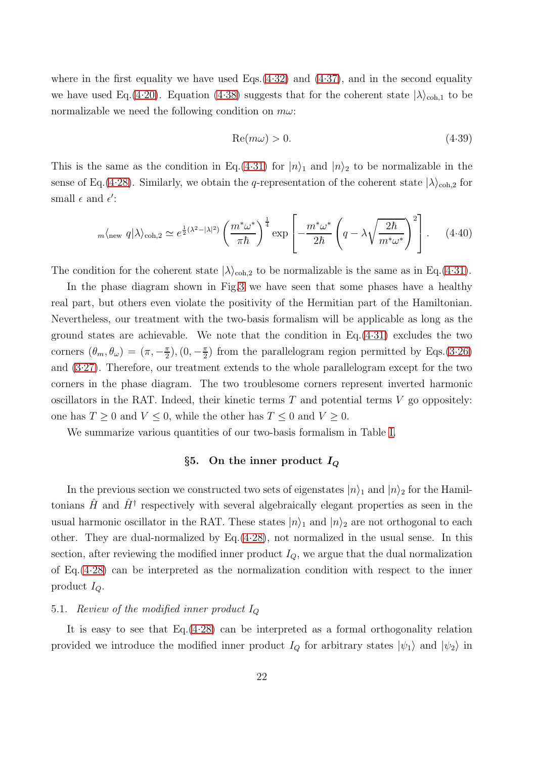where in the first equality we have used Eqs. $(4.32)$  and  $(4.37)$ , and in the second equality we have used Eq.[\(4.20\)](#page-17-4). Equation [\(4.38\)](#page-20-2) suggests that for the coherent state  $|\lambda\rangle_{\text{coh},1}$  to be normalizable we need the following condition on  $m\omega$ :

$$
Re(m\omega) > 0. \tag{4.39}
$$

This is the same as the condition in Eq.[\(4.31\)](#page-19-0) for  $|n\rangle_1$  and  $|n\rangle_2$  to be normalizable in the sense of Eq.[\(4.28\)](#page-18-1). Similarly, we obtain the q-representation of the coherent state  $|\lambda\rangle_{\text{coh},2}$  for small  $\epsilon$  and  $\epsilon'$ :

$$
m\langle \text{new } q | \lambda \rangle_{\text{coh},2} \simeq e^{\frac{1}{2}(\lambda^2 - |\lambda|^2)} \left( \frac{m^* \omega^*}{\pi \hbar} \right)^{\frac{1}{4}} \exp \left[ -\frac{m^* \omega^*}{2\hbar} \left( q - \lambda \sqrt{\frac{2\hbar}{m^* \omega^*}} \right)^2 \right]. \tag{4.40}
$$

The condition for the coherent state  $|\lambda\rangle_{coh,2}$  to be normalizable is the same as in Eq.[\(4.31\)](#page-19-0).

In the phase diagram shown in Fig[.3](#page-15-0) we have seen that some phases have a healthy real part, but others even violate the positivity of the Hermitian part of the Hamiltonian. Nevertheless, our treatment with the two-basis formalism will be applicable as long as the ground states are achievable. We note that the condition in  $Eq.(4.31)$  $Eq.(4.31)$  excludes the two corners  $(\theta_m, \theta_\omega) = (\pi, -\frac{\pi}{2})$  $(\frac{\pi}{2}), (0, -\frac{\pi}{2})$  $\frac{\pi}{2}$ ) from the parallelogram region permitted by Eqs.[\(3.26\)](#page-12-0) and [\(3.27\)](#page-12-0). Therefore, our treatment extends to the whole parallelogram except for the two corners in the phase diagram. The two troublesome corners represent inverted harmonic oscillators in the RAT. Indeed, their kinetic terms  $T$  and potential terms  $V$  go oppositely: one has  $T \geq 0$  and  $V \leq 0$ , while the other has  $T \leq 0$  and  $V \geq 0$ .

<span id="page-21-0"></span>We summarize various quantities of our two-basis formalism in Table [I.](#page-22-0)

## §5. On the inner product  $I_Q$

In the previous section we constructed two sets of eigenstates  $|n\rangle_1$  and  $|n\rangle_2$  for the Hamiltonians  $\hat{H}$  and  $\hat{H}^{\dagger}$  respectively with several algebraically elegant properties as seen in the usual harmonic oscillator in the RAT. These states  $|n\rangle_1$  and  $|n\rangle_2$  are not orthogonal to each other. They are dual-normalized by  $Eq. (4.28)$  $Eq. (4.28)$ , not normalized in the usual sense. In this section, after reviewing the modified inner product  $I_Q$ , we argue that the dual normalization of Eq.[\(4.28\)](#page-18-1) can be interpreted as the normalization condition with respect to the inner product  $I_Q$ .

## 5.1. *Review of the modified inner product* I<sup>Q</sup>

It is easy to see that Eq.[\(4.28\)](#page-18-1) can be interpreted as a formal orthogonality relation provided we introduce the modified inner product  $I_Q$  for arbitrary states  $|\psi_1\rangle$  and  $|\psi_2\rangle$  in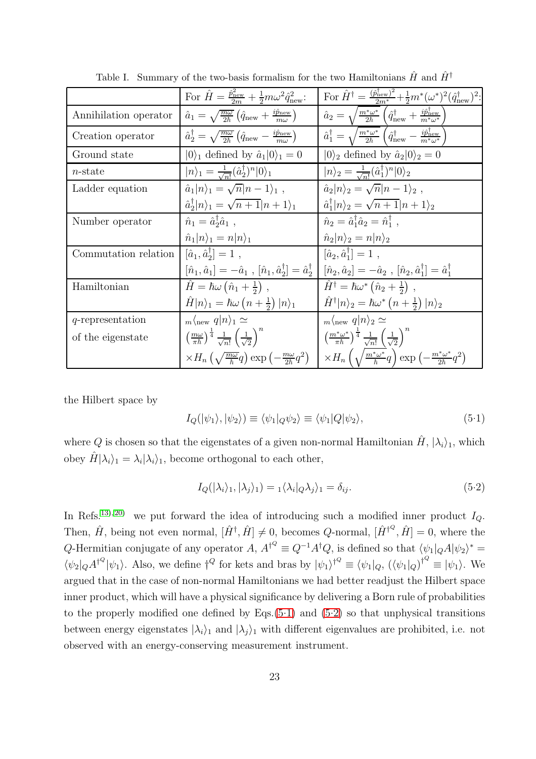|                       | For $\hat{H} = \frac{\hat{p}_{\text{new}}^2}{2m} + \frac{1}{2}m\omega^2 \hat{q}_{\text{new}}^2$ .                                 | For $\hat{H}^{\dagger} = \frac{(\hat{p}_{\text{new}}^{\dagger})^2}{2m^*} + \frac{1}{2}m^*(\omega^*)^2(\hat{q}_{\text{new}}^{\dagger})^2$ :                    |
|-----------------------|-----------------------------------------------------------------------------------------------------------------------------------|---------------------------------------------------------------------------------------------------------------------------------------------------------------|
| Annihilation operator | $\hat{a}_1 = \sqrt{\frac{m\omega}{2\hbar}} \left( \hat{q}_{\text{new}} + \frac{i\hat{p}_{\text{new}}}{m\omega} \right)$           | $\hat{a}_2 = \sqrt{\frac{m^*\omega^*}{2\hbar}} \left(\hat{q}_{\text{new}}^\dagger + \frac{i\hat{p}_{\text{new}}^\dagger}{m^*\omega^*}\right)$                 |
| Creation operator     | $\hat{a}_2^{\dagger} = \sqrt{\frac{m\omega}{2\hbar}} \left( \hat{q}_{\text{new}} - \frac{i\hat{p}_{\text{new}}}{m\omega} \right)$ | $\hat{a}_1^{\dagger} = \sqrt{\frac{m^*\omega^*}{2\hbar}} \left( \hat{q}_{\text{new}}^{\dagger} - \frac{i\hat{p}_{\text{new}}^{\dagger}}{m^*\omega^*} \right)$ |
| Ground state          | $ 0\rangle_1$ defined by $\hat{a}_1 0\rangle_1=0$                                                                                 | $ 0\rangle_2$ defined by $\hat{a}_2 0\rangle_2=0$                                                                                                             |
| $n$ -state            | $ n\rangle_1 = \frac{1}{\sqrt{n!}} (\hat{a}_2^{\dagger})^n  0\rangle_1$                                                           | $ n\rangle_2 = \frac{1}{\sqrt{n!}} (\hat{a}_1^\dagger)^n  0\rangle_2$                                                                                         |
| Ladder equation       | $\hat{a}_1 n\rangle_1 = \sqrt{n} n-1\rangle_1$ ,                                                                                  | $\hat{a}_2 n\rangle_2 = \sqrt{n} n-1\rangle_2$ ,                                                                                                              |
|                       | $\hat{a}_{2}^{\dagger} n\rangle_{1} = \sqrt{n+1} n+1\rangle_{1}$                                                                  | $\hat{a}_1^{\dagger}  n\rangle_2 = \sqrt{n+1}  n+1\rangle_2$                                                                                                  |
| Number operator       | $\hat{n}_1 = \hat{a}_2^{\dagger} \hat{a}_1$ ,                                                                                     | $\hat{n}_2 = \hat{a}_1^{\dagger} \hat{a}_2 = \hat{n}_1^{\dagger}$ ,                                                                                           |
|                       | $\hat{n}_1 n\rangle_1=n n\rangle_1$                                                                                               | $\hat{n}_2 n\rangle_2 = n n\rangle_2$                                                                                                                         |
| Commutation relation  | $[\hat{a}_1, \hat{a}_2^{\dagger}] = 1$ ,                                                                                          | $[\hat{a}_2, \hat{a}_1^{\dagger}] = 1$ ,                                                                                                                      |
|                       | $[\hat{n}_1, \hat{a}_1] = -\hat{a}_1$ , $[\hat{n}_1, \hat{a}_2^{\dagger}] = \hat{a}_2^{\dagger}$                                  | $[\hat{n}_2, \hat{a}_2] = -\hat{a}_2$ , $[\hat{n}_2, \hat{a}_1^{\dagger}] = \hat{a}_1^{\dagger}$                                                              |
| Hamiltonian           | $\hat{H} = \hbar \omega \left( \hat{n}_1 + \frac{1}{2} \right)$ ,                                                                 | $\hat{H}^{\dagger} = \hbar \omega^* (\hat{n}_2 + \frac{1}{2})$ ,                                                                                              |
|                       | $\hat{H} n\rangle_1 = \hbar\omega\left(n+\frac{1}{2}\right) n\rangle_1$                                                           | $\hat{H}^{\dagger}  n\rangle_2 = \hbar \omega^* (n + \frac{1}{2})  n\rangle_2$                                                                                |
| $q$ -representation   | $_{m}\langle_{\text{new}} q n\rangle_{1} \simeq$                                                                                  | $_m\langle_{\text{new}} q n\rangle_2 \simeq$                                                                                                                  |
| of the eigenstate     | $\left(\frac{m\omega}{\pi\hbar}\right)^{\frac{1}{4}}\frac{1}{\sqrt{n!}}\left(\frac{1}{\sqrt{2}}\right)^{n}$                       | $\left(\frac{m^*\omega^*}{\pi\hbar}\right)^{\frac{1}{4}}\frac{1}{\sqrt{n!}}\left(\frac{1}{\sqrt{2}}\right)^n$                                                 |
|                       | $\times H_n \left( \sqrt{\frac{m\omega}{\hbar}} q \right) \exp \left( -\frac{m\omega}{2\hbar} q^2 \right)$                        | $\times H_n\left(\sqrt{\frac{m^*\omega^*}{\hbar}}q\right)\exp\left(-\frac{m^*\omega^*}{2\hbar}q^2\right)$                                                     |

<span id="page-22-0"></span>Table I. Summary of the two-basis formalism for the two Hamiltonians  $\hat{H}$  and  $\hat{H}^{\dagger}$ 

the Hilbert space by

<span id="page-22-1"></span>
$$
I_Q(|\psi_1\rangle, |\psi_2\rangle) \equiv \langle \psi_1 | Q \psi_2 \rangle \equiv \langle \psi_1 | Q | \psi_2 \rangle, \tag{5.1}
$$

where Q is chosen so that the eigenstates of a given non-normal Hamiltonian  $\hat{H}$ ,  $|\lambda_i\rangle_1$ , which obey  $\hat{H}|\lambda_i\rangle_1 = \lambda_i |\lambda_i\rangle_1$ , become orthogonal to each other,

<span id="page-22-2"></span>
$$
I_Q(|\lambda_i\rangle_1, |\lambda_j\rangle_1) = \mathbf{1} \langle \lambda_i | Q \lambda_j \rangle_1 = \delta_{ij}.
$$
\n(5.2)

In Refs.<sup>[13\)](#page-41-1), 20</sup> we put forward the idea of introducing such a modified inner product  $I_Q$ . Then,  $\hat{H}$ , being not even normal,  $[\hat{H}^{\dagger}, \hat{H}] \neq 0$ , becomes *Q*-normal,  $[\hat{H}^{\dagger^Q}, \hat{H}] = 0$ , where the Q-Hermitian conjugate of any operator  $A$ ,  $A^{\dagger^Q} \equiv Q^{-1}A^{\dagger}Q$ , is defined so that  $\langle \psi_1|_Q A |\psi_2 \rangle^* =$  $\langle \psi_2 |_Q A^{\dagger Q} | \psi_1 \rangle$ . Also, we define  $\dagger^Q$  for kets and bras by  $|\psi_1\rangle^{\dagger^Q} \equiv \langle \psi_1 |_Q$ ,  $(\langle \psi_1 |_Q)^{\dagger^Q} \equiv |\psi_1 \rangle$ . We argued that in the case of non-normal Hamiltonians we had better readjust the Hilbert space inner product, which will have a physical significance by delivering a Born rule of probabilities to the properly modified one defined by Eqs. $(5.1)$  and  $(5.2)$  so that unphysical transitions between energy eigenstates  $|\lambda_i\rangle_1$  and  $|\lambda_j\rangle_1$  with different eigenvalues are prohibited, i.e. not observed with an energy-conserving measurement instrument.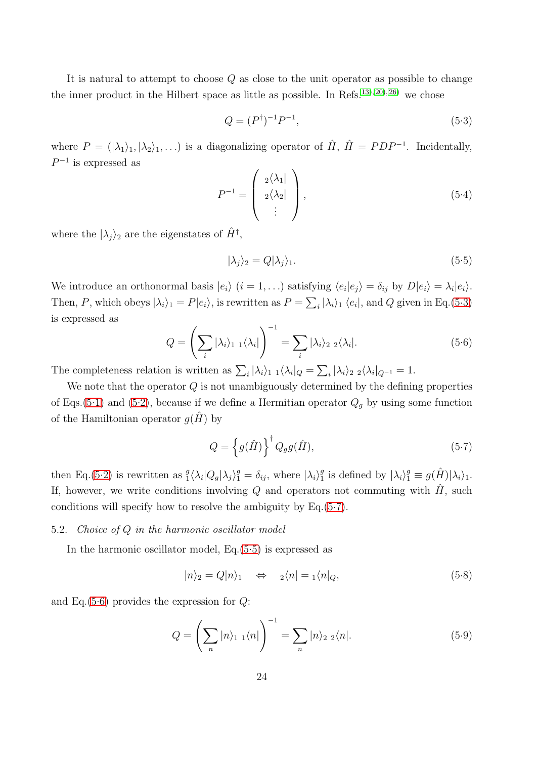It is natural to attempt to choose  $Q$  as close to the unit operator as possible to change the inner product in the Hilbert space as little as possible. In Refs.<sup>[13\)](#page-41-1), 20</sup>, [26\)](#page-41-12) we chose

<span id="page-23-1"></span>
$$
Q = (P^{\dagger})^{-1}P^{-1},\tag{5.3}
$$

where  $P = (|\lambda_1\rangle_1, |\lambda_2\rangle_1, \ldots)$  is a diagonalizing operator of  $\hat{H}$ ,  $\hat{H} = PDP^{-1}$ . Incidentally,  $P^{-1}$  is expressed as

$$
P^{-1} = \left(\begin{array}{c} 2\langle \lambda_1 | \\ 2\langle \lambda_2 | \\ \vdots \end{array}\right), \tag{5.4}
$$

where the  $|\lambda_j\rangle$ <sub>2</sub> are the eigenstates of  $\hat{H}^{\dagger}$ ,

<span id="page-23-3"></span>
$$
|\lambda_j\rangle_2 = Q|\lambda_j\rangle_1. \tag{5.5}
$$

We introduce an orthonormal basis  $|e_i\rangle$   $(i = 1, \ldots)$  satisfying  $\langle e_i | e_j \rangle = \delta_{ij}$  by  $D|e_i\rangle = \lambda_i |e_i\rangle$ . Then, P, which obeys  $|\lambda_i\rangle_1 = P|e_i\rangle$ , is rewritten as  $P = \sum_i |\lambda_i\rangle_1 \langle e_i|$ , and Q given in Eq.[\(5.3\)](#page-23-1) is expressed as

<span id="page-23-4"></span>
$$
Q = \left(\sum_{i} |\lambda_i\rangle_{1} \right) \left(\lambda_i\right) \bigg)^{-1} = \sum_{i} |\lambda_i\rangle_{2} \left(\lambda_i\right). \tag{5.6}
$$

The completeness relation is written as  $\sum_i |\lambda_i\rangle_1 \sqrt{\lambda_i} |_{Q} = \sum_i |\lambda_i\rangle_2 \sqrt{\lambda_i} |_{Q^{-1}} = 1.$ 

We note that the operator  $Q$  is not unambiguously determined by the defining properties of Eqs.[\(5.1\)](#page-22-1) and [\(5.2\)](#page-22-2), because if we define a Hermitian operator  $Q_g$  by using some function of the Hamiltonian operator  $g(H)$  by

<span id="page-23-2"></span>
$$
Q = \left\{ g(\hat{H}) \right\}^{\dagger} Q_g g(\hat{H}), \tag{5.7}
$$

then Eq.[\(5.2\)](#page-22-2) is rewritten as  $\frac{g}{1} \langle \lambda_i | Q_g | \lambda_j \rangle_1^g = \delta_{ij}$ , where  $|\lambda_i \rangle_1^g$ <sup>g</sup> is defined by  $|\lambda_i\rangle_1^g \equiv g(\hat{H})|\lambda_i\rangle_1$ . If, however, we write conditions involving Q and operators not commuting with  $\hat{H}$ , such conditions will specify how to resolve the ambiguity by Eq.[\(5.7\)](#page-23-2).

## <span id="page-23-0"></span>5.2. *Choice of* Q *in the harmonic oscillator model*

In the harmonic oscillator model, Eq.[\(5.5\)](#page-23-3) is expressed as

<span id="page-23-6"></span>
$$
|n\rangle_2 = Q|n\rangle_1 \quad \Leftrightarrow \quad \,_2\langle n| = \,_1\langle n|_Q,\tag{5.8}
$$

and Eq.[\(5.6\)](#page-23-4) provides the expression for  $Q$ :

<span id="page-23-5"></span>
$$
Q = \left(\sum_{n} |n\rangle_{1} \right) \left(n\right) \bigg|_{1}^{1} = \sum_{n} |n\rangle_{2} \left\{n\right\}.
$$
 (5.9)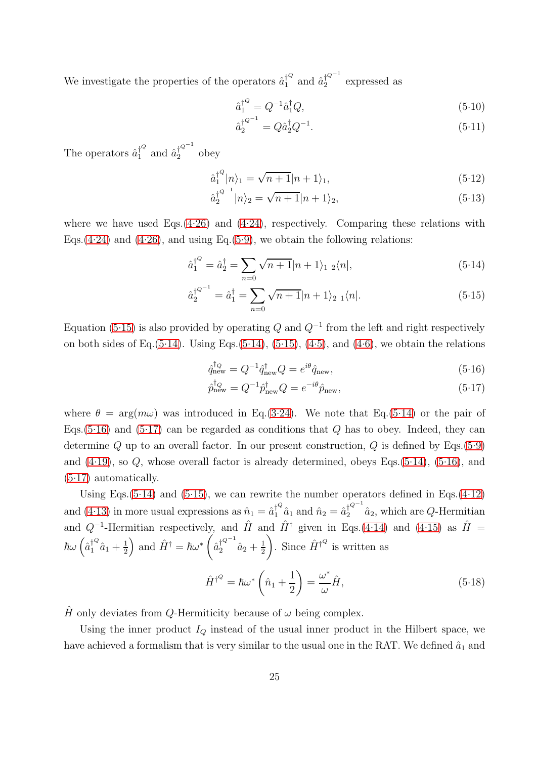We investigate the properties of the operators  $\hat{a}_1^{\dagger^Q}$  and  $\hat{a}_2^{\dagger^{Q^{-1}}}$  $\frac{1}{2}$  expressed as

$$
\hat{a}_1^{\dagger^Q} = Q^{-1}\hat{a}_1^{\dagger}Q,\tag{5.10}
$$

$$
\hat{a}_2^{\dagger Q^{-1}} = Q \hat{a}_2^{\dagger} Q^{-1}.
$$
\n(5.11)

The operators  $\hat{a}_1^{\dagger Q}$  $j_1^{\downarrow Q}$  and  $\hat{a}_2^{\dagger Q^{-1}}$  $\frac{1}{2}$  obey

$$
\hat{a}_1^{\dagger^Q} |n\rangle_1 = \sqrt{n+1}|n+1\rangle_1,\tag{5.12}
$$

$$
\hat{a}_2^{\dagger^{Q^{-1}}}|n\rangle_2 = \sqrt{n+1}|n+1\rangle_2, \tag{5.13}
$$

where we have used Eqs. $(4.26)$  and  $(4.24)$ , respectively. Comparing these relations with Eqs.[\(4.24\)](#page-18-0) and [\(4.26\)](#page-18-2), and using Eq.[\(5.9\)](#page-23-5), we obtain the following relations:

<span id="page-24-0"></span>
$$
\hat{a}_1^{\dagger^Q} = \hat{a}_2^{\dagger} = \sum_{n=0} \sqrt{n+1}|n+1\rangle_1 \; \, _2\langle n|,\tag{5.14}
$$

$$
\hat{a}_2^{\dagger^{Q^{-1}}} = \hat{a}_1^{\dagger} = \sum_{n=0} \sqrt{n+1}|n+1\rangle_{2\ 1}\langle n|.\tag{5.15}
$$

Equation [\(5.15\)](#page-24-0) is also provided by operating Q and  $Q^{-1}$  from the left and right respectively on both sides of Eq.  $(5.14)$ . Using Eqs.  $(5.14)$ ,  $(5.15)$ ,  $(4.5)$ , and  $(4.6)$ , we obtain the relations

<span id="page-24-1"></span>
$$
\hat{q}_{\text{new}}^{\dagger_Q} = Q^{-1} \hat{q}_{\text{new}}^{\dagger_Q} Q = e^{i\theta} \hat{q}_{\text{new}},\tag{5.16}
$$

$$
\hat{p}_{\text{new}}^{\dagger_Q} = Q^{-1} \hat{p}_{\text{new}}^{\dagger_Q} Q = e^{-i\theta} \hat{p}_{\text{new}},\tag{5.17}
$$

where  $\theta = \arg(m\omega)$  was introduced in Eq.[\(3.24\)](#page-11-3). We note that Eq.[\(5.14\)](#page-24-0) or the pair of Eqs.  $(5.16)$  and  $(5.17)$  can be regarded as conditions that Q has to obey. Indeed, they can determine Q up to an overall factor. In our present construction, Q is defined by Eqs.  $(5.9)$ and [\(4.19\)](#page-17-0), so Q, whose overall factor is already determined, obeys Eqs.[\(5.14\)](#page-24-0), [\(5.16\)](#page-24-1), and  $(5.17)$  automatically.

Using Eqs.  $(5.14)$  and  $(5.15)$ , we can rewrite the number operators defined in Eqs.  $(4.12)$ and [\(4.13\)](#page-16-3) in more usual expressions as  $\hat{n}_1 = \hat{a}_1^{\dagger^Q} \hat{a}_1$  and  $\hat{n}_2 = \hat{a}_2^{\dagger^{Q^{-1}}} \hat{a}_2$ , which are Q-Hermitian and  $Q^{-1}$ -Hermitian respectively, and  $\hat{H}$  and  $\hat{H}^{\dagger}$  given in Eqs.[\(4.14\)](#page-16-4) and [\(4.15\)](#page-16-4) as  $\hat{H}$  =  $\hbar\omega\left(\hat{a}_{1}^{\dagger^Q}\hat{a}_{1}+\frac{1}{2}\right)$  $\frac{1}{2}$  and  $\hat{H}^{\dagger} = \hbar \omega^*$  (  $\hat{a}_2^{\dagger^{{Q^{-1}}}}\hat{a}_2+\frac{1}{2}$ 2 ). Since  $\hat{H}^{\dagger Q}$  is written as

<span id="page-24-2"></span>
$$
\hat{H}^{\dagger^Q} = \hbar \omega^* \left( \hat{n}_1 + \frac{1}{2} \right) = \frac{\omega^*}{\omega} \hat{H},\tag{5.18}
$$

 $\hat{H}$  only deviates from Q-Hermiticity because of  $\omega$  being complex.

Using the inner product  $I_Q$  instead of the usual inner product in the Hilbert space, we have achieved a formalism that is very similar to the usual one in the RAT. We defined  $\hat{a}_1$  and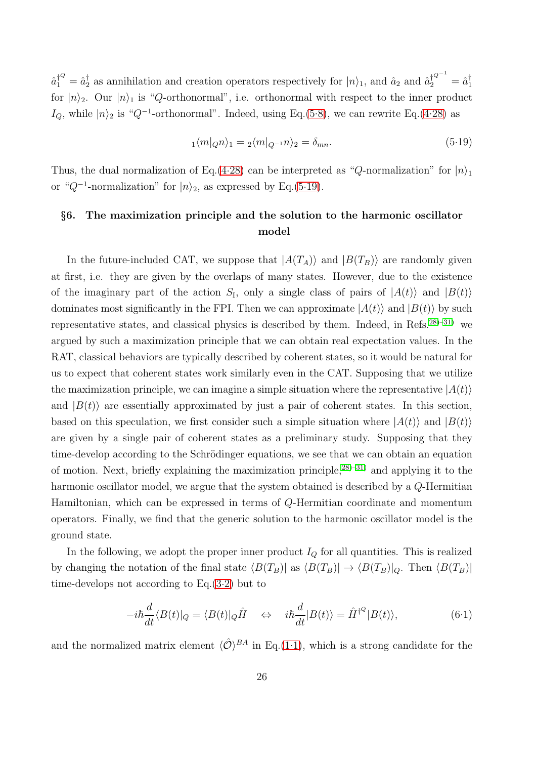$\hat{a}_1^{\dagger Q} = \hat{a}_2^{\dagger}$  as annihilation and creation operators respectively for  $|n\rangle_1$ , and  $\hat{a}_2$  and  $\hat{a}_2^{\dagger Q^{-1}} = \hat{a}_1^{\dagger}$ for  $|n\rangle_2$ . Our  $|n\rangle_1$  is "Q-orthonormal", i.e. orthonormal with respect to the inner product  $I_Q$ , while  $|n\rangle$ <sub>2</sub> is " $Q^{-1}$ -orthonormal". Indeed, using Eq.[\(5.8\)](#page-23-6), we can rewrite Eq.[\(4.28\)](#page-18-1) as

<span id="page-25-1"></span>
$$
{}_{1}\langle m|_{Q}n\rangle_{1} = {}_{2}\langle m|_{Q^{-1}}n\rangle_{2} = \delta_{mn}.\tag{5.19}
$$

Thus, the dual normalization of Eq.[\(4.28\)](#page-18-1) can be interpreted as "Q-normalization" for  $|n\rangle_1$ or " $Q^{-1}$ -normalization" for  $|n\rangle_2$ , as expressed by Eq.[\(5.19\)](#page-25-1).

## <span id="page-25-0"></span>§6. The maximization principle and the solution to the harmonic oscillator model

In the future-included CAT, we suppose that  $|A(T_A)\rangle$  and  $|B(T_B)\rangle$  are randomly given at first, i.e. they are given by the overlaps of many states. However, due to the existence of the imaginary part of the action  $S_I$ , only a single class of pairs of  $|A(t)\rangle$  and  $|B(t)\rangle$ dominates most significantly in the FPI. Then we can approximate  $|A(t)\rangle$  and  $|B(t)\rangle$  by such representative states, and classical physics is described by them. Indeed, in Refs.[28\)](#page-41-14)[–31\)](#page-41-17) we argued by such a maximization principle that we can obtain real expectation values. In the RAT, classical behaviors are typically described by coherent states, so it would be natural for us to expect that coherent states work similarly even in the CAT. Supposing that we utilize the maximization principle, we can imagine a simple situation where the representative  $|A(t)\rangle$ and  $|B(t)\rangle$  are essentially approximated by just a pair of coherent states. In this section, based on this speculation, we first consider such a simple situation where  $|A(t)\rangle$  and  $|B(t)\rangle$ are given by a single pair of coherent states as a preliminary study. Supposing that they time-develop according to the Schrödinger equations, we see that we can obtain an equation of motion. Next, briefly explaining the maximization principle,  $28$ )[–31\)](#page-41-17) and applying it to the harmonic oscillator model, we argue that the system obtained is described by a Q-Hermitian Hamiltonian, which can be expressed in terms of Q-Hermitian coordinate and momentum operators. Finally, we find that the generic solution to the harmonic oscillator model is the ground state.

In the following, we adopt the proper inner product  $I_Q$  for all quantities. This is realized by changing the notation of the final state  $\langle B(T_B)|$  as  $\langle B(T_B)| \rightarrow \langle B(T_B)|_Q$ . Then  $\langle B(T_B)|$ time-develops not according to Eq.[\(3.2\)](#page-9-3) but to

<span id="page-25-2"></span>
$$
-i\hbar \frac{d}{dt} \langle B(t)|_Q = \langle B(t)|_Q \hat{H} \quad \Leftrightarrow \quad i\hbar \frac{d}{dt} |B(t)\rangle = \hat{H}^{\dagger^Q} |B(t)\rangle, \tag{6.1}
$$

and the normalized matrix element  $\langle \hat{\mathcal{O}} \rangle^{BA}$  in Eq.[\(1.1\)](#page-1-3), which is a strong candidate for the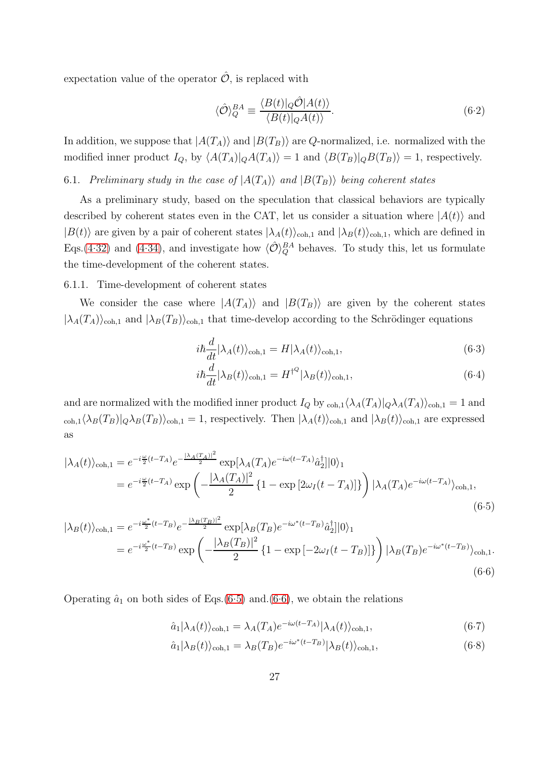expectation value of the operator  $\hat{\mathcal{O}}$ , is replaced with

<span id="page-26-3"></span>
$$
\langle \hat{\mathcal{O}} \rangle_Q^{BA} \equiv \frac{\langle B(t) |_Q \hat{\mathcal{O}} | A(t) \rangle}{\langle B(t) |_Q A(t) \rangle}.
$$
\n(6.2)

In addition, we suppose that  $|A(T_A)\rangle$  and  $|B(T_B)\rangle$  are Q-normalized, i.e. normalized with the modified inner product  $I_Q$ , by  $\langle A(T_A)|_Q A(T_A)\rangle = 1$  and  $\langle B(T_B)|_Q B(T_B)\rangle = 1$ , respectively.

<span id="page-26-0"></span>6.1. *Preliminary study in the case of*  $|A(T_A)\rangle$  *and*  $|B(T_B)\rangle$  *being coherent states* 

As a preliminary study, based on the speculation that classical behaviors are typically described by coherent states even in the CAT, let us consider a situation where  $|A(t)\rangle$  and  $|B(t)\rangle$  are given by a pair of coherent states  $|\lambda_A(t)\rangle_{\text{coh},1}$  and  $|\lambda_B(t)\rangle_{\text{coh},1}$ , which are defined in Eqs.[\(4.32\)](#page-20-0) and [\(4.34\)](#page-20-3), and investigate how  $\langle \hat{\mathcal{O}} \rangle_Q^{BA}$  behaves. To study this, let us formulate the time-development of the coherent states.

6.1.1. Time-development of coherent states

We consider the case where  $|A(T_A)\rangle$  and  $|B(T_B)\rangle$  are given by the coherent states  $|\lambda_A(T_A)\rangle_{coh,1}$  and  $|\lambda_B(T_B)\rangle_{coh,1}$  that time-develop according to the Schrödinger equations

$$
i\hbar \frac{d}{dt} |\lambda_A(t)\rangle_{\text{coh},1} = H |\lambda_A(t)\rangle_{\text{coh},1},\tag{6.3}
$$

$$
i\hbar \frac{d}{dt} |\lambda_B(t)\rangle_{\text{coh},1} = H^{\dagger^Q} |\lambda_B(t)\rangle_{\text{coh},1},\tag{6.4}
$$

and are normalized with the modified inner product  $I_Q$  by  $_{\text{coh},1}\langle \lambda_A(T_A)|_Q \lambda_A(T_A)\rangle_{\text{coh},1} = 1$  and  $\langle \cosh(1\lambda_B(T_B))\cosh(1\lambda_B(T_B))\rangle_{\text{coh},1} = 1$ , respectively. Then  $|\lambda_A(t)\rangle_{\text{coh},1}$  and  $|\lambda_B(t)\rangle_{\text{coh},1}$  are expressed as

<span id="page-26-1"></span>
$$
|\lambda_A(t)\rangle_{\text{coh},1} = e^{-i\frac{\omega}{2}(t-T_A)}e^{-\frac{|\lambda_A(T_A)|^2}{2}}\exp[\lambda_A(T_A)e^{-i\omega(t-T_A)}\hat{a}_2^{\dagger}]|0\rangle_1
$$
  
= 
$$
e^{-i\frac{\omega}{2}(t-T_A)}\exp\left(-\frac{|\lambda_A(T_A)|^2}{2}\left\{1-\exp\left[2\omega_I(t-T_A)\right]\right\}\right)|\lambda_A(T_A)e^{-i\omega(t-T_A)}\rangle_{\text{coh},1},
$$
(6.5)

$$
|\lambda_B(t)\rangle_{\text{coh},1} = e^{-i\frac{\omega^*}{2}(t-T_B)}e^{-\frac{|\lambda_B(T_B)|^2}{2}}\exp[\lambda_B(T_B)e^{-i\omega^*(t-T_B)}\hat{a}_2^{\dagger}]|0\rangle_1
$$
  
=  $e^{-i\frac{\omega^*}{2}(t-T_B)}\exp\left(-\frac{|\lambda_B(T_B)|^2}{2}\left\{1-\exp\left[-2\omega_I(t-T_B)\right]\right\}\right)|\lambda_B(T_B)e^{-i\omega^*(t-T_B)}\rangle_{\text{coh},1}.$  (6.6)

Operating  $\hat{a}_1$  on both sides of Eqs.[\(6.5\)](#page-26-1) and.[\(6.6\)](#page-26-1), we obtain the relations

<span id="page-26-2"></span>
$$
\hat{a}_1|\lambda_A(t)\rangle_{\text{coh},1} = \lambda_A(T_A)e^{-i\omega(t-T_A)}|\lambda_A(t)\rangle_{\text{coh},1},\tag{6.7}
$$

$$
\hat{a}_1|\lambda_B(t)\rangle_{\text{coh},1} = \lambda_B(T_B)e^{-i\omega^*(t-T_B)}|\lambda_B(t)\rangle_{\text{coh},1},\tag{6.8}
$$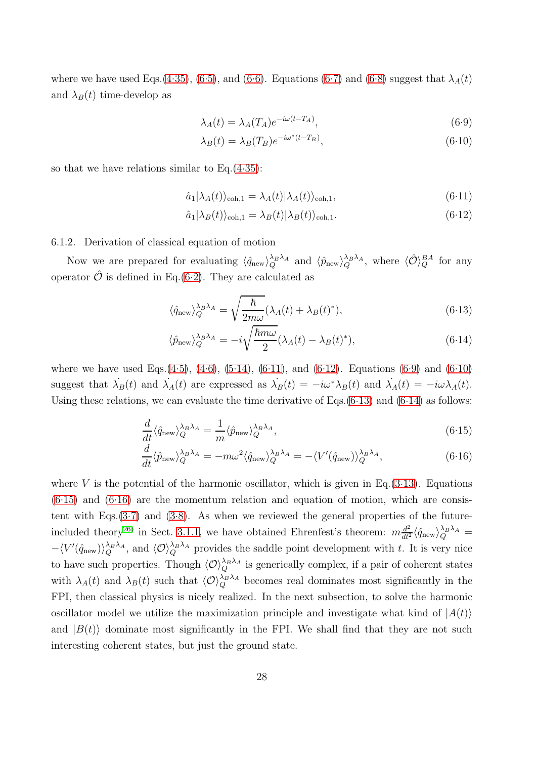where we have used Eqs.[\(4.35\)](#page-20-4), [\(6.5\)](#page-26-1), and [\(6.6\)](#page-26-1). Equations [\(6.7\)](#page-26-2) and [\(6.8\)](#page-26-2) suggest that  $\lambda_A(t)$ and  $\lambda_B(t)$  time-develop as

<span id="page-27-1"></span>
$$
\lambda_A(t) = \lambda_A(T_A)e^{-i\omega(t - T_A)},\tag{6.9}
$$

$$
\lambda_B(t) = \lambda_B(T_B)e^{-i\omega^*(t - T_B)},\tag{6.10}
$$

so that we have relations similar to  $Eq.(4.35)$  $Eq.(4.35)$ :

<span id="page-27-0"></span>
$$
\hat{a}_1|\lambda_A(t)\rangle_{\text{coh},1} = \lambda_A(t)|\lambda_A(t)\rangle_{\text{coh},1},\tag{6.11}
$$

$$
\hat{a}_1|\lambda_B(t)\rangle_{\text{coh},1} = \lambda_B(t)|\lambda_B(t)\rangle_{\text{coh},1}.\tag{6.12}
$$

## 6.1.2. Derivation of classical equation of motion

Now we are prepared for evaluating  $\langle \hat{q}_{\text{new}} \rangle_Q^{\lambda_B \lambda_A}$  and  $\langle \hat{p}_{\text{new}} \rangle_Q^{\lambda_B \lambda_A}$ , where  $\langle \hat{O} \rangle_Q^{BA}$  for any operator  $\hat{\mathcal{O}}$  is defined in Eq.[\(6.2\)](#page-26-3). They are calculated as

<span id="page-27-2"></span>
$$
\langle \hat{q}_{\text{new}} \rangle_Q^{\lambda_B \lambda_A} = \sqrt{\frac{\hbar}{2m\omega}} (\lambda_A(t) + \lambda_B(t)^*), \tag{6.13}
$$

$$
\langle \hat{p}_{\text{new}} \rangle_Q^{\lambda_B \lambda_A} = -i \sqrt{\frac{\hbar m \omega}{2}} (\lambda_A(t) - \lambda_B(t)^*), \tag{6.14}
$$

where we have used Eqs.[\(4.5\)](#page-15-3), [\(4.6\)](#page-15-3), [\(5.14\)](#page-24-0), [\(6.11\)](#page-27-0), and [\(6.12\)](#page-27-0). Equations [\(6.9\)](#page-27-1) and [\(6.10\)](#page-27-1) suggest that  $\lambda_B(t)$  and  $\lambda_A(t)$  are expressed as  $\lambda_B(t) = -i\omega^* \lambda_B(t)$  and  $\lambda_A(t) = -i\omega \lambda_A(t)$ . Using these relations, we can evaluate the time derivative of Eqs. $(6.13)$  and  $(6.14)$  as follows:

<span id="page-27-3"></span>
$$
\frac{d}{dt}\langle \hat{q}_{\text{new}}\rangle_Q^{\lambda_B \lambda_A} = \frac{1}{m}\langle \hat{p}_{\text{new}}\rangle_Q^{\lambda_B \lambda_A},\tag{6.15}
$$

$$
\frac{d}{dt}\langle \hat{p}_{\text{new}}\rangle_Q^{\lambda_B \lambda_A} = -m\omega^2 \langle \hat{q}_{\text{new}}\rangle_Q^{\lambda_B \lambda_A} = -\langle V'(\hat{q}_{\text{new}})\rangle_Q^{\lambda_B \lambda_A},\tag{6.16}
$$

where V is the potential of the harmonic oscillator, which is given in Eq.  $(3.13)$ . Equations  $(6.15)$  and  $(6.16)$  are the momentum relation and equation of motion, which are consistent with Eqs. $(3.7)$  and  $(3.8)$ . As when we reviewed the general properties of the future-included theory<sup>26</sup> in Sect. [3.1.1,](#page-9-4) we have obtained Ehrenfest's theorem:  $m \frac{d^2}{dt^2} \langle \hat{q}_{\text{new}} \rangle_Q^{\lambda_B \lambda_A} =$  $-\langle V'(\hat{q}_{\text{new}})\rangle_Q^{\lambda_B\lambda_A}$ , and  $\langle \mathcal{O}\rangle_Q^{\lambda_B\lambda_A}$  provides the saddle point development with t. It is very nice to have such properties. Though  $\langle \mathcal{O} \rangle_Q^{\lambda_B \lambda_A}$  is generically complex, if a pair of coherent states with  $\lambda_A(t)$  and  $\lambda_B(t)$  such that  $\langle \mathcal{O} \rangle_Q^{\lambda_B \lambda_A}$  becomes real dominates most significantly in the FPI, then classical physics is nicely realized. In the next subsection, to solve the harmonic oscillator model we utilize the maximization principle and investigate what kind of  $|A(t)\rangle$ and  $|B(t)\rangle$  dominate most significantly in the FPI. We shall find that they are not such interesting coherent states, but just the ground state.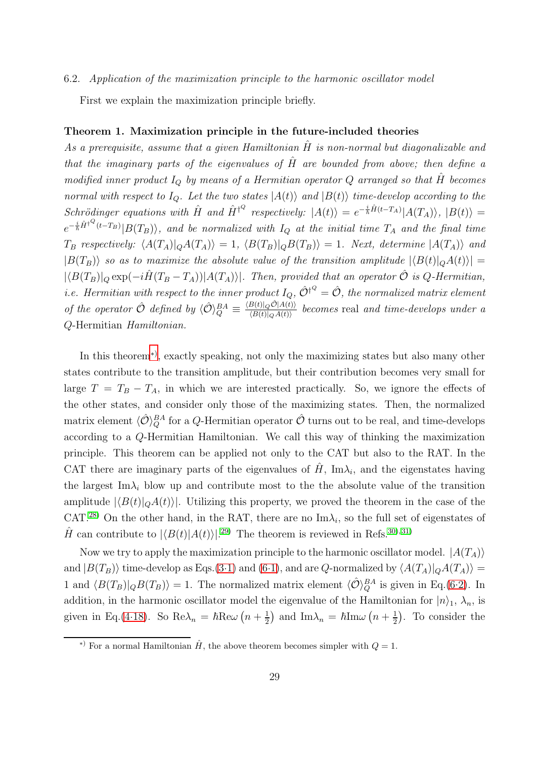#### <span id="page-28-1"></span>6.2. *Application of the maximization principle to the harmonic oscillator model*

First we explain the maximization principle briefly.

## Theorem 1. Maximization principle in the future-included theories

As a prerequisite, assume that a given Hamiltonian  $\hat{H}$  is non-normal but diagonalizable and *that the imaginary parts of the eigenvalues of* Hˆ *are bounded from above; then define a modified inner product*  $I_Q$  *by means of a Hermitian operator*  $Q$  *arranged so that*  $\hat{H}$  *becomes normal with respect to*  $I_Q$ *. Let the two states*  $|A(t)\rangle$  *and*  $|B(t)\rangle$  *time-develop according to the*  $Schrödinger \; equations \; with \; \hat{H} \; and \; \hat{H}^{\dagger Q} \; respectively: \; |A(t)\rangle = e^{-\frac{i}{\hbar}\hat{H}(t-T_A)}|A(T_A)\rangle, \; |B(t)\rangle =$  $e^{-\frac{i}{\hbar}\hat{H}^{\dagger Q}(t-T_B)}|B(T_B)\rangle$ *, and be normalized with*  $I_Q$  *at the initial time*  $T_A$  *and the final time*  $T_B$  *respectively:*  $\langle A(T_A)|_Q A(T_A)\rangle = 1$ ,  $\langle B(T_B)|_Q B(T_B)\rangle = 1$ *. Next, determine*  $|A(T_A)\rangle$  *and*  $|B(T_B)\rangle$  *so as to maximize the absolute value of the transition amplitude*  $|\langle B(t)|_Q A(t)\rangle|$  =  $|\langle B(T_B)|_Q \exp(-i\hat{H}(T_B - T_A))|A(T_A)\rangle|$ *. Then, provided that an operator*  $\hat{O}$  *is*  $Q$ -Hermitian, *i.e. Hermitian with respect to the inner product*  $I_Q$ ,  $\hat{\mathcal{O}}^{\dagger^Q} = \hat{\mathcal{O}}$ *, the normalized matrix element of the operator*  $\hat{\mathcal{O}}$  *defined by*  $\langle \hat{\mathcal{O}} \rangle_Q^{BA} \equiv$  $\langle B(t)|_Q \hat{\mathcal{O}} |A(t)\rangle$  $\frac{\partial h(t)|QO(A(t))}{\partial f(t)|QA(t)\rangle}$  becomes real and time-develops under a Q-Hermitian *Hamiltonian.*

In this theorem[∗](#page-28-0)) , exactly speaking, not only the maximizing states but also many other states contribute to the transition amplitude, but their contribution becomes very small for large  $T = T_B - T_A$ , in which we are interested practically. So, we ignore the effects of the other states, and consider only those of the maximizing states. Then, the normalized matrix element  $\langle \hat{\mathcal{O}} \rangle_Q^{BA}$  for a Q-Hermitian operator  $\hat{\mathcal{O}}$  turns out to be real, and time-develops according to a Q-Hermitian Hamiltonian. We call this way of thinking the maximization principle. This theorem can be applied not only to the CAT but also to the RAT. In the CAT there are imaginary parts of the eigenvalues of  $\hat{H}$ , Im $\lambda_i$ , and the eigenstates having the largest Im $\lambda_i$  blow up and contribute most to the the absolute value of the transition amplitude  $|\langle B(t)|_Q A(t)\rangle|$ . Utilizing this property, we proved the theorem in the case of the CAT.<sup>[28\)](#page-41-14)</sup> On the other hand, in the RAT, there are no  $\text{Im}\lambda_i$ , so the full set of eigenstates of  $\hat{H}$  can contribute to  $|\langle B(t)|A(t)\rangle|^{29)}$  $|\langle B(t)|A(t)\rangle|^{29)}$  $|\langle B(t)|A(t)\rangle|^{29)}$  The theorem is reviewed in Refs.<sup>30</sup>, [31\)](#page-41-17)

Now we try to apply the maximization principle to the harmonic oscillator model.  $|A(T_A)\rangle$ and  $|B(T_B)\rangle$  time-develop as Eqs.[\(3.1\)](#page-9-3) and [\(6.1\)](#page-25-2), and are Q-normalized by  $\langle A(T_A)|_Q A(T_A)\rangle =$ 1 and  $\langle B(T_B)|_Q B(T_B)\rangle = 1$ . The normalized matrix element  $\langle \hat{\mathcal{O}} \rangle_Q^{BA}$  is given in Eq.[\(6.2\)](#page-26-3). In addition, in the harmonic oscillator model the eigenvalue of the Hamiltonian for  $|n\rangle_1$ ,  $\lambda_n$ , is given in Eq.[\(4.18\)](#page-16-0). So  $\text{Re}\lambda_n = \hbar \text{Re}\omega \left(n + \frac{1}{2}\right)$  $\frac{1}{2}$  and Im $\lambda_n = \hbar \text{Im}\omega \left(n + \frac{1}{2}\right)$  $(\frac{1}{2})$ . To consider the

<span id="page-28-0"></span><sup>&</sup>lt;sup>\*)</sup> For a normal Hamiltonian  $\hat{H}$ , the above theorem becomes simpler with  $Q = 1$ .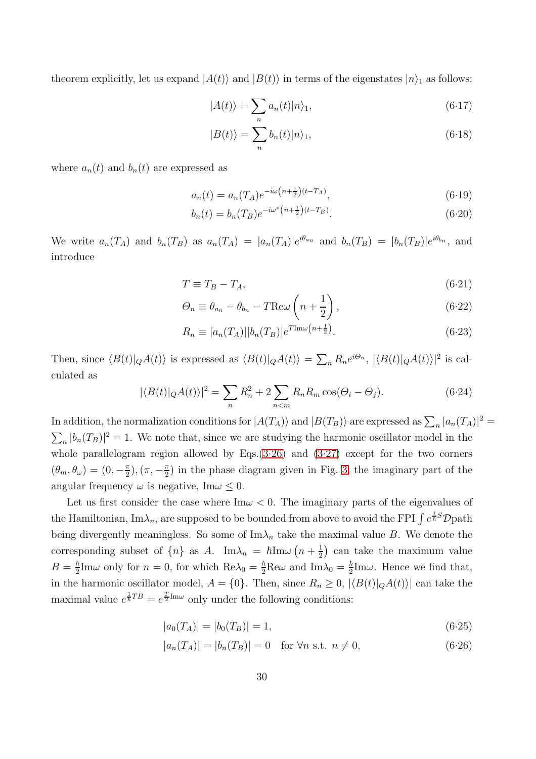theorem explicitly, let us expand  $|A(t)\rangle$  and  $|B(t)\rangle$  in terms of the eigenstates  $|n\rangle_1$  as follows:

$$
|A(t)\rangle = \sum_{n} a_n(t)|n\rangle_1,\tag{6.17}
$$

$$
|B(t)\rangle = \sum_{n} b_n(t)|n\rangle_1,\tag{6.18}
$$

where  $a_n(t)$  and  $b_n(t)$  are expressed as

$$
a_n(t) = a_n(T_A)e^{-i\omega\left(n + \frac{1}{2}\right)(t - T_A)},\tag{6.19}
$$

$$
b_n(t) = b_n(T_B)e^{-i\omega^* (n + \frac{1}{2})(t - T_B)}.
$$
\n(6.20)

We write  $a_n(T_A)$  and  $b_n(T_B)$  as  $a_n(T_A) = |a_n(T_A)|e^{i\theta_{a_n}}$  and  $b_n(T_B) = |b_n(T_B)|e^{i\theta_{b_n}}$ , and introduce

<span id="page-29-1"></span>
$$
T \equiv T_B - T_A,\tag{6-21}
$$

$$
\Theta_n \equiv \theta_{a_n} - \theta_{b_n} - T \text{Re}\omega \left( n + \frac{1}{2} \right), \tag{6.22}
$$

$$
R_n \equiv |a_n(T_A)||b_n(T_B)|e^{T \text{Im}\omega\left(n + \frac{1}{2}\right)}.
$$
\n(6.23)

Then, since  $\langle B(t)|_Q A(t)\rangle$  is expressed as  $\langle B(t)|_Q A(t)\rangle = \sum_n R_n e^{i\Theta_n}$ ,  $|\langle B(t)|_Q A(t)\rangle|^2$  is calculated as

$$
|\langle B(t)|_Q A(t)\rangle|^2 = \sum_n R_n^2 + 2 \sum_{n < m} R_n R_m \cos(\Theta_i - \Theta_j). \tag{6.24}
$$

In addition, the normalization conditions for  $|A(T_A)\rangle$  and  $|B(T_B)\rangle$  are expressed as  $\sum_n |a_n(T_A)|^2 =$  $\sum_{n} |b_n(T_B)|^2 = 1$ . We note that, since we are studying the harmonic oscillator model in the whole parallelogram region allowed by Eqs. $(3.26)$  and  $(3.27)$  except for the two corners  $(\theta_m, \theta_\omega) = (0, -\frac{\pi}{2})$  $(\frac{\pi}{2}),(\pi,-\frac{\pi}{2})$  $\frac{\pi}{2}$ ) in the phase diagram given in Fig. [3,](#page-15-0) the imaginary part of the angular frequency  $\omega$  is negative, Im $\omega \leq 0$ .

Let us first consider the case where  $\text{Im}\omega < 0$ . The imaginary parts of the eigenvalues of the Hamiltonian,  $\text{Im}\lambda_n$ , are supposed to be bounded from above to avoid the FPI  $\int e^{\frac{i}{\hbar}S} \mathcal{D}$ path being divergently meaningless. So some of  $\text{Im}\lambda_n$  take the maximal value B. We denote the corresponding subset of  $\{n\}$  as A. Im $\lambda_n = \hbar \text{Im}\omega \left(n + \frac{1}{2}\right)$  $\frac{1}{2}$  can take the maximum value  $B=\frac{\hbar}{2}$  $\frac{\hbar}{2}$ Im $\omega$  only for  $n = 0$ , for which  $\text{Re}\lambda_0 = \frac{\hbar}{2}\text{Re}\omega$  and  $\text{Im}\lambda_0 = \frac{\hbar}{2}$  $\frac{\hbar}{2}$ Im $\omega$ . Hence we find that, in the harmonic oscillator model,  $A = \{0\}$ . Then, since  $R_n \geq 0$ ,  $|\langle B(t)|_Q A(t)\rangle|$  can take the maximal value  $e^{\frac{1}{\hbar}TB} = e^{\frac{T}{2}Im\omega}$  only under the following conditions:

<span id="page-29-0"></span>
$$
|a_0(T_A)| = |b_0(T_B)| = 1,
$$
\n(6.25)

$$
|a_n(T_A)| = |b_n(T_B)| = 0 \quad \text{for } \forall n \text{ s.t. } n \neq 0,
$$
\n
$$
(6.26)
$$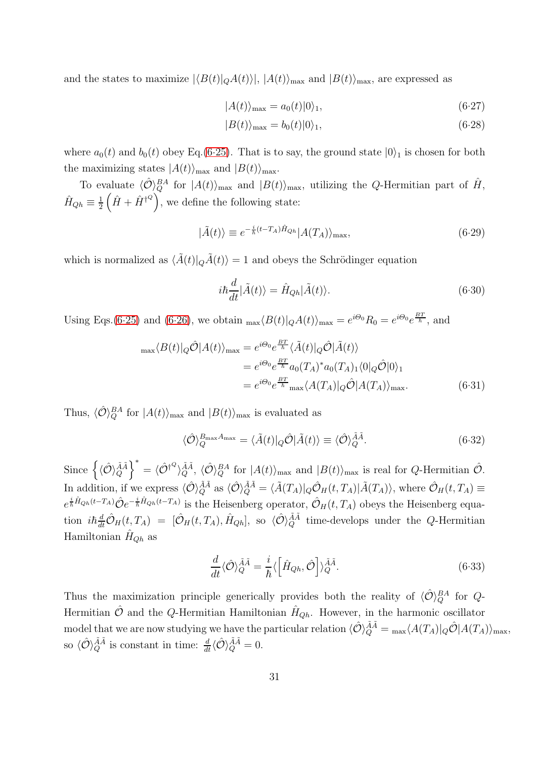and the states to maximize  $|\langle B(t)|_Q A(t)\rangle|, |A(t)\rangle_{\text{max}}$  and  $|B(t)\rangle_{\text{max}}$ , are expressed as

$$
|A(t)\rangle_{\text{max}} = a_0(t)|0\rangle_1,\tag{6.27}
$$

$$
|B(t)\rangle_{\text{max}} = b_0(t)|0\rangle_1, \tag{6.28}
$$

where  $a_0(t)$  and  $b_0(t)$  obey Eq.[\(6.25\)](#page-29-0). That is to say, the ground state  $|0\rangle_1$  is chosen for both the maximizing states  $|A(t)\rangle_{\text{max}}$  and  $|B(t)\rangle_{\text{max}}$ .

To evaluate  $\langle \hat{\mathcal{O}} \rangle_Q^{BA}$  for  $|A(t)\rangle_{\text{max}}$  and  $|B(t)\rangle_{\text{max}}$ , utilizing the Q-Hermitian part of  $\hat{H}$ ,  $\hat{H}_{Qh} \equiv \frac{1}{2}$  $\frac{1}{2}(\hat{H} + \hat{H}^{\dagger Q})$ , we define the following state:

$$
|\tilde{A}(t)\rangle \equiv e^{-\frac{i}{\hbar}(t - T_A)\hat{H}_{Qh}}|A(T_A)\rangle_{\text{max}},\tag{6.29}
$$

which is normalized as  $\langle \tilde{A}(t)|_{\tilde{Q}}\tilde{A}(t)\rangle = 1$  and obeys the Schrödinger equation

$$
i\hbar \frac{d}{dt} |\tilde{A}(t)\rangle = \hat{H}_{Qh} |\tilde{A}(t)\rangle.
$$
 (6.30)

Using Eqs.[\(6.25\)](#page-29-0) and [\(6.26\)](#page-29-0), we obtain  $_{\text{max}}\langle B(t)|_{Q}A(t)\rangle_{\text{max}} = e^{i\Theta_0}R_0 = e^{i\Theta_0}e^{\frac{BT}{\hbar}}$ , and

$$
\max \langle B(t)|_Q \hat{\mathcal{O}} |A(t)\rangle_{\text{max}} = e^{i\Theta_0} e^{\frac{BT}{\hbar}} \langle \tilde{A}(t)|_Q \hat{\mathcal{O}} | \tilde{A}(t) \rangle
$$
  
\n
$$
= e^{i\Theta_0} e^{\frac{BT}{\hbar}} a_0(T_A)^* a_0(T_A)_1 \langle 0|_Q \hat{\mathcal{O}} |0\rangle_1
$$
  
\n
$$
= e^{i\Theta_0} e^{\frac{BT}{\hbar}} \max \langle A(T_A)|_Q \hat{\mathcal{O}} |A(T_A)\rangle_{\text{max}}.
$$
 (6.31)

Thus,  $\langle \hat{\mathcal{O}} \rangle_Q^{BA}$  for  $|A(t)\rangle_{\text{max}}$  and  $|B(t)\rangle_{\text{max}}$  is evaluated as

<span id="page-30-0"></span>
$$
\langle \hat{\mathcal{O}} \rangle_Q^{B_{\text{max}} A_{\text{max}}} = \langle \tilde{A}(t) |_{Q} \hat{\mathcal{O}} | \tilde{A}(t) \rangle \equiv \langle \hat{\mathcal{O}} \rangle_Q^{\tilde{A} \tilde{A}}.
$$
\n(6.32)

Since  $\left\{\langle \hat{\mathcal{O}} \rangle_Q^{\tilde{A}\tilde{A}}\right\}^* = \langle \hat{\mathcal{O}}^{\dagger Q} \rangle_Q^{\tilde{A}\tilde{A}}, \ \langle \hat{\mathcal{O}} \rangle_Q^{BA} \text{ for } |A(t)\rangle_{\text{max}} \text{ and } |B(t)\rangle_{\text{max}} \text{ is real for } Q\text{-Hermitian } \hat{\mathcal{O}}.$ In addition, if we express  $\langle \hat{\mathcal{O}} \rangle_Q^{\tilde{A}\tilde{A}}$  as  $\langle \hat{\mathcal{O}} \rangle_Q^{\tilde{A}\tilde{A}} = \langle \tilde{A}(T_A) | Q \hat{\mathcal{O}}_H(t, T_A) | \tilde{A}(T_A) \rangle$ , where  $\hat{\mathcal{O}}_H(t, T_A) \equiv$  $e^{\frac{i}{\hbar}\hat{H}_{Qh}(t-T_A)}\hat{O}e^{-\frac{i}{\hbar}\hat{H}_{Qh}(t-T_A)}$  is the Heisenberg operator,  $\hat{\mathcal{O}}_H(t,T_A)$  obeys the Heisenberg equation  $i\hbar \frac{d}{dt}\hat{O}_H(t,T_A) = [\hat{O}_H(t,T_A),\hat{H}_{Qh}],$  so  $\langle \hat{O} \rangle_Q^{\tilde{A}\tilde{A}}$  time-develops under the *Q*-Hermitian Hamiltonian  $\hat{H}_{\text{Oh}}$  as

<span id="page-30-1"></span>
$$
\frac{d}{dt}\langle \hat{\mathcal{O}} \rangle_{Q}^{\tilde{A}\tilde{A}} = \frac{i}{\hbar} \langle \left[ \hat{H}_{Qh}, \hat{\mathcal{O}} \right] \rangle_{Q}^{\tilde{A}\tilde{A}}.
$$
\n(6.33)

Thus the maximization principle generically provides both the reality of  $\langle \hat{\mathcal{O}} \rangle_Q^{BA}$  for  $Q$ -Hermitian  $\hat{\mathcal{O}}$  and the Q-Hermitian Hamiltonian  $\hat{H}_{Qh}$ . However, in the harmonic oscillator model that we are now studying we have the particular relation  $\langle \hat{\mathcal{O}} \rangle_{Q}^{\tilde{A}\tilde{A}} = \max \langle A(T_A) | Q \hat{\mathcal{O}} | A(T_A) \rangle_{\text{max}}$ , so  $\langle \hat{\mathcal{O}} \rangle_Q^{\tilde{A}\tilde{A}}$  is constant in time:  $\frac{d}{dt}\langle \hat{\mathcal{O}} \rangle_Q^{\tilde{A}\tilde{A}} = 0$ .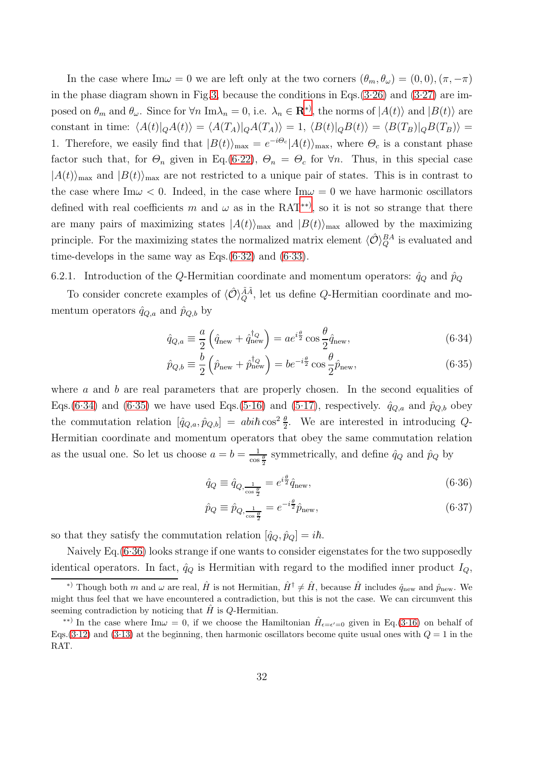In the case where Im $\omega = 0$  we are left only at the two corners  $(\theta_m, \theta_\omega) = (0, 0), (\pi, -\pi)$ in the phase diagram shown in Fig[.3,](#page-15-0) because the conditions in Eqs. $(3.26)$  and  $(3.27)$  are imposed on  $\theta_m$  and  $\theta_\omega$ . Since for  $\forall n \text{ Im }\lambda_n = 0$ , i.e.  $\lambda_n \in \mathbf{R}^*$ , the norms of  $|A(t)\rangle$  and  $|B(t)\rangle$  are constant in time:  $\langle A(t)|_Q A(t)\rangle = \langle A(T_A)|_Q A(T_A)\rangle = 1, \langle B(t)|_Q B(t)\rangle = \langle B(T_B)|_Q B(T_B)\rangle =$ 1. Therefore, we easily find that  $|B(t)\rangle_{\text{max}} = e^{-i\Theta_c}|A(t)\rangle_{\text{max}}$ , where  $\Theta_c$  is a constant phase factor such that, for  $\Theta_n$  given in Eq.[\(6.22\)](#page-29-1),  $\Theta_n = \Theta_c$  for  $\forall n$ . Thus, in this special case  $|A(t)\rangle_{\text{max}}$  and  $|B(t)\rangle_{\text{max}}$  are not restricted to a unique pair of states. This is in contrast to the case where Im $\omega < 0$ . Indeed, in the case where Im $\omega = 0$  we have harmonic oscillators defined with real coefficients m and  $\omega$  as in the RAT<sup>\*\*)</sup>, so it is not so strange that there are many pairs of maximizing states  $|A(t)\rangle_{\text{max}}$  and  $|B(t)\rangle_{\text{max}}$  allowed by the maximizing principle. For the maximizing states the normalized matrix element  $\langle \hat{\mathcal{O}} \rangle_Q^{BA}$  is evaluated and time-develops in the same way as Eqs. $(6.32)$  and  $(6.33)$ .

6.2.1. Introduction of the Q-Hermitian coordinate and momentum operators:  $\hat{q}_Q$  and  $\hat{p}_Q$ 

To consider concrete examples of  $\langle \hat{\mathcal{O}} \rangle_Q^{\tilde{A}\tilde{A}}$ , let us define Q-Hermitian coordinate and momentum operators  $\hat{q}_{Q,a}$  and  $\hat{p}_{Q,b}$  by

<span id="page-31-2"></span>
$$
\hat{q}_{Q,a} \equiv \frac{a}{2} \left( \hat{q}_{\text{new}} + \hat{q}_{\text{new}}^{\dagger_Q} \right) = a e^{i\frac{\theta}{2}} \cos \frac{\theta}{2} \hat{q}_{\text{new}},\tag{6.34}
$$

$$
\hat{p}_{Q,b} \equiv \frac{b}{2} \left( \hat{p}_{\text{new}} + \hat{p}_{\text{new}}^{\dagger Q} \right) = b e^{-i\frac{\theta}{2}} \cos \frac{\theta}{2} \hat{p}_{\text{new}},\tag{6.35}
$$

where  $\alpha$  and  $\dot{b}$  are real parameters that are properly chosen. In the second equalities of Eqs.[\(6.34\)](#page-31-2) and [\(6.35\)](#page-31-2) we have used Eqs.[\(5.16\)](#page-24-1) and [\(5.17\)](#page-24-1), respectively.  $\hat{q}_{Q,a}$  and  $\hat{p}_{Q,b}$  obey the commutation relation  $[\hat{q}_{Q,a}, \hat{p}_{Q,b}] = abi\hbar \cos^2 \frac{\theta}{2}$ . We are interested in introducing Q-Hermitian coordinate and momentum operators that obey the same commutation relation as the usual one. So let us choose  $a = b = \frac{1}{\cos \frac{\theta}{2}}$  symmetrically, and define  $\hat{q}_Q$  and  $\hat{p}_Q$  by

<span id="page-31-3"></span>
$$
\hat{q}_Q \equiv \hat{q}_{Q, \frac{1}{\cos \frac{\theta}{2}}} = e^{i\frac{\theta}{2}} \hat{q}_{\text{new}},\tag{6.36}
$$

$$
\hat{p}_Q \equiv \hat{p}_{Q, \frac{1}{\cos\frac{\theta}{2}}} = e^{-i\frac{\theta}{2}} \hat{p}_{\text{new}},\tag{6.37}
$$

so that they satisfy the commutation relation  $[\hat{q}_Q, \hat{p}_Q] = i\hbar$ .

Naively Eq.[\(6.36\)](#page-31-3) looks strange if one wants to consider eigenstates for the two supposedly identical operators. In fact,  $\hat{q}_Q$  is Hermitian with regard to the modified inner product  $I_Q$ ,

<span id="page-31-0"></span><sup>&</sup>lt;sup>\*)</sup> Though both m and  $\omega$  are real,  $\hat{H}$  is not Hermitian,  $\hat{H}^{\dagger} \neq \hat{H}$ , because  $\hat{H}$  includes  $\hat{q}_{\text{new}}$  and  $\hat{p}_{\text{new}}$ . We might thus feel that we have encountered a contradiction, but this is not the case. We can circumvent this seeming contradiction by noticing that  $\hat{H}$  is Q-Hermitian.

<span id="page-31-1"></span><sup>\*\*)</sup> In the case where Im $\omega = 0$ , if we choose the Hamiltonian  $\hat{H}_{\epsilon=\epsilon'=0}$  given in Eq.[\(3.16\)](#page-11-5) on behalf of Eqs.[\(3.12\)](#page-10-1) and [\(3.13\)](#page-10-1) at the beginning, then harmonic oscillators become quite usual ones with  $Q = 1$  in the RAT.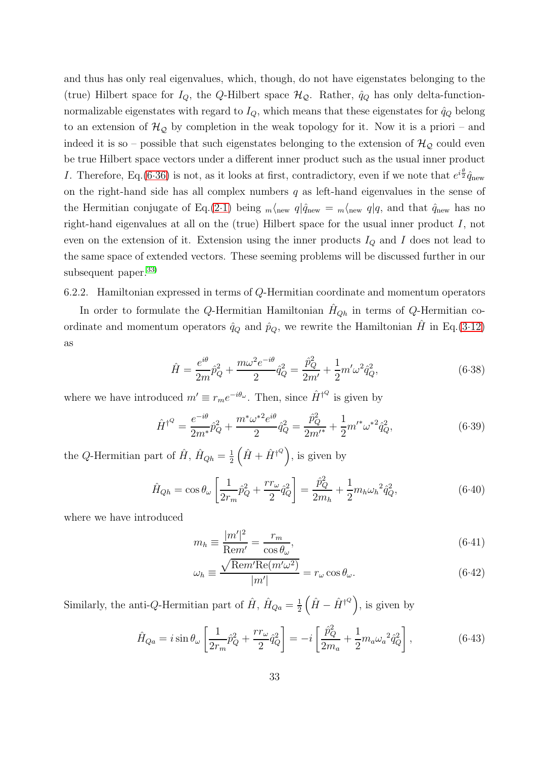and thus has only real eigenvalues, which, though, do not have eigenstates belonging to the (true) Hilbert space for  $I_Q$ , the Q-Hilbert space  $\mathcal{H}_Q$ . Rather,  $\hat{q}_Q$  has only delta-functionnormalizable eigenstates with regard to  $I_Q$ , which means that these eigenstates for  $\hat{q}_Q$  belong to an extension of  $\mathcal{H}_{\mathcal{Q}}$  by completion in the weak topology for it. Now it is a priori – and indeed it is so – possible that such eigenstates belonging to the extension of  $\mathcal{H}_{Q}$  could even be true Hilbert space vectors under a different inner product such as the usual inner product I. Therefore, Eq.[\(6.36\)](#page-31-3) is not, as it looks at first, contradictory, even if we note that  $e^{i\frac{\theta}{2}}\hat{q}_{\text{new}}$ on the right-hand side has all complex numbers  $q$  as left-hand eigenvalues in the sense of the Hermitian conjugate of Eq.[\(2.1\)](#page-4-2) being  $_m\langle_{\text{new}} q|\hat{q}_{\text{new}} = m\langle_{\text{new}} q|q$ , and that  $\hat{q}_{\text{new}}$  has no right-hand eigenvalues at all on the (true) Hilbert space for the usual inner product I, not even on the extension of it. Extension using the inner products  $I_Q$  and I does not lead to the same space of extended vectors. These seeming problems will be discussed further in our subsequent paper. $33)$ 

6.2.2. Hamiltonian expressed in terms of Q-Hermitian coordinate and momentum operators

In order to formulate the Q-Hermitian Hamiltonian  $H_{Oh}$  in terms of Q-Hermitian coordinate and momentum operators  $\hat{q}_Q$  and  $\hat{p}_Q$ , we rewrite the Hamiltonian H in Eq.[\(3.12\)](#page-10-1) as

$$
\hat{H} = \frac{e^{i\theta}}{2m}\hat{p}_Q^2 + \frac{m\omega^2 e^{-i\theta}}{2}\hat{q}_Q^2 = \frac{\hat{p}_Q^2}{2m'} + \frac{1}{2}m'\omega^2\hat{q}_Q^2,\tag{6.38}
$$

where we have introduced  $m' \equiv r_m e^{-i\theta_\omega}$ . Then, since  $\hat{H}^{\dagger^Q}$  is given by

$$
\hat{H}^{\dagger^Q} = \frac{e^{-i\theta}}{2m^*} \hat{p}_Q^2 + \frac{m^* \omega^{*2} e^{i\theta}}{2} \hat{q}_Q^2 = \frac{\hat{p}_Q^2}{2m'^*} + \frac{1}{2} m'^* \omega^{*2} \hat{q}_Q^2, \tag{6.39}
$$

the Q-Hermitian part of  $\hat{H}$ ,  $\hat{H}_{Qh} = \frac{1}{2}$  $\frac{1}{2}(\hat{H} + \hat{H}^{\dagger Q})$ , is given by

<span id="page-32-0"></span>
$$
\hat{H}_{Qh} = \cos \theta_{\omega} \left[ \frac{1}{2r_m} \hat{p}_Q^2 + \frac{rr_{\omega}}{2} \hat{q}_Q^2 \right] = \frac{\hat{p}_Q^2}{2m_h} + \frac{1}{2} m_h \omega_h^2 \hat{q}_Q^2, \tag{6.40}
$$

where we have introduced

<span id="page-32-2"></span>
$$
m_h \equiv \frac{|m'|^2}{\text{Rem}'} = \frac{r_m}{\cos \theta_\omega},\tag{6.41}
$$

$$
\omega_h \equiv \frac{\sqrt{\text{Rem}' \text{Re}(m'\omega^2)}}{|m'|} = r_\omega \cos \theta_\omega. \tag{6.42}
$$

Similarly, the anti-Q-Hermitian part of  $\hat{H}$ ,  $\hat{H}_{Qa} = \frac{1}{2}$  $\frac{1}{2}(\hat{H} - \hat{H}^{\dagger \mathcal{Q}}),$  is given by

<span id="page-32-1"></span>
$$
\hat{H}_{Qa} = i \sin \theta_{\omega} \left[ \frac{1}{2r_m} \hat{p}_Q^2 + \frac{rr_{\omega}}{2} \hat{q}_Q^2 \right] = -i \left[ \frac{\hat{p}_Q^2}{2m_a} + \frac{1}{2} m_a \omega_a^2 \hat{q}_Q^2 \right],
$$
\n(6.43)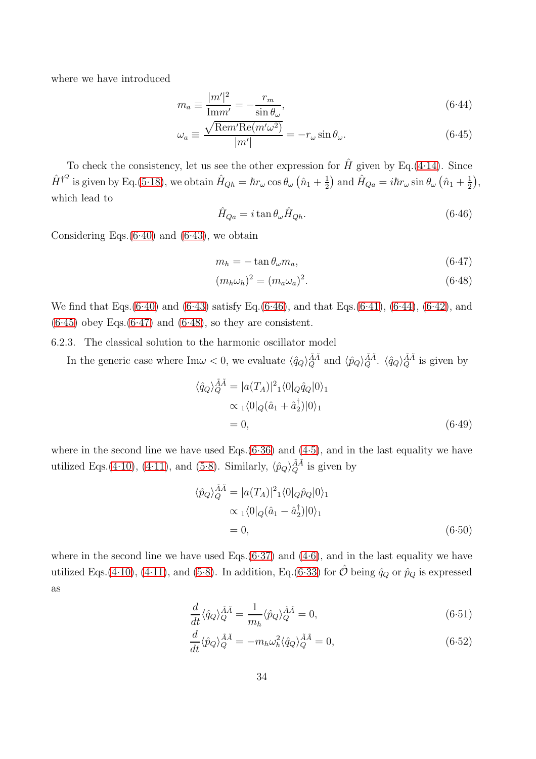where we have introduced

<span id="page-33-1"></span>
$$
m_a \equiv \frac{|m'|^2}{\text{Im}m'} = -\frac{r_m}{\sin \theta_\omega},\tag{6.44}
$$

$$
\omega_a \equiv \frac{\sqrt{\text{Rem}' \text{Re}(m'\omega^2)}}{|m'|} = -r_\omega \sin \theta_\omega. \tag{6.45}
$$

To check the consistency, let us see the other expression for  $\hat{H}$  given by Eq.[\(4.14\)](#page-16-4). Since  $\hat{H}^{\dagger Q}$  is given by Eq.[\(5.18\)](#page-24-2), we obtain  $\hat{H}_{Qh} = \hbar r_{\omega} \cos \theta_{\omega} \left( \hat{n}_1 + \frac{1}{2} \right)$  $\frac{1}{2}$  and  $\hat{H}_{Qa} = i\hbar r_{\omega} \sin \theta_{\omega} (\hat{n}_1 + \frac{1}{2})$  $(\frac{1}{2}),$ which lead to

<span id="page-33-0"></span>
$$
\hat{H}_{Qa} = i \tan \theta_{\omega} \hat{H}_{Qh}.
$$
\n(6.46)

Considering Eqs. $(6.40)$  and  $(6.43)$ , we obtain

<span id="page-33-2"></span>
$$
m_h = -\tan\theta_\omega m_a,\tag{6.47}
$$

$$
(m_h \omega_h)^2 = (m_a \omega_a)^2. \tag{6.48}
$$

We find that Eqs.[\(6.40\)](#page-32-0) and [\(6.43\)](#page-32-1) satisfy Eq.[\(6.46\)](#page-33-0), and that Eqs.[\(6.41\)](#page-32-2), [\(6.44\)](#page-33-1), [\(6.42\)](#page-32-2), and  $(6.45)$  obey Eqs. $(6.47)$  and  $(6.48)$ , so they are consistent.

6.2.3. The classical solution to the harmonic oscillator model

In the generic case where  $\text{Im}\omega < 0$ , we evaluate  $\langle \hat{q}_Q \rangle_Q^{\tilde{A}\tilde{A}}$  and  $\langle \hat{p}_Q \rangle_Q^{\tilde{A}\tilde{A}}$ .  $\langle \hat{q}_Q \rangle_Q^{\tilde{A}\tilde{A}}$  is given by

<span id="page-33-5"></span>
$$
\langle \hat{q}_Q \rangle_Q^{\tilde{A}\tilde{A}} = |a(T_A)|^2{}_1 \langle 0|_Q \hat{q}_Q |0 \rangle_1
$$
  

$$
\propto {}_1 \langle 0|_Q (\hat{a}_1 + \hat{a}_2^{\dagger}) |0 \rangle_1
$$
  
= 0, (6.49)

where in the second line we have used Eqs. $(6.36)$  and  $(4.5)$ , and in the last equality we have utilized Eqs.[\(4.10\)](#page-16-2), [\(4.11\)](#page-16-2), and [\(5.8\)](#page-23-6). Similarly,  $\langle \hat{p}_Q \rangle_Q^{\tilde{A}\tilde{A}}$  is given by

<span id="page-33-4"></span>
$$
\langle \hat{p}_Q \rangle_Q^{\tilde{A}\tilde{A}} = |a(T_A)|^2{}_1 \langle 0 |_{Q} \hat{p}_Q | 0 \rangle_1
$$
  

$$
\propto {}_1 \langle 0 |_{Q} (\hat{a}_1 - \hat{a}_2^{\dagger}) | 0 \rangle_1
$$
  
= 0, (6.50)

where in the second line we have used Eqs. $(6.37)$  and  $(4.6)$ , and in the last equality we have utilized Eqs.[\(4.10\)](#page-16-2), [\(4.11\)](#page-16-2), and [\(5.8\)](#page-23-6). In addition, Eq.[\(6.33\)](#page-30-1) for  $\hat{\mathcal{O}}$  being  $\hat{q}_Q$  or  $\hat{p}_Q$  is expressed as

<span id="page-33-3"></span>
$$
\frac{d}{dt}\langle \hat{q}_Q \rangle_Q^{\tilde{A}\tilde{A}} = \frac{1}{m_h} \langle \hat{p}_Q \rangle_Q^{\tilde{A}\tilde{A}} = 0,
$$
\n(6.51)

$$
\frac{d}{dt}\langle \hat{p}_Q \rangle_Q^{\tilde{A}\tilde{A}} = -m_h \omega_h^2 \langle \hat{q}_Q \rangle_Q^{\tilde{A}\tilde{A}} = 0, \tag{6.52}
$$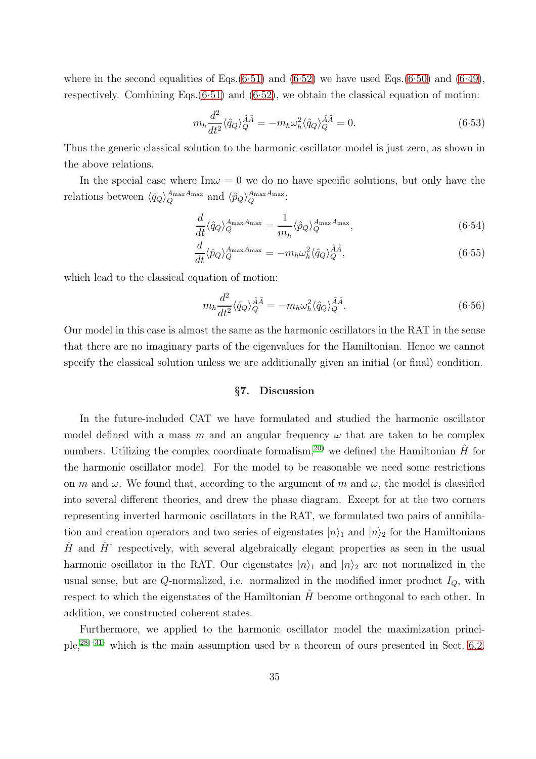where in the second equalities of Eqs. $(6.51)$  and  $(6.52)$  we have used Eqs. $(6.50)$  and  $(6.49)$ , respectively. Combining Eqs. $(6.51)$  and  $(6.52)$ , we obtain the classical equation of motion:

$$
m_h \frac{d^2}{dt^2} \langle \hat{q}_Q \rangle_Q^{\tilde{A}\tilde{A}} = -m_h \omega_h^2 \langle \hat{q}_Q \rangle_Q^{\tilde{A}\tilde{A}} = 0. \tag{6.53}
$$

Thus the generic classical solution to the harmonic oscillator model is just zero, as shown in the above relations.

In the special case where  $\text{Im}\omega = 0$  we do no have specific solutions, but only have the relations between  $\langle \hat{q}_Q \rangle_Q^{A_{\text{max}}A_{\text{max}}}$  and  $\langle \hat{p}_Q \rangle_Q^{A_{\text{max}}A_{\text{max}}}$ :

$$
\frac{d}{dt}\langle \hat{q}_Q \rangle_Q^{A_{\text{max}}A_{\text{max}}} = \frac{1}{m_h} \langle \hat{p}_Q \rangle_Q^{A_{\text{max}}A_{\text{max}}},\tag{6.54}
$$

$$
\frac{d}{dt}\langle \hat{p}_Q \rangle_Q^{A_{\text{max}}A_{\text{max}}} = -m_h \omega_h^2 \langle \hat{q}_Q \rangle_Q^{\tilde{A}\tilde{A}},\tag{6.55}
$$

which lead to the classical equation of motion:

$$
m_h \frac{d^2}{dt^2} \langle \hat{q}_Q \rangle_Q^{\tilde{A}\tilde{A}} = -m_h \omega_h^2 \langle \hat{q}_Q \rangle_Q^{\tilde{A}\tilde{A}}.\tag{6.56}
$$

<span id="page-34-0"></span>Our model in this case is almost the same as the harmonic oscillators in the RAT in the sense that there are no imaginary parts of the eigenvalues for the Hamiltonian. Hence we cannot specify the classical solution unless we are additionally given an initial (or final) condition.

## §7. Discussion

In the future-included CAT we have formulated and studied the harmonic oscillator model defined with a mass m and an angular frequency  $\omega$  that are taken to be complex numbers. Utilizing the complex coordinate formalism,<sup>[20\)](#page-41-2)</sup> we defined the Hamiltonian  $\hat{H}$  for the harmonic oscillator model. For the model to be reasonable we need some restrictions on m and  $\omega$ . We found that, according to the argument of m and  $\omega$ , the model is classified into several different theories, and drew the phase diagram. Except for at the two corners representing inverted harmonic oscillators in the RAT, we formulated two pairs of annihilation and creation operators and two series of eigenstates  $|n\rangle_1$  and  $|n\rangle_2$  for the Hamiltonians  $\hat{H}$  and  $\hat{H}^{\dagger}$  respectively, with several algebraically elegant properties as seen in the usual harmonic oscillator in the RAT. Our eigenstates  $|n\rangle_1$  and  $|n\rangle_2$  are not normalized in the usual sense, but are Q-normalized, i.e. normalized in the modified inner product  $I_Q$ , with respect to which the eigenstates of the Hamiltonian  $\hat{H}$  become orthogonal to each other. In addition, we constructed coherent states.

Furthermore, we applied to the harmonic oscillator model the maximization principle,[28\)](#page-41-14)[–31\)](#page-41-17) which is the main assumption used by a theorem of ours presented in Sect. [6.2.](#page-28-1)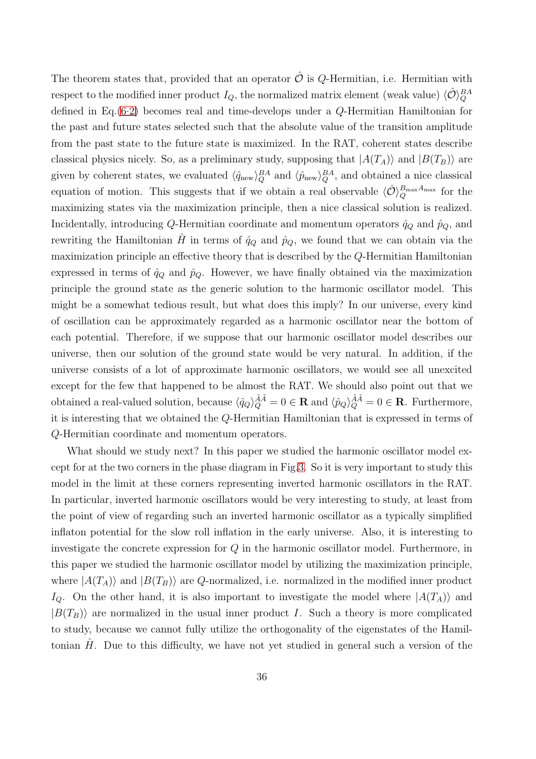The theorem states that, provided that an operator  $\hat{\mathcal{O}}$  is Q-Hermitian, i.e. Hermitian with respect to the modified inner product  $I_Q$ , the normalized matrix element (weak value)  $\langle \hat{\mathcal{O}} \rangle_Q^{BA}$ defined in Eq.[\(6.2\)](#page-26-3) becomes real and time-develops under a Q-Hermitian Hamiltonian for the past and future states selected such that the absolute value of the transition amplitude from the past state to the future state is maximized. In the RAT, coherent states describe classical physics nicely. So, as a preliminary study, supposing that  $|A(T_A)\rangle$  and  $|B(T_B)\rangle$  are given by coherent states, we evaluated  $\langle \hat{q}_{\text{new}} \rangle_Q^{BA}$  and  $\langle \hat{p}_{\text{new}} \rangle_Q^{BA}$ , and obtained a nice classical equation of motion. This suggests that if we obtain a real observable  $\langle \hat{\mathcal{O}} \rangle_Q^{B_{\text{max}}A_{\text{max}}}$  for the maximizing states via the maximization principle, then a nice classical solution is realized. Incidentally, introducing Q-Hermitian coordinate and momentum operators  $\hat{q}_Q$  and  $\hat{p}_Q$ , and rewriting the Hamiltonian H in terms of  $\hat{q}_Q$  and  $\hat{p}_Q$ , we found that we can obtain via the maximization principle an effective theory that is described by the Q-Hermitian Hamiltonian expressed in terms of  $\hat{q}_Q$  and  $\hat{p}_Q$ . However, we have finally obtained via the maximization principle the ground state as the generic solution to the harmonic oscillator model. This might be a somewhat tedious result, but what does this imply? In our universe, every kind of oscillation can be approximately regarded as a harmonic oscillator near the bottom of each potential. Therefore, if we suppose that our harmonic oscillator model describes our universe, then our solution of the ground state would be very natural. In addition, if the universe consists of a lot of approximate harmonic oscillators, we would see all unexcited except for the few that happened to be almost the RAT. We should also point out that we obtained a real-valued solution, because  $\langle \hat{q}_Q \rangle_Q^{\tilde{A}\tilde{A}} = 0 \in \mathbf{R}$  and  $\langle \hat{p}_Q \rangle_Q^{\tilde{A}\tilde{A}} = 0 \in \mathbf{R}$ . Furthermore, it is interesting that we obtained the Q-Hermitian Hamiltonian that is expressed in terms of Q-Hermitian coordinate and momentum operators.

What should we study next? In this paper we studied the harmonic oscillator model except for at the two corners in the phase diagram in Fig[.3.](#page-15-0) So it is very important to study this model in the limit at these corners representing inverted harmonic oscillators in the RAT. In particular, inverted harmonic oscillators would be very interesting to study, at least from the point of view of regarding such an inverted harmonic oscillator as a typically simplified inflaton potential for the slow roll inflation in the early universe. Also, it is interesting to investigate the concrete expression for Q in the harmonic oscillator model. Furthermore, in this paper we studied the harmonic oscillator model by utilizing the maximization principle, where  $|A(T_A)\rangle$  and  $|B(T_B)\rangle$  are Q-normalized, i.e. normalized in the modified inner product  $I_Q$ . On the other hand, it is also important to investigate the model where  $|A(T_A)\rangle$  and  $|B(T_B)\rangle$  are normalized in the usual inner product I. Such a theory is more complicated to study, because we cannot fully utilize the orthogonality of the eigenstates of the Hamiltonian  $H$ . Due to this difficulty, we have not yet studied in general such a version of the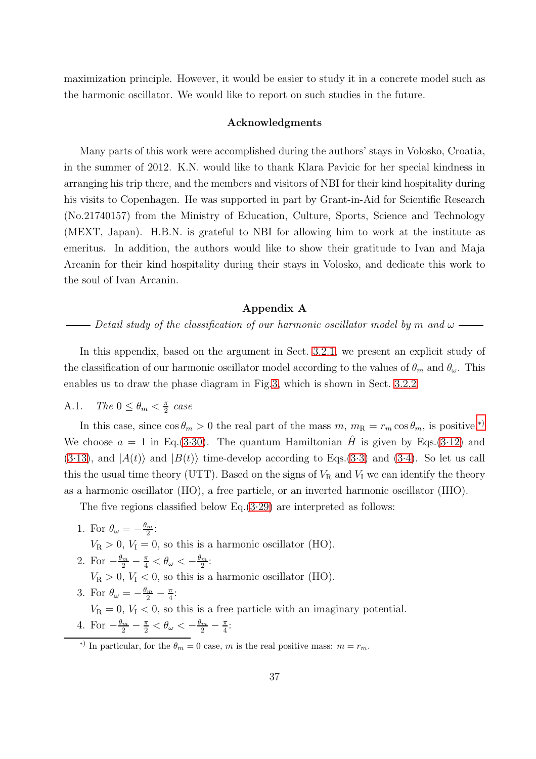maximization principle. However, it would be easier to study it in a concrete model such as the harmonic oscillator. We would like to report on such studies in the future.

## Acknowledgments

Many parts of this work were accomplished during the authors' stays in Volosko, Croatia, in the summer of 2012. K.N. would like to thank Klara Pavicic for her special kindness in arranging his trip there, and the members and visitors of NBI for their kind hospitality during his visits to Copenhagen. He was supported in part by Grant-in-Aid for Scientific Research (No.21740157) from the Ministry of Education, Culture, Sports, Science and Technology (MEXT, Japan). H.B.N. is grateful to NBI for allowing him to work at the institute as emeritus. In addition, the authors would like to show their gratitude to Ivan and Maja Arcanin for their kind hospitality during their stays in Volosko, and dedicate this work to the soul of Ivan Arcanin.

## Appendix A

<span id="page-36-0"></span>*Detail study of the classification of our harmonic oscillator model by* m and  $\omega$  —

In this appendix, based on the argument in Sect. [3.2.1,](#page-12-1) we present an explicit study of the classification of our harmonic oscillator model according to the values of  $\theta_m$  and  $\theta_\omega$ . This enables us to draw the phase diagram in Fig[.3,](#page-15-0) which is shown in Sect. [3.2.2.](#page-14-4)

#### A.1. *The*  $0 \leq \theta_m < \frac{\pi}{2}$  $\frac{\pi}{2}$  case

In this case, since  $\cos \theta_m > 0$  the real part of the mass  $m, m_R = r_m \cos \theta_m$ , is positive.<sup>\*</sup>) We choose  $a = 1$  in Eq.[\(3.30\)](#page-13-5). The quantum Hamiltonian  $\hat{H}$  is given by Eqs.[\(3.12\)](#page-10-1) and  $(3.13)$ , and  $|A(t)\rangle$  and  $|B(t)\rangle$  time-develop according to Eqs.[\(3.3\)](#page-9-5) and [\(3.4\)](#page-9-5). So let us call this the usual time theory (UTT). Based on the signs of  $V_R$  and  $V_I$  we can identify the theory as a harmonic oscillator (HO), a free particle, or an inverted harmonic oscillator (IHO).

The five regions classified below Eq. $(3.29)$  are interpreted as follows:

- 1. For  $\theta_{\omega} = -\frac{\theta_m}{2}$  $\frac{m}{2}$ :  $V_R > 0$ ,  $V_I = 0$ , so this is a harmonic oscillator (HO).
- 2. For  $-\frac{\theta_m}{2} \frac{\pi}{4} < \theta_\omega < -\frac{\theta_m}{2}$  $\frac{m}{2}$ :  $V_R > 0$ ,  $V_I < 0$ , so this is a harmonic oscillator (HO).
- 3. For  $\theta_{\omega} = -\frac{\theta_m}{2} \frac{\pi}{4}$  $\frac{\pi}{4}$ :  $V_{\rm R} = 0, V_{\rm I} < 0$ , so this is a free particle with an imaginary potential. 4. For  $-\frac{\theta_m}{2} - \frac{\pi}{2} < \theta_\omega < -\frac{\theta_m}{2} - \frac{\pi}{4}$  $\frac{\pi}{4}$ :

<span id="page-36-1"></span><sup>&</sup>lt;sup>\*)</sup> In particular, for the  $\theta_m = 0$  case, m is the real positive mass:  $m = r_m$ .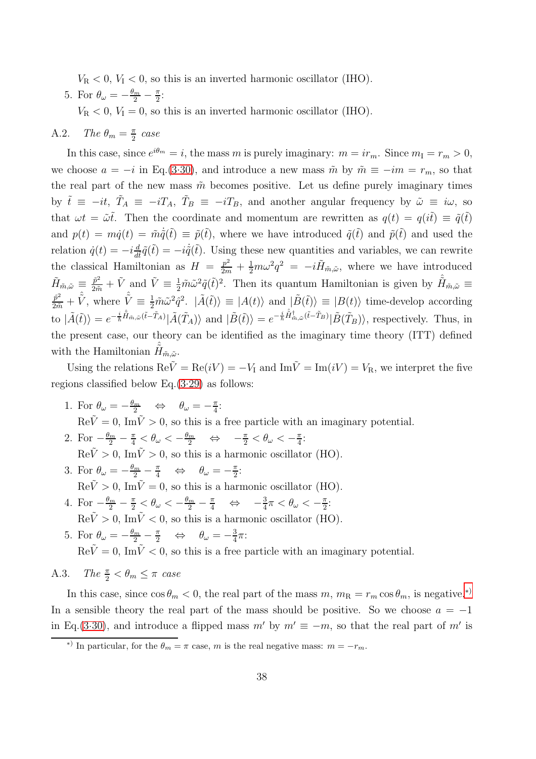$V_R < 0$ ,  $V_I < 0$ , so this is an inverted harmonic oscillator (IHO).

5. For  $\theta_{\omega} = -\frac{\theta_m}{2} - \frac{\pi}{2}$  $\frac{\pi}{2}$ :

 $V_R < 0$ ,  $V_I = 0$ , so this is an inverted harmonic oscillator (IHO).

#### A.2. *The*  $\theta_m = \frac{\pi}{2}$  $\frac{\pi}{2}$  case

In this case, since  $e^{i\theta_m} = i$ , the mass m is purely imaginary:  $m = ir_m$ . Since  $m_I = r_m > 0$ , we choose  $a = -i$  in Eq.[\(3.30\)](#page-13-5), and introduce a new mass  $\tilde{m}$  by  $\tilde{m} \equiv -im = r_m$ , so that the real part of the new mass  $\tilde{m}$  becomes positive. Let us define purely imaginary times by  $\tilde{t} \equiv -it$ ,  $\tilde{T}_A \equiv -iT_A$ ,  $\tilde{T}_B \equiv -iT_B$ , and another angular frequency by  $\tilde{\omega} \equiv i\omega$ , so that  $\omega t = \tilde{\omega} t$ . Then the coordinate and momentum are rewritten as  $q(t) = q(i\tilde{t}) \equiv \tilde{q}(t\tilde{t})$ and  $p(t) = m\dot{q}(t) = \tilde{m}\dot{\tilde{q}}(\tilde{t}) \equiv \tilde{p}(\tilde{t})$ , where we have introduced  $\tilde{q}(\tilde{t})$  and  $\tilde{p}(\tilde{t})$  and used the relation  $\dot{q}(t) = -i \frac{d}{dt}$  $\frac{d}{dt}\tilde{q}(\tilde{t}) = -i\dot{\tilde{q}}(\tilde{t}).$  Using these new quantities and variables, we can rewrite the classical Hamiltonian as  $H = \frac{p^2}{2m} + \frac{1}{2}m\omega^2 q^2 = -i\tilde{H}_{\tilde{m},\tilde{\omega}}$ , where we have introduced  $\tilde{H}_{\tilde{m},\tilde{\omega}} \equiv \frac{\tilde{p}^2}{2\tilde{m}} + \tilde{V}$  and  $\tilde{V} \equiv \frac{1}{2}\tilde{m}\tilde{\omega}^2\tilde{q}(\tilde{t})^2$ . Then its quantum Hamiltonian is given by  $\hat{H}_{\tilde{m},\tilde{\omega}} \equiv$  $\frac{\hat{p}^2}{2\tilde{m}} + \hat{\tilde{V}}$ , where  $\hat{\tilde{V}} \equiv \frac{1}{2} \tilde{m} \tilde{\omega}^2 \hat{q}^2$ .  $|\tilde{A}(\tilde{t})\rangle \equiv |A(t)\rangle$  and  $|\tilde{B}(\tilde{t})\rangle \equiv |B(t)\rangle$  time-develop according to  $|\tilde{A}(\tilde{t})\rangle = e^{-\frac{i}{\hbar}\hat{H}_{\tilde{m},\tilde{\omega}}(\tilde{t}-\tilde{T}_A)}|\tilde{A}(\tilde{T}_A)\rangle$  and  $|\tilde{B}(\tilde{t})\rangle = e^{-\frac{i}{\hbar}\hat{H}_{\tilde{m},\tilde{\omega}}(\tilde{t}-\tilde{T}_B)}|\tilde{B}(\tilde{T}_B)\rangle$ , respectively. Thus, in the present case, our theory can be identified as the imaginary time theory (ITT) defined with the Hamiltonian  $\hat{\tilde{H}}_{\tilde{m},\tilde{\omega}}$ .

Using the relations  $\text{Re}\tilde{V} = \text{Re}(iV) = -V_1$  and  $\text{Im}\tilde{V} = \text{Im}(iV) = V_R$ , we interpret the five regions classified below Eq.[\(3.29\)](#page-12-2) as follows:

- 1. For  $\theta_{\omega} = -\frac{\theta_m}{2} \quad \Leftrightarrow \quad \theta_{\omega} = -\frac{\pi}{4}$  $\frac{\pi}{4}$ :  $\text{Re}\tilde{V}=0$ , Im $\tilde{V}>0$ , so this is a free particle with an imaginary potential. 2. For  $-\frac{\theta_m}{2} - \frac{\pi}{4} < \theta_\omega < -\frac{\theta_m}{2} \quad \Leftrightarrow \quad -\frac{\pi}{2} < \theta_\omega < -\frac{\pi}{4}$  $\frac{\pi}{4}$ :  $\text{Re}\tilde{V} > 0$ , Im $\tilde{V} > 0$ , so this is a harmonic oscillator (HO). 3. For  $\theta_{\omega} = -\frac{\theta_m}{2} - \frac{\pi}{4} \quad \Leftrightarrow \quad \theta_{\omega} = -\frac{\pi}{2}$  $\frac{\pi}{2}$ :  $\text{Re}\tilde{V} > 0$ , Im $\tilde{V} = 0$ , so this is a harmonic oscillator (HO). 4. For  $-\frac{\theta_m}{2} - \frac{\pi}{2} < \theta_\omega < -\frac{\theta_m}{2} - \frac{\pi}{4} \iff -\frac{3}{4}\pi < \theta_\omega < -\frac{\pi}{2}$  $\frac{\pi}{2}$ :  $\text{Re}\tilde{V} > 0$ ,  $\text{Im}\tilde{V} < 0$ , so this is a harmonic oscillator (HO).
- 5. For  $\theta_{\omega} = -\frac{\theta_m}{2} \frac{\pi}{2} \quad \Leftrightarrow \quad \theta_{\omega} = -\frac{3}{4}$  $\frac{3}{4}\pi$ :  $\text{Re}\tilde{V}=0, \ \overline{\text{Im}}\tilde{V}<0, \text{ so this is a free particle with an imaginary potential.}$

A.3. *The*  $\frac{\pi}{2} < \theta_m \leq \pi$  *case* 

In this case, since  $\cos \theta_m < 0$ , the real part of the mass  $m, m_R = r_m \cos \theta_m$ , is negative.<sup>\*)</sup> In a sensible theory the real part of the mass should be positive. So we choose  $a = -1$ in Eq.[\(3.30\)](#page-13-5), and introduce a flipped mass  $m'$  by  $m' \equiv -m$ , so that the real part of m' is

<span id="page-37-0"></span><sup>&</sup>lt;sup>\*</sup>) In particular, for the  $\theta_m = \pi$  case, m is the real negative mass:  $m = -r_m$ .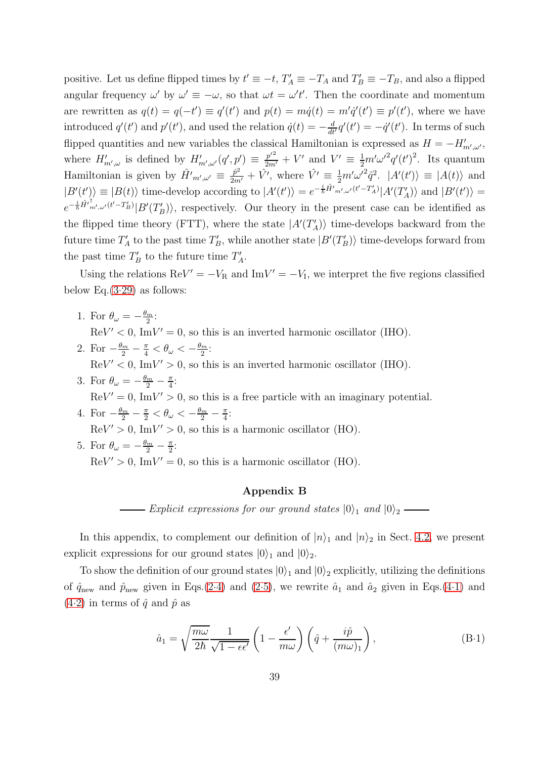positive. Let us define flipped times by  $t' \equiv -t$ ,  $T'_A \equiv -T_A$  and  $T'_B \equiv -T_B$ , and also a flipped angular frequency  $\omega'$  by  $\omega' \equiv -\omega$ , so that  $\omega t = \omega' t'$ . Then the coordinate and momentum are rewritten as  $q(t) = q(-t') \equiv q'(t')$  and  $p(t) = m\dot{q}(t) = m'\dot{q}'(t') \equiv p'(t')$ , where we have introduced  $q'(t')$  and  $p'(t')$ , and used the relation  $\dot{q}(t) = -\frac{d}{dt'}q'(t') = -\dot{q}'(t')$ . In terms of such flipped quantities and new variables the classical Hamiltonian is expressed as  $H = -H'_{m',\omega'}$ , where  $H'_{m',\omega}$  is defined by  $H'_{m',\omega'}(q',p') \equiv \frac{p'^2}{2m'} + V'$  and  $V' \equiv \frac{1}{2}m'\omega'^2q'(t')^2$ . Its quantum Hamiltonian is given by  $\hat{H'}_{m',\omega'} \equiv \frac{\hat{p}^2}{2m'} + \hat{V'}$ , where  $\hat{V'} \equiv \frac{1}{2}m'\omega'^2\hat{q}^2$ .  $|A'(t')\rangle \equiv |A(t)\rangle$  and  $|B'(t')\rangle \equiv |B(t)\rangle$  time-develop according to  $|A'(t')\rangle = e^{-\frac{i}{\hbar}\hat{H}'_{m',\omega'}(t'-T'_{A})}|A'(T'_{A})\rangle$  and  $|B'(t')\rangle =$  $e^{-\frac{i}{\hbar}\hat{H}'^{\dagger}_{m',\omega'}(t'-T'_{B})}|B'(T'_{B})\rangle$ , respectively. Our theory in the present case can be identified as the flipped time theory (FTT), where the state  $|A'(T_A')\rangle$  time-develops backward from the future time  $T_A'$  to the past time  $T_B'$ , while another state  $|B'(T_B')\rangle$  time-develops forward from the past time  $T'_B$  to the future time  $T'_A$ .

Using the relations  $\text{Re}V' = -V_{\text{R}}$  and  $\text{Im}V' = -V_{\text{I}}$ , we interpret the five regions classified below Eq. $(3.29)$  as follows:

- 1. For  $\theta_{\omega} = -\frac{\theta_m}{2}$  $\frac{m}{2}$ :  $\mathrm{Re}V' < 0$ , Im $V' = 0$ , so this is an inverted harmonic oscillator (IHO).
- 2. For  $-\frac{\theta_m}{2} \frac{\pi}{4} < \theta_\omega < -\frac{\theta_m}{2}$  $\frac{m}{2}$ :  $\mathrm{Re}V' < 0$ , Im $V' > 0$ , so this is an inverted harmonic oscillator (IHO).
- 3. For  $\theta_{\omega} = -\frac{\theta_m}{2} \frac{\pi}{4}$  $\frac{\pi}{4}$ :  $\text{Re}V' = 0$ , Im $V' > 0$ , so this is a free particle with an imaginary potential.
- 4. For  $-\frac{\theta_m}{2} \frac{\pi}{2} < \theta_\omega < -\frac{\theta_m}{2} \frac{\pi}{4}$  $\frac{\pi}{4}$ :  $\mathrm{Re}V' > 0$ , Im $V' > 0$ , so this is a harmonic oscillator (HO).
- <span id="page-38-0"></span>5. For  $\theta_{\omega} = -\frac{\theta_m}{2} - \frac{\pi}{2}$  $\frac{\pi}{2}$ :  $\text{Re}V' > 0$ , Im $V' = 0$ , so this is a harmonic oscillator (HO).

## Appendix B

*Explicit expressions for our ground states*  $|0\rangle_1$  *and*  $|0\rangle_2$  —

In this appendix, to complement our definition of  $|n\rangle_1$  and  $|n\rangle_2$  in Sect. [4.2,](#page-17-5) we present explicit expressions for our ground states  $|0\rangle_1$  and  $|0\rangle_2$ .

To show the definition of our ground states  $|0\rangle_1$  and  $|0\rangle_2$  explicitly, utilizing the definitions of  $\hat{q}_{\text{new}}$  and  $\hat{p}_{\text{new}}$  given in Eqs.[\(2.4\)](#page-4-1) and [\(2.5\)](#page-4-1), we rewrite  $\hat{a}_1$  and  $\hat{a}_2$  given in Eqs.[\(4.1\)](#page-15-2) and  $(4.2)$  in terms of  $\hat{q}$  and  $\hat{p}$  as

<span id="page-38-1"></span>
$$
\hat{a}_1 = \sqrt{\frac{m\omega}{2\hbar}} \frac{1}{\sqrt{1 - \epsilon\epsilon'}} \left(1 - \frac{\epsilon'}{m\omega}\right) \left(\hat{q} + \frac{i\hat{p}}{(m\omega)_1}\right),\tag{B-1}
$$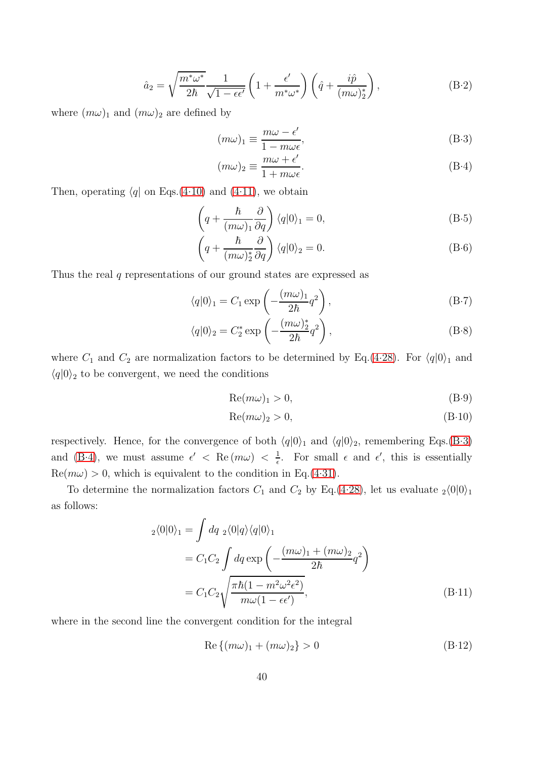$$
\hat{a}_2 = \sqrt{\frac{m^*\omega^*}{2\hbar}} \frac{1}{\sqrt{1 - \epsilon\epsilon'}} \left(1 + \frac{\epsilon'}{m^*\omega^*}\right) \left(\hat{q} + \frac{i\hat{p}}{(m\omega)_2^*}\right),\tag{B-2}
$$

where  $(m\omega)_1$  and  $(m\omega)_2$  are defined by

<span id="page-39-0"></span>
$$
(m\omega)_1 \equiv \frac{m\omega - \epsilon'}{1 - m\omega_{\epsilon}'},
$$
\n(B-3)

$$
(m\omega)_2 \equiv \frac{m\omega + \epsilon'}{1 + m\omega\epsilon}.
$$
 (B-4)

Then, operating  $\langle q \vert$  on Eqs.[\(4.10\)](#page-16-2) and [\(4.11\)](#page-16-2), we obtain

$$
\left(q + \frac{\hbar}{(m\omega)_1} \frac{\partial}{\partial q}\right) \langle q|0\rangle_1 = 0, \tag{B-5}
$$

$$
\left(q + \frac{\hbar}{(m\omega)_2^*} \frac{\partial}{\partial q}\right) \langle q|0\rangle_2 = 0.
$$
\n(B-6)

Thus the real q representations of our ground states are expressed as

<span id="page-39-2"></span>
$$
\langle q|0\rangle_1 = C_1 \exp\left(-\frac{(m\omega)_1}{2\hbar}q^2\right),\tag{B-7}
$$

$$
\langle q|0\rangle_2 = C_2^* \exp\left(-\frac{(m\omega)_2^*}{2\hbar}q^2\right),\tag{B-8}
$$

where  $C_1$  and  $C_2$  are normalization factors to be determined by Eq.[\(4.28\)](#page-18-1). For  $\langle q|0\rangle_1$  and  $\langle q|0\rangle$ <sub>2</sub> to be convergent, we need the conditions

<span id="page-39-1"></span>
$$
Re(m\omega)_1 > 0, \tag{B-9}
$$

$$
Re(m\omega)_2 > 0, \tag{B-10}
$$

respectively. Hence, for the convergence of both  $\langle q|0\rangle_1$  and  $\langle q|0\rangle_2$ , remembering Eqs.[\(B.3\)](#page-39-0) and [\(B.4\)](#page-39-0), we must assume  $\epsilon' < \text{Re}(m\omega) < \frac{1}{\epsilon}$  $\frac{1}{\epsilon}$ . For small  $\epsilon$  and  $\epsilon'$ , this is essentially  $\text{Re}(m\omega) > 0$ , which is equivalent to the condition in Eq.[\(4.31\)](#page-19-0).

To determine the normalization factors  $C_1$  and  $C_2$  by Eq.[\(4.28\)](#page-18-1), let us evaluate  $\frac{1}{2}$ (0|0)<sub>1</sub> as follows:

$$
{}_{2}\langle 0|0\rangle_{1} = \int dq \, {}_{2}\langle 0|q\rangle \langle q|0\rangle_{1}
$$
  
=  $C_{1}C_{2} \int dq \exp\left(-\frac{(m\omega)_{1} + (m\omega)_{2}}{2\hbar}q^{2}\right)$   
=  $C_{1}C_{2} \sqrt{\frac{\pi\hbar(1 - m^{2}\omega^{2}\epsilon^{2})}{m\omega(1 - \epsilon\epsilon^{\prime})}},$  (B.11)

where in the second line the convergent condition for the integral

$$
\operatorname{Re}\left\{(m\omega)_1 + (m\omega)_2\right\} > 0\tag{B-12}
$$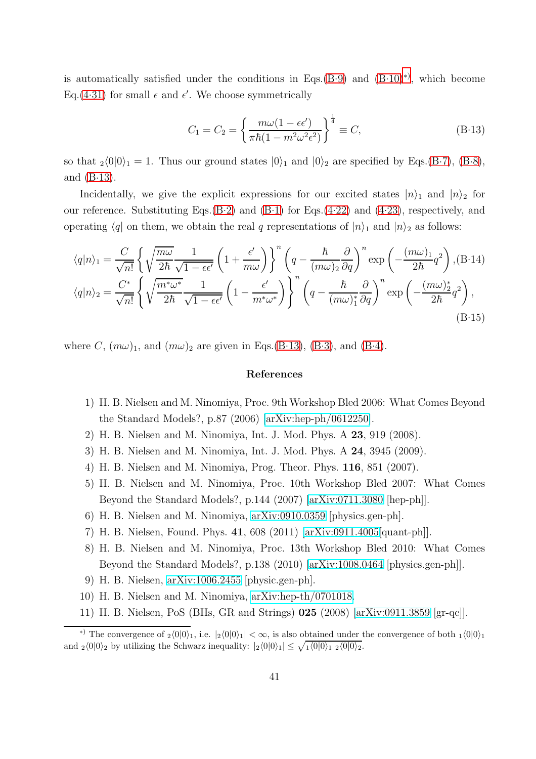is automatically satisfied under the conditions in Eqs. $(B.9)$  and  $(B.10)^{*}$ , which become Eq.[\(4.31\)](#page-19-0) for small  $\epsilon$  and  $\epsilon'$ . We choose symmetrically

<span id="page-40-9"></span>
$$
C_1 = C_2 = \left\{ \frac{m\omega(1 - \epsilon\epsilon')}{\pi\hbar(1 - m^2\omega^2\epsilon^2)} \right\}^{\frac{1}{4}} \equiv C,
$$
\n(B.13)

so that  $_2\langle 0|0\rangle_1 = 1$ . Thus our ground states  $|0\rangle_1$  and  $|0\rangle_2$  are specified by Eqs.[\(B.7\)](#page-39-2), [\(B.8\)](#page-39-2), and  $(B-13)$ .

Incidentally, we give the explicit expressions for our excited states  $|n\rangle_1$  and  $|n\rangle_2$  for our reference. Substituting Eqs. $(B-2)$  and  $(B-1)$  for Eqs. $(4-22)$  and  $(4-23)$ , respectively, and operating  $\langle q|$  on them, we obtain the real q representations of  $|n\rangle_1$  and  $|n\rangle_2$  as follows:

$$
\langle q|n\rangle_{1} = \frac{C}{\sqrt{n!}} \left\{ \sqrt{\frac{m\omega}{2\hbar}} \frac{1}{\sqrt{1 - \epsilon\epsilon'}} \left( 1 + \frac{\epsilon'}{m\omega} \right) \right\}^{n} \left( q - \frac{\hbar}{(m\omega)_{2}} \frac{\partial}{\partial q} \right)^{n} \exp\left( -\frac{(m\omega)_{1}}{2\hbar} q^{2} \right), (B.14)
$$

$$
\langle q|n\rangle_{2} = \frac{C^{*}}{\sqrt{n!}} \left\{ \sqrt{\frac{m^{*}\omega^{*}}{2\hbar}} \frac{1}{\sqrt{1 - \epsilon\epsilon'}} \left( 1 - \frac{\epsilon'}{m^{*}\omega^{*}} \right) \right\}^{n} \left( q - \frac{\hbar}{(m\omega)_{1}^{*}} \frac{\partial}{\partial q} \right)^{n} \exp\left( -\frac{(m\omega)_{2}^{*}}{2\hbar} q^{2} \right),
$$
(B.15)

where C,  $(m\omega)_1$ , and  $(m\omega)_2$  are given in Eqs.[\(B.13\)](#page-40-9), [\(B.3\)](#page-39-0), and [\(B.4\)](#page-39-0).

## References

- <span id="page-40-0"></span>1) H. B. Nielsen and M. Ninomiya, Proc. 9th Workshop Bled 2006: What Comes Beyond the Standard Models?, p.87 (2006) [\[arXiv:hep-ph/0612250\]](http://arxiv.org/abs/hep-ph/0612250).
- 2) H. B. Nielsen and M. Ninomiya, Int. J. Mod. Phys. A 23, 919 (2008).
- <span id="page-40-1"></span>3) H. B. Nielsen and M. Ninomiya, Int. J. Mod. Phys. A 24, 3945 (2009).
- <span id="page-40-2"></span>4) H. B. Nielsen and M. Ninomiya, Prog. Theor. Phys. 116, 851 (2007).
- <span id="page-40-3"></span>5) H. B. Nielsen and M. Ninomiya, Proc. 10th Workshop Bled 2007: What Comes Beyond the Standard Models?, p.144 (2007) [\[arXiv:0711.3080](http://arxiv.org/abs/0711.3080) [hep-ph]].
- 6) H. B. Nielsen and M. Ninomiya, [arXiv:0910.0359](http://arxiv.org/abs/0910.0359) [physics.gen-ph].
- <span id="page-40-4"></span>7) H. B. Nielsen, Found. Phys. 41, 608 (2011) [\[arXiv:0911.4005\[](http://arxiv.org/abs/0911.4005)quant-ph]].
- <span id="page-40-5"></span>8) H. B. Nielsen and M. Ninomiya, Proc. 13th Workshop Bled 2010: What Comes Beyond the Standard Models?, p.138 (2010) [\[arXiv:1008.0464](http://arxiv.org/abs/1008.0464) [physics.gen-ph]].
- <span id="page-40-6"></span>9) H. B. Nielsen, [arXiv:1006.2455](http://arxiv.org/abs/1006.2455) [physic.gen-ph].
- <span id="page-40-7"></span>10) H. B. Nielsen and M. Ninomiya, [arXiv:hep-th/0701018.](http://arxiv.org/abs/hep-th/0701018)
- 11) H. B. Nielsen, PoS (BHs, GR and Strings) 025 (2008) [\[arXiv:0911.3859](http://arxiv.org/abs/0911.3859) [gr-qc]].

<span id="page-40-8"></span><sup>\*)</sup> The convergence of  $_2\langle 0|0\rangle_1$ , i.e.  $|_2\langle 0|0\rangle_1| < \infty$ , is also obtained under the convergence of both  $_1\langle 0|0\rangle_1$ and  $_2\langle 0|0\rangle_2$  by utilizing the Schwarz inequality:  $|_2\langle 0|0\rangle_1| \leq \sqrt{_1\langle 0|0\rangle_1|_2\langle 0|0\rangle_2}$ .